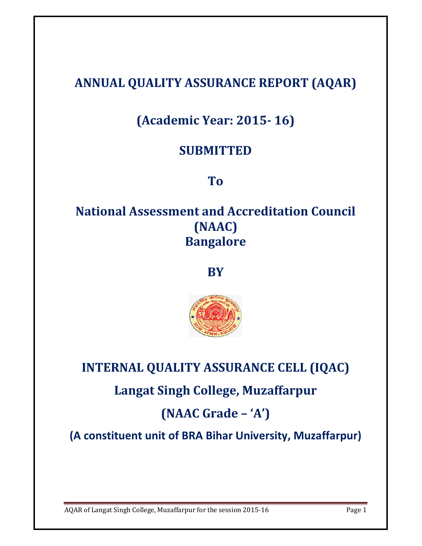# **ANNUAL QUALITY ASSURANCE REPORT (AQAR)**

# **(Academic Year: 2015- 16)**

## **SUBMITTED**

**To** 

## **National Assessment and Accreditation Council (NAAC) Bangalore**

**BY** 



**INTERNAL QUALITY ASSURANCE CELL (IQAC) Langat Singh College, Muzaffarpur (NAAC Grade – 'A')** 

**(A constituent unit of BRA Bihar University, Muzaffarpur)**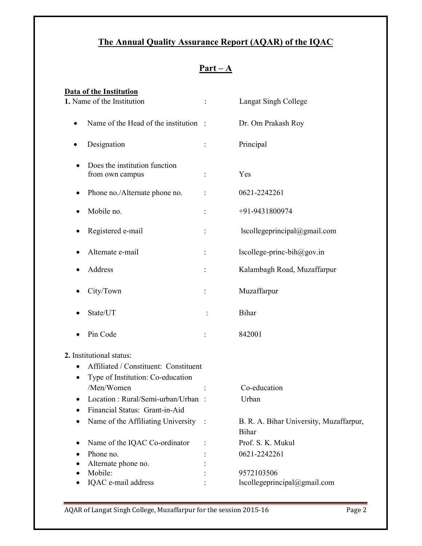## **The Annual Quality Assurance Report (AQAR) of the IQAC**

| п | ш |  |
|---|---|--|
|   |   |  |

| Data of the Institution                          |   |                                                         |
|--------------------------------------------------|---|---------------------------------------------------------|
| 1. Name of the Institution                       | ÷ | Langat Singh College                                    |
| Name of the Head of the institution:             |   | Dr. Om Prakash Roy                                      |
| Designation                                      |   | Principal                                               |
| Does the institution function<br>from own campus |   | Yes                                                     |
| Phone no./Alternate phone no.                    |   | 0621-2242261                                            |
| Mobile no.                                       |   | +91-9431800974                                          |
| Registered e-mail                                |   | lscollegeprincipal@gmail.com                            |
| Alternate e-mail                                 |   | lscollege-princ-bih@gov.in                              |
| Address                                          |   | Kalambagh Road, Muzaffarpur                             |
| City/Town                                        |   | Muzaffarpur                                             |
| State/UT                                         |   | Bihar                                                   |
| Pin Code                                         |   | 842001                                                  |
| 2. Institutional status:                         |   |                                                         |
| Affiliated / Constituent: Constituent            |   |                                                         |
| Type of Institution: Co-education                |   |                                                         |
| /Men/Women                                       |   | Co-education                                            |
| Location: Rural/Semi-urban/Urban :               |   | Urban                                                   |
| Financial Status: Grant-in-Aid                   |   |                                                         |
| Name of the Affiliating University :             |   | B. R. A. Bihar University, Muzaffarpur,<br><b>Bihar</b> |
| Name of the IQAC Co-ordinator                    |   | Prof. S. K. Mukul                                       |
| Phone no.                                        |   | 0621-2242261                                            |
| Alternate phone no.                              |   |                                                         |
| Mobile:                                          |   | 9572103506                                              |
| IQAC e-mail address                              |   | lscollegeprincipal@gmail.com                            |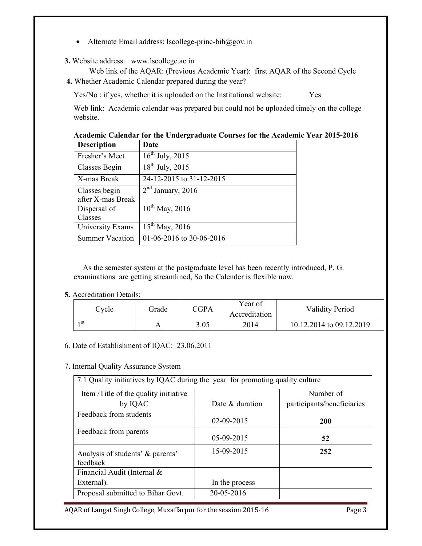- Alternate Email address: lscollege-princ-bih@gov.in
- **3.** Website address: www.lscollege.ac.in

 Web link of the AQAR: (Previous Academic Year): first AQAR of the Second Cycle **4.** Whether Academic Calendar prepared during the year?

Yes/No : if yes, whether it is uploaded on the Institutional website: Yes

Web link: Academic calendar was prepared but could not be uploaded timely on the college website.

| <b>Description</b>     | Date                     |
|------------------------|--------------------------|
| Fresher's Meet         | $16^{th}$ July, 2015     |
| Classes Begin          | $18^{th}$ July, 2015     |
| X-mas Break            | 24-12-2015 to 31-12-2015 |
| Classes begin          | $2nd$ January, 2016      |
| after X-mas Break      |                          |
| Dispersal of           | $10^{th}$ May, 2016      |
| Classes                |                          |
| University Exams       | $15^{th}$ May, 2016      |
| <b>Summer Vacation</b> | 01-06-2016 to 30-06-2016 |

| Academic Calendar for the Undergraduate Courses for the Academic Year 2015-2016 |  |
|---------------------------------------------------------------------------------|--|
|---------------------------------------------------------------------------------|--|

As the semester system at the postgraduate level has been recently introduced, P. G. examinations are getting streamlined, So the Calender is flexible now.

**5.** Accreditation Details:

| Cycle | Grade | <b>CGPA</b> | Year of<br>Accreditation | <b>Validity Period</b>   |
|-------|-------|-------------|--------------------------|--------------------------|
| 1 st  |       | 3.05        | 2014                     | 10.12.2014 to 09.12.2019 |

6. Date of Establishment of IQAC: 23.06.2011

#### 7**.** Internal Quality Assurance System

|                                              | 7.1 Quality initiatives by IQAC during the year for promoting quality culture |                            |  |  |  |  |  |  |  |
|----------------------------------------------|-------------------------------------------------------------------------------|----------------------------|--|--|--|--|--|--|--|
| Item /Title of the quality initiative        |                                                                               | Number of                  |  |  |  |  |  |  |  |
| by IQAC                                      | Date & duration                                                               | participants/beneficiaries |  |  |  |  |  |  |  |
| Feedback from students                       | $02 - 09 - 2015$                                                              | <b>200</b>                 |  |  |  |  |  |  |  |
| Feedback from parents                        | 05-09-2015                                                                    | 52                         |  |  |  |  |  |  |  |
| Analysis of students' & parents'<br>feedback | 15-09-2015                                                                    | 252                        |  |  |  |  |  |  |  |
| Financial Audit (Internal &                  |                                                                               |                            |  |  |  |  |  |  |  |
| External).                                   | In the process                                                                |                            |  |  |  |  |  |  |  |
| Proposal submitted to Bihar Govt.            | 20-05-2016                                                                    |                            |  |  |  |  |  |  |  |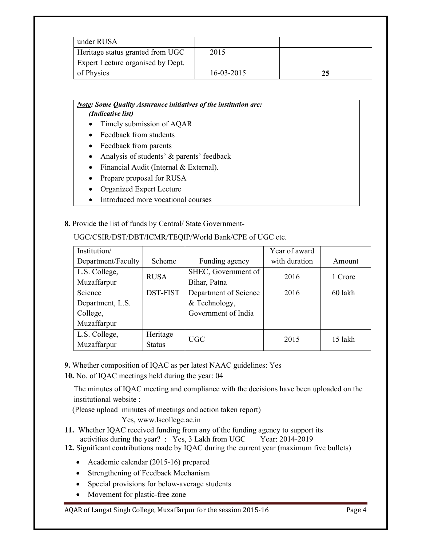| under RUSA                               |                  |    |
|------------------------------------------|------------------|----|
| Heritage status granted from UGC         | 2015             |    |
| <b>Expert Lecture organised by Dept.</b> |                  |    |
| of Physics                               | $16 - 03 - 2015$ | 25 |

#### *Note: Some Quality Assurance initiatives of the institution are: (Indicative list)*

- Timely submission of AQAR
- Feedback from students
- Feedback from parents
- Analysis of students' & parents' feedback
- Financial Audit (Internal & External).
- Prepare proposal for RUSA
- Organized Expert Lecture
- Introduced more vocational courses

## **8.** Provide the list of funds by Central/ State Government-

| Institution/       |                 |                       | Year of award |         |
|--------------------|-----------------|-----------------------|---------------|---------|
| Department/Faculty | Scheme          | Funding agency        | with duration | Amount  |
| L.S. College,      | <b>RUSA</b>     | SHEC, Government of   | 2016          | 1 Crore |
| Muzaffarpur        |                 | Bihar, Patna          |               |         |
| Science            | <b>DST-FIST</b> | Department of Science | 2016          | 60 lakh |
| Department, L.S.   |                 | & Technology,         |               |         |
| College,           |                 | Government of India   |               |         |
| Muzaffarpur        |                 |                       |               |         |
| L.S. College,      | Heritage        | UGC                   | 2015          | 15 lakh |
| Muzaffarpur        | <b>Status</b>   |                       |               |         |

UGC/CSIR/DST/DBT/ICMR/TEQIP/World Bank/CPE of UGC etc.

- **9.** Whether composition of IQAC as per latest NAAC guidelines: Yes
- **10.** No. of IQAC meetings held during the year: 04

The minutes of IQAC meeting and compliance with the decisions have been uploaded on the institutional website :

(Please upload minutes of meetings and action taken report)

Yes, www.lscollege.ac.in

- **11.** Whether IQAC received funding from any of the funding agency to support its activities during the year? : Yes, 3 Lakh from UGC Year: 2014-2019 activities during the year? : Yes,  $3$  Lakh from UGC
- **12.** Significant contributions made by IQAC during the current year (maximum five bullets)
	- Academic calendar (2015-16) prepared
	- Strengthening of Feedback Mechanism
	- Special provisions for below-average students
	- Movement for plastic-free zone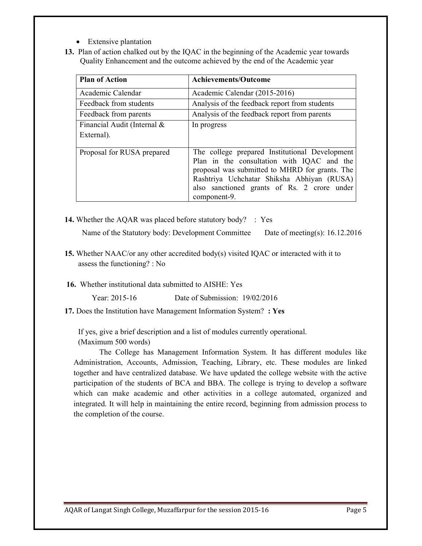- Extensive plantation
- **13.** Plan of action chalked out by the IQAC in the beginning of the Academic year towards Quality Enhancement and the outcome achieved by the end of the Academic year

| <b>Plan of Action</b>                     | <b>Achievements/Outcome</b>                                                                                                                                                                                                                                 |  |  |  |  |
|-------------------------------------------|-------------------------------------------------------------------------------------------------------------------------------------------------------------------------------------------------------------------------------------------------------------|--|--|--|--|
| Academic Calendar                         | Academic Calendar (2015-2016)                                                                                                                                                                                                                               |  |  |  |  |
| Feedback from students                    | Analysis of the feedback report from students                                                                                                                                                                                                               |  |  |  |  |
| Feedback from parents                     | Analysis of the feedback report from parents                                                                                                                                                                                                                |  |  |  |  |
| Financial Audit (Internal &<br>External). | In progress                                                                                                                                                                                                                                                 |  |  |  |  |
| Proposal for RUSA prepared                | The college prepared Institutional Development<br>Plan in the consultation with IQAC and the<br>proposal was submitted to MHRD for grants. The<br>Rashtriya Uchchatar Shiksha Abhiyan (RUSA)<br>also sanctioned grants of Rs. 2 crore under<br>component-9. |  |  |  |  |

**14.** Whether the AQAR was placed before statutory body? : Yes

Name of the Statutory body: Development Committee Date of meeting(s): 16.12.2016

- **15.** Whether NAAC/or any other accredited body(s) visited IQAC or interacted with it to assess the functioning? : No
- **16.** Whether institutional data submitted to AISHE: Yes

Year: 2015-16 Date of Submission: 19/02/2016

**17.** Does the Institution have Management Information System? **: Yes** 

If yes, give a brief description and a list of modules currently operational.

(Maximum 500 words)

The College has Management Information System. It has different modules like Administration, Accounts, Admission, Teaching, Library, etc. These modules are linked together and have centralized database. We have updated the college website with the active participation of the students of BCA and BBA. The college is trying to develop a software which can make academic and other activities in a college automated, organized and integrated. It will help in maintaining the entire record, beginning from admission process to the completion of the course.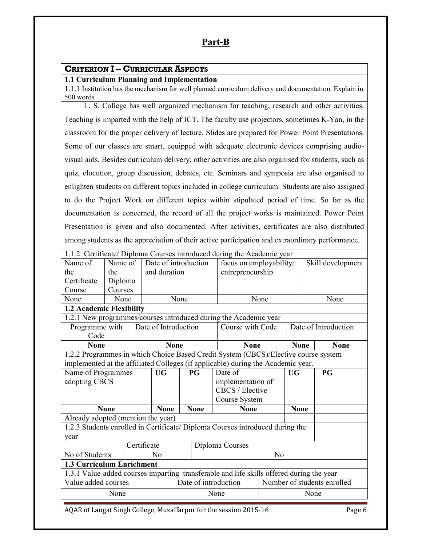## **Part-B**

## **CRITERION I – CURRICULAR ASPECTS**

#### **1.1 Curriculum Planning and Implementation**

1.1.1 Institution has the mechanism for well planned curriculum delivery and documentation. Explain in 500 words

 L. S. College has well organized mechanism for teaching, research and other activities. Teaching is imparted with the help of ICT. The faculty use projectors, sometimes K-Yan, in the classroom for the proper delivery of lecture. Slides are prepared for Power Point Presentations. Some of our classes are smart, equipped with adequate electronic devices comprising audiovisual aids. Besides curriculum delivery, other activities are also organised for students, such as quiz, elocution, group discussion, debates, etc. Seminars and symposia are also organised to enlighten students on different topics included in college curriculum. Students are also assigned to do the Project Work on different topics within stipulated period of time. So far as the documentation is concerned, the record of all the project works is maintained. Power Point Presentation is given and also documented. After activities, certificates are also distributed among students as the appreciation of their active participation and extraordinary performance.

|                                                                                    | 1.1.2 Certificate/ Diploma Courses introduced during the Academic year |             |                      |      |             |                                                                                          |                |             |                      |  |
|------------------------------------------------------------------------------------|------------------------------------------------------------------------|-------------|----------------------|------|-------------|------------------------------------------------------------------------------------------|----------------|-------------|----------------------|--|
| Name of                                                                            | Name of                                                                |             | Date of introduction |      |             | focus on employability/                                                                  |                |             | Skill development    |  |
| the                                                                                | the                                                                    |             | and duration         |      |             | entrepreneurship                                                                         |                |             |                      |  |
| Certificate                                                                        | Diploma                                                                |             |                      |      |             |                                                                                          |                |             |                      |  |
| Course                                                                             | Courses                                                                |             |                      |      |             |                                                                                          |                |             |                      |  |
| None                                                                               | None                                                                   |             |                      | None |             |                                                                                          | None           |             | None                 |  |
| 1.2 Academic Flexibility                                                           |                                                                        |             |                      |      |             |                                                                                          |                |             |                      |  |
|                                                                                    |                                                                        |             |                      |      |             | 1.2.1 New programmes/courses introduced during the Academic year                         |                |             |                      |  |
| Programme with                                                                     |                                                                        |             | Date of Introduction |      |             | Course with Code                                                                         |                |             | Date of Introduction |  |
| Code                                                                               |                                                                        |             |                      |      |             |                                                                                          |                |             |                      |  |
| <b>None</b>                                                                        |                                                                        |             | <b>None</b>          |      |             | <b>None</b>                                                                              |                | <b>None</b> | <b>None</b>          |  |
| 1.2.2 Programmes in which Choice Based Credit System (CBCS)/Elective course system |                                                                        |             |                      |      |             |                                                                                          |                |             |                      |  |
|                                                                                    |                                                                        |             |                      |      |             | implemented at the affiliated Colleges (if applicable) during the Academic year.         |                |             |                      |  |
| Name of Programmes                                                                 |                                                                        |             | <b>UG</b>            |      | PG          | Date of                                                                                  |                | <b>UG</b>   | PG                   |  |
| adopting CBCS                                                                      |                                                                        |             |                      |      |             | implementation of                                                                        |                |             |                      |  |
|                                                                                    |                                                                        |             |                      |      |             | CBCS / Elective                                                                          |                |             |                      |  |
|                                                                                    |                                                                        |             |                      |      |             | Course System                                                                            |                |             |                      |  |
|                                                                                    | <b>None</b>                                                            |             | <b>None</b>          |      | <b>None</b> | <b>None</b>                                                                              |                | <b>None</b> |                      |  |
| Already adopted (mention the year)                                                 |                                                                        |             |                      |      |             |                                                                                          |                |             |                      |  |
|                                                                                    |                                                                        |             |                      |      |             | 1.2.3 Students enrolled in Certificate/ Diploma Courses introduced during the            |                |             |                      |  |
| year                                                                               |                                                                        |             |                      |      |             |                                                                                          |                |             |                      |  |
|                                                                                    |                                                                        | Certificate |                      |      |             | Diploma Courses                                                                          |                |             |                      |  |
| No of Students                                                                     |                                                                        |             | N <sub>0</sub>       |      |             |                                                                                          | N <sub>o</sub> |             |                      |  |
| 1.3 Curriculum Enrichment                                                          |                                                                        |             |                      |      |             |                                                                                          |                |             |                      |  |
|                                                                                    |                                                                        |             |                      |      |             | 1.3.1 Value-added courses imparting transferable and life skills offered during the year |                |             |                      |  |
| Value added courses                                                                |                                                                        |             |                      |      |             | Date of introduction<br>Number of students enrolled                                      |                |             |                      |  |
|                                                                                    | None                                                                   |             |                      |      | None        |                                                                                          |                |             | None                 |  |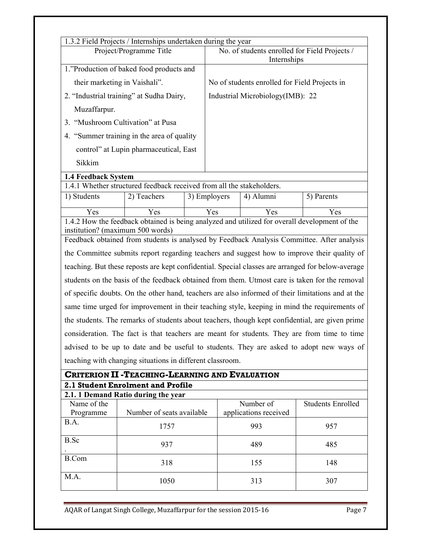|                                                                                                                                | 1.3.2 Field Projects / Internships undertaken during the year         |              |                                               |                                               |                                                                                                   |  |  |
|--------------------------------------------------------------------------------------------------------------------------------|-----------------------------------------------------------------------|--------------|-----------------------------------------------|-----------------------------------------------|---------------------------------------------------------------------------------------------------|--|--|
|                                                                                                                                | Project/Programme Title                                               |              | No. of students enrolled for Field Projects / |                                               |                                                                                                   |  |  |
|                                                                                                                                |                                                                       |              | Internships                                   |                                               |                                                                                                   |  |  |
|                                                                                                                                | 1."Production of baked food products and                              |              |                                               |                                               |                                                                                                   |  |  |
|                                                                                                                                | their marketing in Vaishali".                                         |              |                                               | No of students enrolled for Field Projects in |                                                                                                   |  |  |
| 2. "Industrial training" at Sudha Dairy,                                                                                       |                                                                       |              |                                               | Industrial Microbiology(IMB): 22              |                                                                                                   |  |  |
| Muzaffarpur.                                                                                                                   |                                                                       |              |                                               |                                               |                                                                                                   |  |  |
|                                                                                                                                | 3. "Mushroom Cultivation" at Pusa                                     |              |                                               |                                               |                                                                                                   |  |  |
|                                                                                                                                | 4. "Summer training in the area of quality                            |              |                                               |                                               |                                                                                                   |  |  |
|                                                                                                                                | control" at Lupin pharmaceutical, East                                |              |                                               |                                               |                                                                                                   |  |  |
| Sikkim                                                                                                                         |                                                                       |              |                                               |                                               |                                                                                                   |  |  |
| <b>1.4 Feedback System</b>                                                                                                     |                                                                       |              |                                               |                                               |                                                                                                   |  |  |
|                                                                                                                                | 1.4.1 Whether structured feedback received from all the stakeholders. |              |                                               |                                               |                                                                                                   |  |  |
| 1) Students                                                                                                                    | 2) Teachers                                                           | 3) Employers |                                               | 4) Alumni                                     | 5) Parents                                                                                        |  |  |
| Yes                                                                                                                            | Yes                                                                   | Yes          |                                               | Yes                                           | Yes                                                                                               |  |  |
| 1.4.2 How the feedback obtained is being analyzed and utilized for overall development of the                                  |                                                                       |              |                                               |                                               |                                                                                                   |  |  |
| institution? (maximum 500 words)<br>Feedback obtained from students is analysed by Feedback Analysis Committee. After analysis |                                                                       |              |                                               |                                               |                                                                                                   |  |  |
|                                                                                                                                |                                                                       |              |                                               |                                               |                                                                                                   |  |  |
|                                                                                                                                |                                                                       |              |                                               |                                               | the Committee submits report regarding teachers and suggest how to improve their quality of       |  |  |
|                                                                                                                                |                                                                       |              |                                               |                                               | teaching. But these reposts are kept confidential. Special classes are arranged for below-average |  |  |
|                                                                                                                                |                                                                       |              |                                               |                                               | students on the basis of the feedback obtained from them. Utmost care is taken for the removal    |  |  |
|                                                                                                                                |                                                                       |              |                                               |                                               | of specific doubts. On the other hand, teachers are also informed of their limitations and at the |  |  |
|                                                                                                                                |                                                                       |              |                                               |                                               | same time urged for improvement in their teaching style, keeping in mind the requirements of      |  |  |
|                                                                                                                                |                                                                       |              |                                               |                                               | the students. The remarks of students about teachers, though kept confidential, are given prime   |  |  |
|                                                                                                                                |                                                                       |              |                                               |                                               | consideration. The fact is that teachers are meant for students. They are from time to time       |  |  |
|                                                                                                                                |                                                                       |              |                                               |                                               | advised to be up to date and be useful to students. They are asked to adopt new ways of           |  |  |
|                                                                                                                                | teaching with changing situations in different classroom.             |              |                                               |                                               |                                                                                                   |  |  |
|                                                                                                                                | <b>CRITERION II - TEACHING-LEARNING AND EVALUATION</b>                |              |                                               |                                               |                                                                                                   |  |  |
|                                                                                                                                | 2.1 Student Enrolment and Profile                                     |              |                                               |                                               |                                                                                                   |  |  |
|                                                                                                                                | 2.1.1 Demand Ratio during the year                                    |              |                                               |                                               |                                                                                                   |  |  |
| Name of the<br>Programme                                                                                                       | Number of seats available                                             |              |                                               | Number of<br>applications received            | <b>Students Enrolled</b>                                                                          |  |  |
| B.A.                                                                                                                           | 1757                                                                  |              |                                               | 993                                           | 957                                                                                               |  |  |
| B.Sc                                                                                                                           | 937                                                                   |              |                                               | 489                                           | 485                                                                                               |  |  |

B.Com 318 155 148

M.A. 1050 313 307

B.Com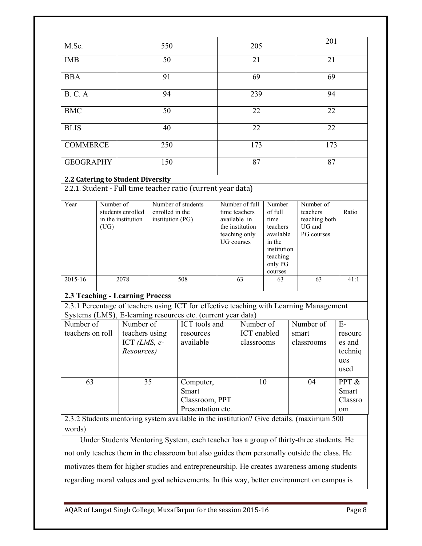|                                                                  |                   |                                                             |                                                                                                                                                             |                                                                                                                                                                                                   |                                                                                                          |                                        |                                                                                                               |                                  | 201                                      |                                                     |
|------------------------------------------------------------------|-------------------|-------------------------------------------------------------|-------------------------------------------------------------------------------------------------------------------------------------------------------------|---------------------------------------------------------------------------------------------------------------------------------------------------------------------------------------------------|----------------------------------------------------------------------------------------------------------|----------------------------------------|---------------------------------------------------------------------------------------------------------------|----------------------------------|------------------------------------------|-----------------------------------------------------|
| M.Sc.                                                            |                   |                                                             | 550                                                                                                                                                         |                                                                                                                                                                                                   |                                                                                                          | 205                                    |                                                                                                               |                                  |                                          |                                                     |
| <b>IMB</b>                                                       |                   |                                                             | 50                                                                                                                                                          |                                                                                                                                                                                                   | 21                                                                                                       |                                        |                                                                                                               | 21                               |                                          |                                                     |
| <b>BBA</b>                                                       |                   | 91                                                          |                                                                                                                                                             |                                                                                                                                                                                                   |                                                                                                          | 69                                     |                                                                                                               | 69                               |                                          |                                                     |
| <b>B. C. A</b>                                                   |                   |                                                             | 94                                                                                                                                                          |                                                                                                                                                                                                   |                                                                                                          | 239                                    |                                                                                                               |                                  | 94                                       |                                                     |
| <b>BMC</b>                                                       |                   |                                                             | 50                                                                                                                                                          |                                                                                                                                                                                                   |                                                                                                          | 22                                     |                                                                                                               |                                  | 22                                       |                                                     |
| <b>BLIS</b>                                                      |                   |                                                             | 40                                                                                                                                                          |                                                                                                                                                                                                   |                                                                                                          | 22                                     |                                                                                                               |                                  | 22                                       |                                                     |
|                                                                  |                   |                                                             |                                                                                                                                                             |                                                                                                                                                                                                   |                                                                                                          |                                        |                                                                                                               |                                  |                                          |                                                     |
| <b>COMMERCE</b>                                                  |                   |                                                             | 250                                                                                                                                                         |                                                                                                                                                                                                   |                                                                                                          | 173                                    |                                                                                                               |                                  | 173                                      |                                                     |
| <b>GEOGRAPHY</b>                                                 |                   |                                                             | 150                                                                                                                                                         |                                                                                                                                                                                                   |                                                                                                          | 87                                     |                                                                                                               |                                  | 87                                       |                                                     |
| 2.2 Catering to Student Diversity                                |                   |                                                             |                                                                                                                                                             | 2.2.1. Student - Full time teacher ratio (current year data)                                                                                                                                      |                                                                                                          |                                        |                                                                                                               |                                  |                                          |                                                     |
| Year                                                             | Number of<br>(UG) | students enrolled<br>in the institution                     | Number of students<br>enrolled in the<br>institution (PG)                                                                                                   |                                                                                                                                                                                                   | Number of full<br>time teachers<br>available in<br>the institution<br>teaching only<br><b>UG</b> courses |                                        | Number<br>of full<br>time<br>teachers<br>available<br>in the<br>institution<br>teaching<br>only PG<br>courses | teachers<br>UG and               | Number of<br>teaching both<br>PG courses |                                                     |
| 2015-16                                                          |                   | 2078                                                        |                                                                                                                                                             | 508                                                                                                                                                                                               | 63<br>63                                                                                                 |                                        | 63                                                                                                            |                                  | 41:1                                     |                                                     |
| 2.3 Teaching - Learning Process<br>Number of<br>teachers on roll |                   | Number of<br>teachers using<br>ICT $(LMS, e-$<br>Resources) |                                                                                                                                                             | 2.3.1 Percentage of teachers using ICT for effective teaching with Learning Management<br>Systems (LMS), E-learning resources etc. (current year data)<br>ICT tools and<br>resources<br>available |                                                                                                          | Number of<br>ICT enabled<br>classrooms |                                                                                                               | Number of<br>smart<br>classrooms |                                          | $E-$<br>resourc<br>es and<br>techniq<br>ues<br>used |
| 63                                                               |                   |                                                             | 35<br>Computer,<br>Smart<br>Classroom, PPT<br>Presentation etc.<br>2.3.2 Students mentoring system available in the institution? Give details. (maximum 500 |                                                                                                                                                                                                   |                                                                                                          | 10                                     |                                                                                                               | 04                               |                                          | PPT &<br>Smart<br>Classro<br>om                     |
| words)                                                           |                   |                                                             |                                                                                                                                                             |                                                                                                                                                                                                   |                                                                                                          |                                        |                                                                                                               |                                  |                                          |                                                     |
|                                                                  |                   |                                                             |                                                                                                                                                             | Under Students Mentoring System, each teacher has a group of thirty-three students. He                                                                                                            |                                                                                                          |                                        |                                                                                                               |                                  |                                          |                                                     |
|                                                                  |                   |                                                             |                                                                                                                                                             | not only teaches them in the classroom but also guides them personally outside the class. He                                                                                                      |                                                                                                          |                                        |                                                                                                               |                                  |                                          |                                                     |

motivates them for higher studies and entrepreneurship. He creates awareness among students

regarding moral values and goal achievements. In this way, better environment on campus is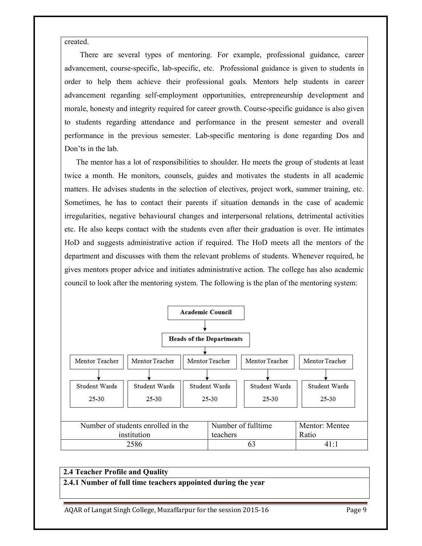created.

 There are several types of mentoring. For example, professional guidance, career advancement, course-specific, lab-specific, etc. Professional guidance is given to students in order to help them achieve their professional goals. Mentors help students in career advancement regarding self-employment opportunities, entrepreneurship development and morale, honesty and integrity required for career growth. Course-specific guidance is also given to students regarding attendance and performance in the present semester and overall performance in the previous semester. Lab-specific mentoring is done regarding Dos and Don'ts in the lab.

 The mentor has a lot of responsibilities to shoulder. He meets the group of students at least twice a month. He monitors, counsels, guides and motivates the students in all academic matters. He advises students in the selection of electives, project work, summer training, etc. Sometimes, he has to contact their parents if situation demands in the case of academic irregularities, negative behavioural changes and interpersonal relations, detrimental activities etc. He also keeps contact with the students even after their graduation is over. He intimates HoD and suggests administrative action if required. The HoD meets all the mentors of the department and discusses with them the relevant problems of students. Whenever required, he gives mentors proper advice and initiates administrative action. The college has also academic council to look after the mentoring system. The following is the plan of the mentoring system:



#### **2.4 Teacher Profile and Quality**

**2.4.1 Number of full time teachers appointed during the year**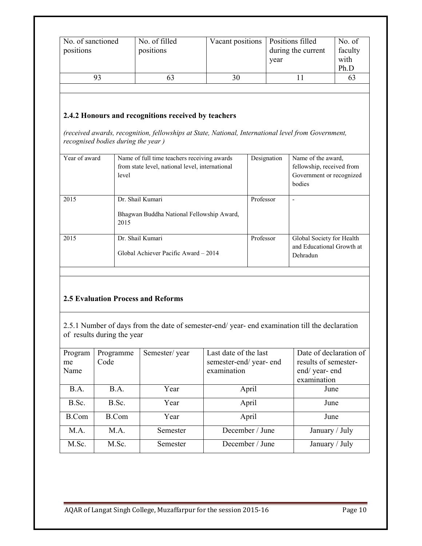| No. of sanctioned<br>positions | No. of filled<br>positions | Vacant positions | Positions filled<br>during the current<br>year | No. of<br>faculty<br>with<br>Ph.D |
|--------------------------------|----------------------------|------------------|------------------------------------------------|-----------------------------------|
|                                |                            |                  |                                                |                                   |

#### **2.4.2 Honours and recognitions received by teachers**

*(received awards, recognition, fellowships at State, National, International level from Government, recognised bodies during the year )* 

| Year of award | Name of full time teachers receiving awards<br>from state level, national level, international<br>level | Designation | Name of the award.<br>fellowship, received from<br>Government or recognized<br>bodies |
|---------------|---------------------------------------------------------------------------------------------------------|-------------|---------------------------------------------------------------------------------------|
| 2015          | Dr. Shail Kumari<br>Bhagwan Buddha National Fellowship Award,<br>2015                                   | Professor   | ٠                                                                                     |
| 2015          | Dr. Shail Kumari<br>Global Achiever Pacific Award – 2014                                                | Professor   | Global Society for Health<br>and Educational Growth at<br>Dehradun                    |

#### **2.5 Evaluation Process and Reforms**

2.5.1 Number of days from the date of semester-end/ year- end examination till the declaration of results during the year

| Program      | Programme | Semester/year | Last date of the last | Date of declaration of |
|--------------|-----------|---------------|-----------------------|------------------------|
| me           | Code      |               | semester-end/year-end | results of semester-   |
| Name         |           |               | examination           | end/year-end           |
|              |           |               |                       | examination            |
| B.A.         | B.A.      | Year          | April                 | June                   |
| B.Sc.        | B.Sc.     | Year          | April                 | June                   |
| <b>B.Com</b> | B.Com     | Year          | April                 | June                   |
| M.A.         | M.A.      | Semester      | December / June       | January / July         |
| M.Sc.        | M.Sc.     | Semester      | December / June       | January / July         |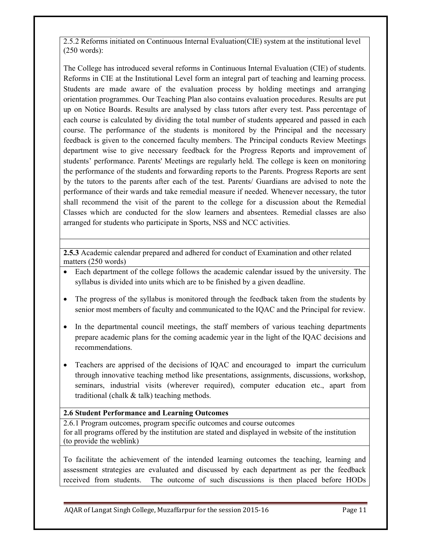2.5.2 Reforms initiated on Continuous Internal Evaluation(CIE) system at the institutional level (250 words):

The College has introduced several reforms in Continuous Internal Evaluation (CIE) of students. Reforms in CIE at the Institutional Level form an integral part of teaching and learning process. Students are made aware of the evaluation process by holding meetings and arranging orientation programmes. Our Teaching Plan also contains evaluation procedures. Results are put up on Notice Boards. Results are analysed by class tutors after every test. Pass percentage of each course is calculated by dividing the total number of students appeared and passed in each course. The performance of the students is monitored by the Principal and the necessary feedback is given to the concerned faculty members. The Principal conducts Review Meetings department wise to give necessary feedback for the Progress Reports and improvement of students' performance. Parents' Meetings are regularly held. The college is keen on monitoring the performance of the students and forwarding reports to the Parents. Progress Reports are sent by the tutors to the parents after each of the test. Parents/ Guardians are advised to note the performance of their wards and take remedial measure if needed. Whenever necessary, the tutor shall recommend the visit of the parent to the college for a discussion about the Remedial Classes which are conducted for the slow learners and absentees. Remedial classes are also arranged for students who participate in Sports, NSS and NCC activities.

**2.5.3** Academic calendar prepared and adhered for conduct of Examination and other related matters (250 words)

- Each department of the college follows the academic calendar issued by the university. The syllabus is divided into units which are to be finished by a given deadline.
- The progress of the syllabus is monitored through the feedback taken from the students by senior most members of faculty and communicated to the IQAC and the Principal for review.
- In the departmental council meetings, the staff members of various teaching departments prepare academic plans for the coming academic year in the light of the IQAC decisions and recommendations.
- Teachers are apprised of the decisions of IOAC and encouraged to impart the curriculum through innovative teaching method like presentations, assignments, discussions, workshop, seminars, industrial visits (wherever required), computer education etc., apart from traditional (chalk & talk) teaching methods.

#### **2.6 Student Performance and Learning Outcomes**

2.6.1 Program outcomes, program specific outcomes and course outcomes for all programs offered by the institution are stated and displayed in website of the institution (to provide the weblink)

To facilitate the achievement of the intended learning outcomes the teaching, learning and assessment strategies are evaluated and discussed by each department as per the feedback received from students. The outcome of such discussions is then placed before HODs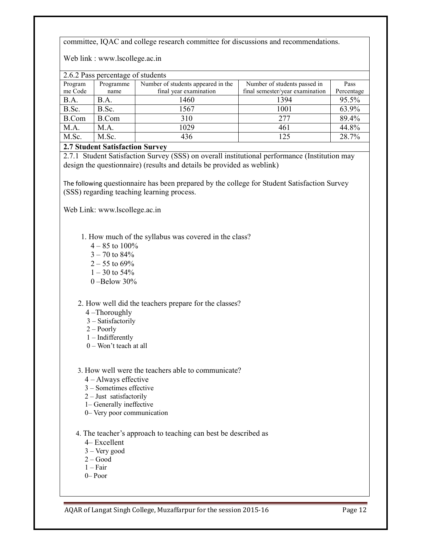committee, IQAC and college research committee for discussions and recommendations.

Web link : www.lscollege.ac.in

| 2.6.2 Pass percentage of students |              |                                    |                                 |            |  |  |  |  |  |
|-----------------------------------|--------------|------------------------------------|---------------------------------|------------|--|--|--|--|--|
| Program                           | Programme    | Number of students appeared in the | Number of students passed in    | Pass       |  |  |  |  |  |
| me Code                           | name         | final year examination             | final semester/year examination | Percentage |  |  |  |  |  |
| B.A.                              | B.A.         | 1460                               | 1394                            | 95.5%      |  |  |  |  |  |
| B.Sc.                             | B.Sc.        | 1567                               | 1001                            | 63.9%      |  |  |  |  |  |
| <b>B.Com</b>                      | <b>B.Com</b> | 310                                | 277                             | 89.4%      |  |  |  |  |  |
| M.A.                              | M.A.         | 1029                               | 461                             | 44.8%      |  |  |  |  |  |
| M.Sc.                             | M.Sc.        | 436                                | 125                             | 28.7%      |  |  |  |  |  |
|                                   |              |                                    |                                 |            |  |  |  |  |  |

#### **2.7 Student Satisfaction Survey**

2.7.1 Student Satisfaction Survey (SSS) on overall institutional performance (Institution may design the questionnaire) (results and details be provided as weblink)

The following questionnaire has been prepared by the college for Student Satisfaction Survey (SSS) regarding teaching learning process.

Web Link: www.lscollege.ac.in

1. How much of the syllabus was covered in the class?

- $4 85$  to  $100\%$  $3 - 70$  to  $84%$
- $2 55$  to 69%
- $1 30$  to 54%
- $0 -$ Below 30%

#### 2. How well did the teachers prepare for the classes?

- 4 –Thoroughly
- 3 Satisfactorily
- 2 Poorly
- 1 Indifferently
- 0 Won't teach at all
- 3. How well were the teachers able to communicate?
	- 4 Always effective
	- 3 Sometimes effective
	- 2 Just satisfactorily
	- 1– Generally ineffective
	- 0– Very poor communication
- 4. The teacher's approach to teaching can best be described as
	- 4– Excellent
	- 3 Very good
	- 2 Good
	- $1 Fair$
	- 0– Poor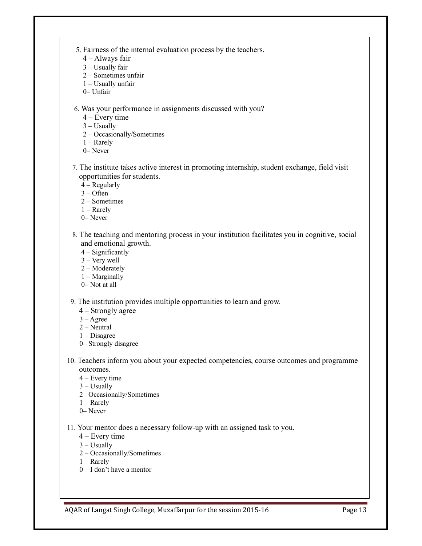- 5. Fairness of the internal evaluation process by the teachers.
	- 4 Always fair
	- 3 Usually fair
	- 2 Sometimes unfair
	- 1 Usually unfair
	- 0– Unfair

6. Was your performance in assignments discussed with you?

4 – Every time

 $3 -$ Usually

- 2 Occasionally/Sometimes
- 1 Rarely
- 0– Never
- 7. The institute takes active interest in promoting internship, student exchange, field visit opportunities for students.
	- 4 Regularly

3 – Often

- 2 Sometimes
- 1 Rarely
- 0– Never
- 8. The teaching and mentoring process in your institution facilitates you in cognitive, social and emotional growth.
	- 4 Significantly
	- 3 Very well
	- 2 Moderately
	- 1 Marginally
	- 0– Not at all

9. The institution provides multiple opportunities to learn and grow.

- 4 Strongly agree
- $3 \text{Agree}$
- 2 Neutral
- 1 Disagree
- 0– Strongly disagree
- 10. Teachers inform you about your expected competencies, course outcomes and programme outcomes.
	- 4 Every time
	- $3 -$ Usually
	- 2– Occasionally/Sometimes
	- 1 Rarely
	- 0– Never
- 11. Your mentor does a necessary follow-up with an assigned task to you.
	- 4 Every time
	- $3 -$ Usually
	- 2 Occasionally/Sometimes
	- 1 Rarely
	- 0 I don't have a mentor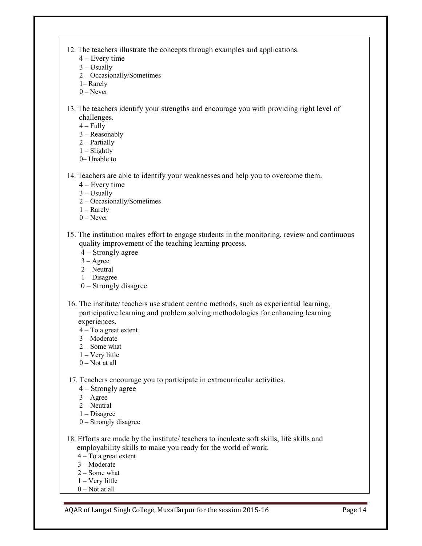12. The teachers illustrate the concepts through examples and applications.

- 4 Every time
- $3 -$ Usually
- 2 Occasionally/Sometimes
- 1– Rarely
- $0$  Never
- 13. The teachers identify your strengths and encourage you with providing right level of challenges.
	- $4 -$ Fully
	- 3 Reasonably
	- 2 Partially
	- $1 -$ Slightly
	- 0– Unable to
- 14. Teachers are able to identify your weaknesses and help you to overcome them.
	- 4 Every time
	- $3 -$ Usually
	- 2 Occasionally/Sometimes
	- 1 Rarely
	- $0$  Never
- 15. The institution makes effort to engage students in the monitoring, review and continuous quality improvement of the teaching learning process.
	- 4 Strongly agree
	- 3 Agree
	- $2 -$ Neutral
	- 1 Disagree
	- 0 Strongly disagree
- 16. The institute/ teachers use student centric methods, such as experiential learning, participative learning and problem solving methodologies for enhancing learning experiences.
	- $4 To a great extent$
	- 3 Moderate
	- 2 Some what
	- 1 Very little
	- $0$  Not at all
- 17. Teachers encourage you to participate in extracurricular activities.
	- 4 Strongly agree
	- $3 \text{Agree}$
	- 2 Neutral
	- 1 Disagree
	- 0 Strongly disagree
- 18. Efforts are made by the institute/ teachers to inculcate soft skills, life skills and employability skills to make you ready for the world of work.
	- 4 To a great extent
	- 3 Moderate
	- 2 Some what
	- 1 Very little
	- $0$  Not at all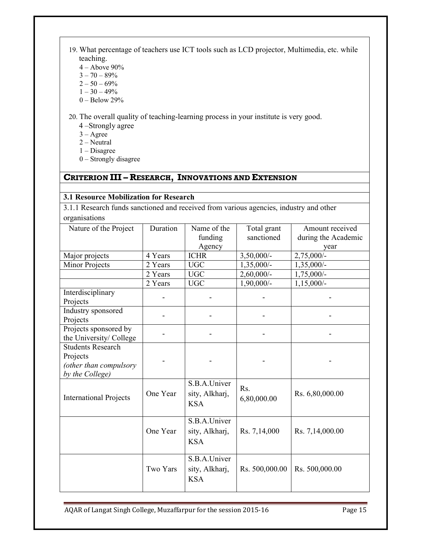- 19. What percentage of teachers use ICT tools such as LCD projector, Multimedia, etc. while teaching.
	- 4 Above 90%
	- $3 70 89%$
	- $2 50 69%$
	- $1 30 49%$
	- 0 Below 29%

20. The overall quality of teaching-learning process in your institute is very good.

- 4 –Strongly agree
- $3 \text{Agree}$
- $2 -$ Neutral
- 1 Disagree
- 0 Strongly disagree

## **CRITERION III – RESEARCH, INNOVATIONS AND EXTENSION**

#### **3.1 Resource Mobilization for Research**

3.1.1 Research funds sanctioned and received from various agencies, industry and other organisations

| Nature of the Project                                                             | Duration | Name of the                                  | Total grant        | Amount received     |
|-----------------------------------------------------------------------------------|----------|----------------------------------------------|--------------------|---------------------|
|                                                                                   |          | funding                                      | sanctioned         | during the Academic |
|                                                                                   |          | Agency                                       |                    | year                |
| Major projects                                                                    | 4 Years  | <b>ICHR</b>                                  | $3,50,000/-$       | $2,75,000/-$        |
| <b>Minor Projects</b>                                                             | 2 Years  | <b>UGC</b>                                   | $1,35,000/-$       | $1,35,000/-$        |
|                                                                                   | 2 Years  | <b>UGC</b>                                   | $2,60,000/$ -      | 1,75,000/-          |
|                                                                                   | 2 Years  | $_{\mathrm UGC}$                             | $1,90,000/-$       | $1,15,000/-$        |
| Interdisciplinary<br>Projects                                                     |          |                                              |                    |                     |
| Industry sponsored<br>Projects                                                    |          |                                              |                    |                     |
| Projects sponsored by<br>the University/ College                                  |          |                                              |                    |                     |
| <b>Students Research</b><br>Projects<br>(other than compulsory<br>by the College) |          |                                              |                    |                     |
| <b>International Projects</b>                                                     | One Year | S.B.A.Univer<br>sity, Alkharj,<br><b>KSA</b> | Rs.<br>6,80,000.00 | Rs. 6,80,000.00     |
|                                                                                   | One Year | S.B.A.Univer<br>sity, Alkharj,<br><b>KSA</b> | Rs. 7,14,000       | Rs. 7,14,000.00     |
|                                                                                   | Two Yars | S.B.A.Univer<br>sity, Alkharj,<br><b>KSA</b> | Rs. 500,000.00     | Rs. 500,000.00      |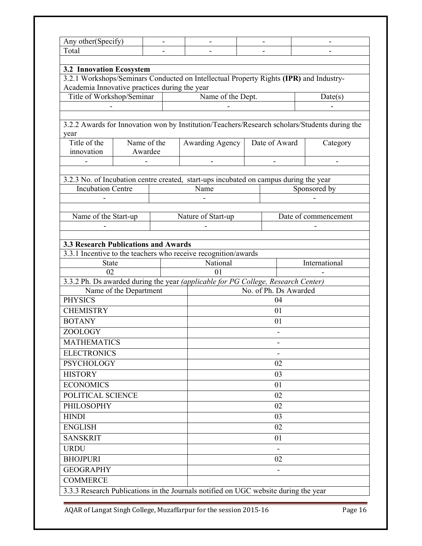| Any other(Specify)                                        |                        |    |                                                                                        |                                                                                                            |                              |                                                                                               |  |  |  |
|-----------------------------------------------------------|------------------------|----|----------------------------------------------------------------------------------------|------------------------------------------------------------------------------------------------------------|------------------------------|-----------------------------------------------------------------------------------------------|--|--|--|
| Total                                                     |                        |    |                                                                                        |                                                                                                            |                              |                                                                                               |  |  |  |
|                                                           |                        |    |                                                                                        |                                                                                                            |                              |                                                                                               |  |  |  |
| <b>3.2 Innovation Ecosystem</b>                           |                        |    |                                                                                        |                                                                                                            |                              |                                                                                               |  |  |  |
|                                                           |                        |    | 3.2.1 Workshops/Seminars Conducted on Intellectual Property Rights (IPR) and Industry- |                                                                                                            |                              |                                                                                               |  |  |  |
| Academia Innovative practices during the year             |                        |    |                                                                                        |                                                                                                            |                              |                                                                                               |  |  |  |
| Name of the Dept.<br>Title of Workshop/Seminar<br>Date(s) |                        |    |                                                                                        |                                                                                                            |                              |                                                                                               |  |  |  |
|                                                           |                        |    |                                                                                        |                                                                                                            |                              |                                                                                               |  |  |  |
|                                                           |                        |    |                                                                                        |                                                                                                            |                              |                                                                                               |  |  |  |
| year                                                      |                        |    |                                                                                        |                                                                                                            |                              | 3.2.2 Awards for Innovation won by Institution/Teachers/Research scholars/Students during the |  |  |  |
| Title of the                                              | Name of the            |    | Awarding Agency   Date of Award                                                        |                                                                                                            |                              | Category                                                                                      |  |  |  |
| innovation                                                | Awardee                |    |                                                                                        |                                                                                                            |                              |                                                                                               |  |  |  |
|                                                           |                        |    |                                                                                        |                                                                                                            |                              |                                                                                               |  |  |  |
|                                                           |                        |    |                                                                                        |                                                                                                            |                              |                                                                                               |  |  |  |
|                                                           |                        |    | 3.2.3 No. of Incubation centre created, start-ups incubated on campus during the year  |                                                                                                            |                              |                                                                                               |  |  |  |
| <b>Incubation Centre</b>                                  |                        |    | Name                                                                                   |                                                                                                            |                              | Sponsored by                                                                                  |  |  |  |
|                                                           |                        |    |                                                                                        |                                                                                                            |                              |                                                                                               |  |  |  |
|                                                           |                        |    |                                                                                        |                                                                                                            |                              |                                                                                               |  |  |  |
| Name of the Start-up                                      |                        |    | Nature of Start-up                                                                     |                                                                                                            |                              | Date of commencement                                                                          |  |  |  |
|                                                           |                        |    |                                                                                        |                                                                                                            |                              |                                                                                               |  |  |  |
|                                                           |                        |    |                                                                                        |                                                                                                            |                              |                                                                                               |  |  |  |
| <b>3.3 Research Publications and Awards</b>               |                        |    |                                                                                        |                                                                                                            |                              |                                                                                               |  |  |  |
| <b>State</b>                                              |                        |    | 3.3.1 Incentive to the teachers who receive recognition/awards<br>National             |                                                                                                            |                              | International                                                                                 |  |  |  |
| 02                                                        |                        |    | $\Omega$                                                                               |                                                                                                            |                              |                                                                                               |  |  |  |
|                                                           |                        |    |                                                                                        |                                                                                                            |                              |                                                                                               |  |  |  |
|                                                           | Name of the Department |    |                                                                                        | 3.3.2 Ph. Ds awarded during the year (applicable for PG College, Research Center)<br>No. of Ph. Ds Awarded |                              |                                                                                               |  |  |  |
| <b>PHYSICS</b>                                            |                        |    |                                                                                        | 04                                                                                                         |                              |                                                                                               |  |  |  |
| <b>CHEMISTRY</b>                                          |                        |    | 01                                                                                     |                                                                                                            |                              |                                                                                               |  |  |  |
| <b>BOTANY</b>                                             |                        |    | 01                                                                                     |                                                                                                            |                              |                                                                                               |  |  |  |
| ZOOLOGY                                                   |                        |    |                                                                                        |                                                                                                            |                              |                                                                                               |  |  |  |
| <b>MATHEMATICS</b>                                        |                        |    |                                                                                        |                                                                                                            | $\qquad \qquad \blacksquare$ |                                                                                               |  |  |  |
| <b>ELECTRONICS</b>                                        |                        |    |                                                                                        |                                                                                                            |                              |                                                                                               |  |  |  |
| <b>PSYCHOLOGY</b>                                         |                        |    |                                                                                        |                                                                                                            | 02                           |                                                                                               |  |  |  |
| <b>HISTORY</b>                                            |                        |    |                                                                                        |                                                                                                            | 03                           |                                                                                               |  |  |  |
| <b>ECONOMICS</b>                                          |                        |    |                                                                                        |                                                                                                            |                              |                                                                                               |  |  |  |
|                                                           |                        |    |                                                                                        |                                                                                                            | 01                           |                                                                                               |  |  |  |
| POLITICAL SCIENCE                                         |                        |    |                                                                                        |                                                                                                            | 02                           |                                                                                               |  |  |  |
| PHILOSOPHY                                                |                        |    |                                                                                        |                                                                                                            | 02                           |                                                                                               |  |  |  |
| <b>HINDI</b>                                              |                        | 03 |                                                                                        |                                                                                                            |                              |                                                                                               |  |  |  |
| <b>ENGLISH</b>                                            |                        |    |                                                                                        | 02                                                                                                         |                              |                                                                                               |  |  |  |
| <b>SANSKRIT</b>                                           |                        |    | 01                                                                                     |                                                                                                            |                              |                                                                                               |  |  |  |
| <b>URDU</b>                                               |                        |    |                                                                                        |                                                                                                            |                              |                                                                                               |  |  |  |
| <b>BHOJPURI</b>                                           | 02                     |    |                                                                                        |                                                                                                            |                              |                                                                                               |  |  |  |
| <b>GEOGRAPHY</b>                                          |                        |    |                                                                                        |                                                                                                            |                              |                                                                                               |  |  |  |
| <b>COMMERCE</b>                                           |                        |    |                                                                                        |                                                                                                            |                              |                                                                                               |  |  |  |
|                                                           |                        |    | 3.3.3 Research Publications in the Journals notified on UGC website during the year    |                                                                                                            |                              |                                                                                               |  |  |  |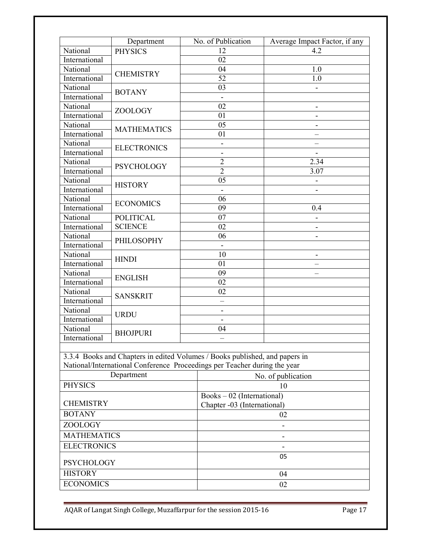|                    | Department         | No. of Publication                                                          | Average Impact Factor, if any |  |  |  |  |
|--------------------|--------------------|-----------------------------------------------------------------------------|-------------------------------|--|--|--|--|
| National           | <b>PHYSICS</b>     | 12                                                                          | 4.2                           |  |  |  |  |
| International      |                    | 02                                                                          |                               |  |  |  |  |
| National           |                    | 04                                                                          | 1.0                           |  |  |  |  |
| International      | <b>CHEMISTRY</b>   | $\overline{52}$                                                             | 1.0                           |  |  |  |  |
| National           |                    | 03                                                                          |                               |  |  |  |  |
| International      | <b>BOTANY</b>      |                                                                             |                               |  |  |  |  |
| National           |                    | 02                                                                          |                               |  |  |  |  |
| International      | ZOOLOGY            | 01                                                                          |                               |  |  |  |  |
| National           |                    | 05                                                                          |                               |  |  |  |  |
| International      | <b>MATHEMATICS</b> | 01                                                                          |                               |  |  |  |  |
| National           | <b>ELECTRONICS</b> | -                                                                           |                               |  |  |  |  |
| International      |                    | -                                                                           |                               |  |  |  |  |
| National           | <b>PSYCHOLOGY</b>  | $\overline{2}$                                                              | 2.34                          |  |  |  |  |
| International      |                    | $\overline{2}$                                                              | 3.07                          |  |  |  |  |
| National           | <b>HISTORY</b>     | 05                                                                          |                               |  |  |  |  |
| International      |                    |                                                                             |                               |  |  |  |  |
| National           | <b>ECONOMICS</b>   | 06                                                                          |                               |  |  |  |  |
| International      |                    | 09                                                                          | 0.4                           |  |  |  |  |
| National           | <b>POLITICAL</b>   | $\overline{07}$                                                             |                               |  |  |  |  |
| International      | <b>SCIENCE</b>     | 02                                                                          |                               |  |  |  |  |
| National           | PHILOSOPHY         | 06                                                                          |                               |  |  |  |  |
| International      |                    |                                                                             |                               |  |  |  |  |
| National           | <b>HINDI</b>       | 10                                                                          |                               |  |  |  |  |
| International      |                    | 01                                                                          |                               |  |  |  |  |
| National           | <b>ENGLISH</b>     | $\overline{09}$                                                             |                               |  |  |  |  |
| International      |                    | 02                                                                          |                               |  |  |  |  |
| National           | <b>SANSKRIT</b>    | 02                                                                          |                               |  |  |  |  |
| International      |                    |                                                                             |                               |  |  |  |  |
| National           | <b>URDU</b>        | -                                                                           |                               |  |  |  |  |
| International      |                    |                                                                             |                               |  |  |  |  |
| National           | <b>BHOJPURI</b>    | 04                                                                          |                               |  |  |  |  |
| International      |                    |                                                                             |                               |  |  |  |  |
|                    |                    |                                                                             |                               |  |  |  |  |
|                    |                    | 3.3.4 Books and Chapters in edited Volumes / Books published, and papers in |                               |  |  |  |  |
|                    |                    | National/International Conference Proceedings per Teacher during the year   |                               |  |  |  |  |
|                    | Department         |                                                                             | No. of publication            |  |  |  |  |
| <b>PHYSICS</b>     |                    |                                                                             | 10                            |  |  |  |  |
| <b>CHEMISTRY</b>   |                    | $Books - 02$ (International)                                                |                               |  |  |  |  |
| <b>BOTANY</b>      |                    | Chapter -03 (International)                                                 | 02                            |  |  |  |  |
| <b>ZOOLOGY</b>     |                    |                                                                             |                               |  |  |  |  |
| <b>MATHEMATICS</b> |                    |                                                                             |                               |  |  |  |  |
|                    |                    |                                                                             |                               |  |  |  |  |
| <b>ELECTRONICS</b> |                    |                                                                             |                               |  |  |  |  |
| <b>PSYCHOLOGY</b>  |                    |                                                                             | 05                            |  |  |  |  |
| <b>HISTORY</b>     |                    |                                                                             | 04                            |  |  |  |  |
| <b>ECONOMICS</b>   |                    |                                                                             | 02                            |  |  |  |  |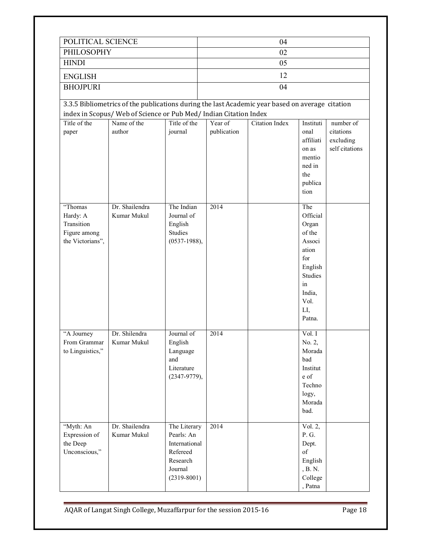| POLITICAL SCIENCE                                                     |                                                                                                 |                                                                                                   |             | 04                    |                                                                                                                             |                                          |  |  |
|-----------------------------------------------------------------------|-------------------------------------------------------------------------------------------------|---------------------------------------------------------------------------------------------------|-------------|-----------------------|-----------------------------------------------------------------------------------------------------------------------------|------------------------------------------|--|--|
| PHILOSOPHY                                                            |                                                                                                 |                                                                                                   | 02          |                       |                                                                                                                             |                                          |  |  |
| <b>HINDI</b>                                                          |                                                                                                 |                                                                                                   |             | 05                    |                                                                                                                             |                                          |  |  |
| <b>ENGLISH</b>                                                        |                                                                                                 |                                                                                                   |             | 12                    |                                                                                                                             |                                          |  |  |
| <b>BHOJPURI</b>                                                       |                                                                                                 |                                                                                                   |             | 04                    |                                                                                                                             |                                          |  |  |
|                                                                       | 3.3.5 Bibliometrics of the publications during the last Academic year based on average citation |                                                                                                   |             |                       |                                                                                                                             |                                          |  |  |
|                                                                       | index in Scopus/Web of Science or Pub Med/Indian Citation Index                                 |                                                                                                   |             |                       |                                                                                                                             |                                          |  |  |
| Title of the                                                          | Name of the                                                                                     | Title of the                                                                                      | Year of     | <b>Citation Index</b> | Instituti                                                                                                                   | number of                                |  |  |
| paper                                                                 | author                                                                                          | journal                                                                                           | publication |                       | onal<br>affiliati<br>on as<br>mentio<br>ned in<br>the<br>publica<br>tion                                                    | citations<br>excluding<br>self citations |  |  |
| "Thomas<br>Hardy: A<br>Transition<br>Figure among<br>the Victorians", | Dr. Shailendra<br>Kumar Mukul                                                                   | The Indian<br>Journal of<br>English<br>Studies<br>$(0537 - 1988),$                                | 2014        |                       | The<br>Official<br>Organ<br>of the<br>Associ<br>ation<br>for<br>English<br>Studies<br>in<br>India,<br>Vol.<br>LI,<br>Patna. |                                          |  |  |
| "A Journey<br>From Grammar<br>to Linguistics,"                        | Dr. Shilendra<br>Kumar Mukul                                                                    | Journal of<br>English<br>Language<br>and<br>Literature<br>$(2347-9779),$                          | 2014        |                       | Vol. I<br>No. 2,<br>Morada<br>bad<br>Institut<br>e of<br>Techno<br>logy,<br>Morada<br>bad.                                  |                                          |  |  |
| "Myth: An<br>Expression of<br>the Deep<br>Unconscious,"               | Dr. Shailendra<br>Kumar Mukul                                                                   | The Literary<br>Pearls: An<br>International<br>Refereed<br>Research<br>Journal<br>$(2319 - 8001)$ | 2014        |                       | Vol. $2,$<br>P. G.<br>Dept.<br>of<br>English<br>, B. N.<br>College<br>, Patna                                               |                                          |  |  |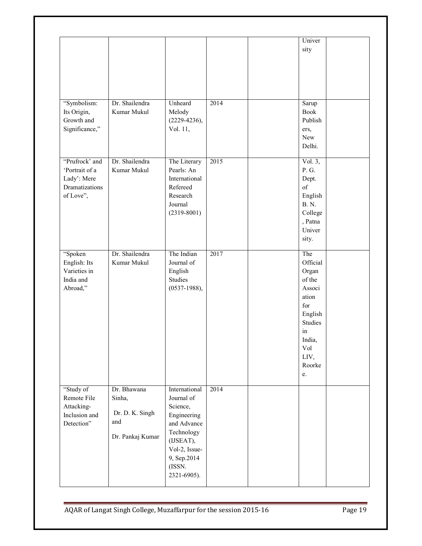|                                                                                |                                                                     |                                                                                                                                                           |      | Univer<br>sity                                                                                                                    |  |
|--------------------------------------------------------------------------------|---------------------------------------------------------------------|-----------------------------------------------------------------------------------------------------------------------------------------------------------|------|-----------------------------------------------------------------------------------------------------------------------------------|--|
| "Symbolism:<br>Its Origin,<br>Growth and<br>Significance,"                     | Dr. Shailendra<br>Kumar Mukul                                       | Unheard<br>Melody<br>$(2229-4236),$<br>Vol. 11,                                                                                                           | 2014 | Sarup<br><b>Book</b><br>Publish<br>ers,<br>New<br>Delhi.                                                                          |  |
| "Prufrock' and<br>'Portrait of a<br>Lady': Mere<br>Dramatizations<br>of Love", | Dr. Shailendra<br>Kumar Mukul                                       | The Literary<br>Pearls: An<br>International<br>Refereed<br>Research<br>Journal<br>$(2319 - 8001)$                                                         | 2015 | Vol. $3,$<br>P. G.<br>Dept.<br>of<br>English<br><b>B. N.</b><br>College<br>, Patna<br>Univer<br>sity.                             |  |
| "Spoken<br>English: Its<br>Varieties in<br>India and<br>Abroad,"               | Dr. Shailendra<br>Kumar Mukul                                       | The Indian<br>Journal of<br>English<br>Studies<br>$(0537-1988),$                                                                                          | 2017 | The<br>Official<br>Organ<br>of the<br>Associ<br>ation<br>for<br>English<br>Studies<br>in<br>India,<br>Vol<br>LIV,<br>Roorke<br>e. |  |
| "Study of<br>Remote File<br>Attacking-<br>Inclusion and<br>Detection"          | Dr. Bhawana<br>Sinha,<br>Dr. D. K. Singh<br>and<br>Dr. Pankaj Kumar | International<br>Journal of<br>Science,<br>Engineering<br>and Advance<br>Technology<br>(IJSEAT),<br>Vol-2, Issue-<br>9, Sep.2014<br>(ISSN.<br>2321-6905). | 2014 |                                                                                                                                   |  |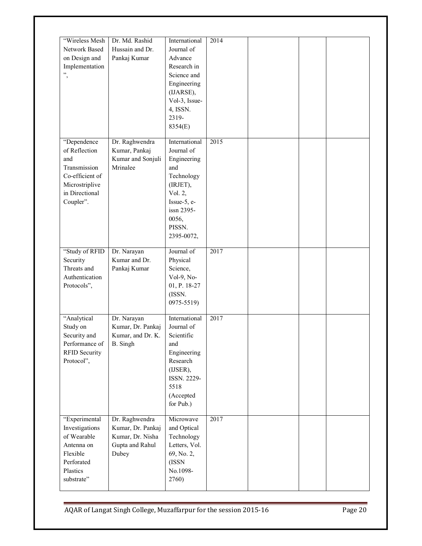| "Wireless Mesh<br>Network Based<br>on Design and<br>Implementation<br>",                                                | Dr. Md. Rashid<br>Hussain and Dr.<br>Pankaj Kumar                                   | International<br>Journal of<br>Advance<br>Research in<br>Science and<br>Engineering<br>(IJARSE),<br>Vol-3, Issue-<br>4, ISSN.<br>2319-<br>8354(E)    | 2014 |  |  |
|-------------------------------------------------------------------------------------------------------------------------|-------------------------------------------------------------------------------------|------------------------------------------------------------------------------------------------------------------------------------------------------|------|--|--|
| "Dependence<br>of Reflection<br>and<br>Transmission<br>Co-efficient of<br>Microstriplive<br>in Directional<br>Coupler". | Dr. Raghwendra<br>Kumar, Pankaj<br>Kumar and Sonjuli<br>Mrinalee                    | International<br>Journal of<br>Engineering<br>and<br>Technology<br>(IRJET),<br>Vol. 2,<br>Issue-5, e-<br>issn 2395-<br>0056,<br>PISSN.<br>2395-0072, | 2015 |  |  |
| "Study of RFID"<br>Security<br>Threats and<br>Authentication<br>Protocols",                                             | Dr. Narayan<br>Kumar and Dr.<br>Pankaj Kumar                                        | Journal of<br>Physical<br>Science,<br>$Vol-9$ , No-<br>01, P. 18-27<br>(ISSN.<br>0975-5519)                                                          | 2017 |  |  |
| "Analytical<br>Study on<br>Security and<br>Performance of<br><b>RFID Security</b><br>Protocol",                         | Dr. Narayan<br>Kumar, Dr. Pankaj<br>Kumar, and Dr. K.<br>B. Singh                   | International<br>Journal of<br>Scientific<br>and<br>Engineering<br>Research<br>(IJSER),<br>ISSN. 2229-<br>5518<br>(Accepted<br>for Pub.)             | 2017 |  |  |
| "Experimental<br>Investigations<br>of Wearable<br>Antenna on<br>Flexible<br>Perforated<br>Plastics<br>substrate"        | Dr. Raghwendra<br>Kumar, Dr. Pankaj<br>Kumar, Dr. Nisha<br>Gupta and Rahul<br>Dubey | Microwave<br>and Optical<br>Technology<br>Letters, Vol.<br>69, No. 2,<br>(ISSN<br>No.1098-<br>2760)                                                  | 2017 |  |  |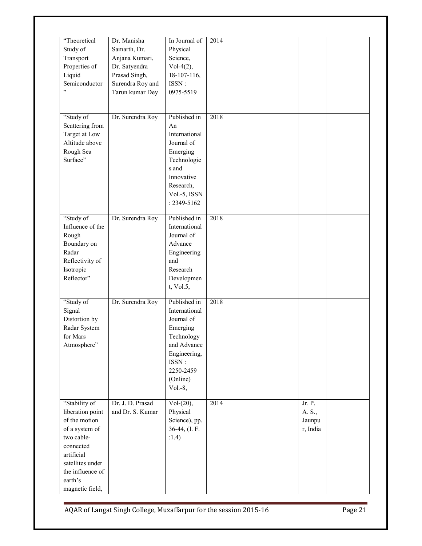| "Theoretical<br>Study of<br>Transport<br>Properties of<br>Liquid<br>Semiconductor<br>,                                                                                              | Dr. Manisha<br>Samarth, Dr.<br>Anjana Kumari,<br>Dr. Satyendra<br>Prasad Singh,<br>Surendra Roy and<br>Tarun kumar Dey | In Journal of<br>Physical<br>Science,<br>$Vol-4(2),$<br>18-107-116,<br>ISSN:<br>0975-5519                                                           | 2014 |                                        |  |
|-------------------------------------------------------------------------------------------------------------------------------------------------------------------------------------|------------------------------------------------------------------------------------------------------------------------|-----------------------------------------------------------------------------------------------------------------------------------------------------|------|----------------------------------------|--|
| "Study of<br>Scattering from<br>Target at Low<br>Altitude above<br>Rough Sea<br>Surface"                                                                                            | Dr. Surendra Roy                                                                                                       | Published in<br>An<br>International<br>Journal of<br>Emerging<br>Technologie<br>s and<br>Innovative<br>Research,<br>Vol.-5, ISSN<br>: 2349-5162     | 2018 |                                        |  |
| "Study of<br>Influence of the<br>Rough<br>Boundary on<br>Radar<br>Reflectivity of<br>Isotropic<br>Reflector"                                                                        | Dr. Surendra Roy                                                                                                       | Published in<br>International<br>Journal of<br>Advance<br>Engineering<br>and<br>Research<br>Developmen<br>t, Vol.5,                                 | 2018 |                                        |  |
| "Study of<br>Signal<br>Distortion by<br>Radar System<br>for Mars<br>Atmosphere"                                                                                                     | Dr. Surendra Roy                                                                                                       | Published in<br>International<br>Journal of<br>Emerging<br>Technology<br>and Advance<br>Engineering,<br>ISSN:<br>2250-2459<br>(Online)<br>$Vol.-8,$ | 2018 |                                        |  |
| "Stability of<br>liberation point<br>of the motion<br>of a system of<br>two cable-<br>connected<br>artificial<br>satellites under<br>the influence of<br>earth's<br>magnetic field, | Dr. J. D. Prasad<br>and Dr. S. Kumar                                                                                   | $Vol-(20),$<br>Physical<br>Science), pp.<br>36-44, (I. F.<br>:1.4)                                                                                  | 2014 | Jr. P.<br>A. S.,<br>Jaunpu<br>r, India |  |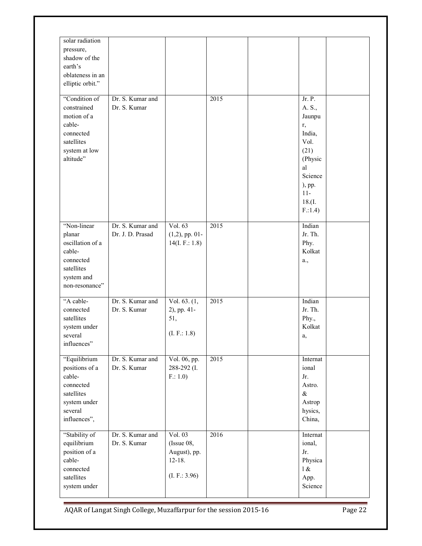| solar radiation<br>pressure,<br>shadow of the<br>earth's<br>oblateness in an<br>elliptic orbit."<br>"Condition of<br>constrained<br>motion of a<br>cable-<br>connected<br>satellites<br>system at low<br>altitude" | Dr. S. Kumar and<br>Dr. S. Kumar     |                                                                      | 2015 | Jr. P.<br>A. S.,<br>Jaunpu<br>r,<br>India,<br>Vol.<br>(21)<br>(Physic<br>al<br>Science<br>), pp.<br>$11 -$<br>18.(I.<br>F:1.4 |  |
|--------------------------------------------------------------------------------------------------------------------------------------------------------------------------------------------------------------------|--------------------------------------|----------------------------------------------------------------------|------|-------------------------------------------------------------------------------------------------------------------------------|--|
| "Non-linear<br>planar<br>oscillation of a<br>cable-<br>connected<br>satellites<br>system and<br>non-resonance"                                                                                                     | Dr. S. Kumar and<br>Dr. J. D. Prasad | Vol. 63<br>$(1,2)$ , pp. 01-<br>14(I. F.: 1.8)                       | 2015 | Indian<br>Jr. Th.<br>Phy.<br>Kolkat<br>a.,                                                                                    |  |
| "A cable-<br>connected<br>satellites<br>system under<br>several<br>influences"                                                                                                                                     | Dr. S. Kumar and<br>Dr. S. Kumar     | $\overline{\text{Vol. 63.}}(1,$<br>2), pp. 41-<br>51,<br>(L F.: 1.8) | 2015 | Indian<br>Jr. Th.<br>Phy.,<br>Kolkat<br>a,                                                                                    |  |
| "Equilibrium<br>positions of a<br>cable-<br>connected<br>satellites<br>system under<br>several<br>influences",                                                                                                     | Dr. S. Kumar and<br>Dr. S. Kumar     | Vol. 06, pp.<br>288-292 (I.<br>F: 1.0                                | 2015 | Internat<br>ional<br>Jr.<br>Astro.<br>$\&$<br>Astrop<br>hysics,<br>China,                                                     |  |
| "Stability of<br>equilibrium<br>position of a<br>cable-<br>connected<br>satellites<br>system under                                                                                                                 | Dr. S. Kumar and<br>Dr. S. Kumar     | Vol. 03<br>(Is sue 08,<br>August), pp.<br>$12 - 18.$<br>(L F.: 3.96) | 2016 | Internat<br>ional,<br>Jr.<br>Physica<br>1 &<br>App.<br>Science                                                                |  |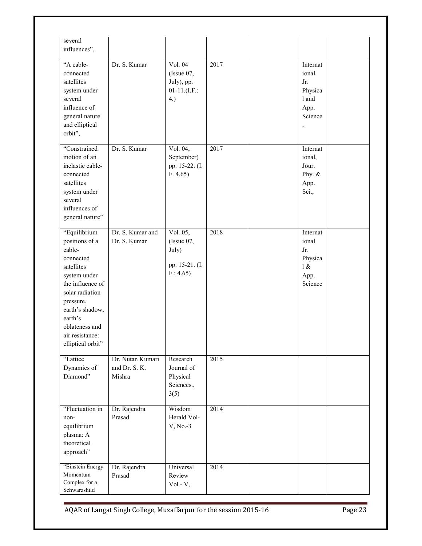| several<br>influences",                                                                                                                                                                                                         |                                             |                                                                 |      |                                                                         |  |
|---------------------------------------------------------------------------------------------------------------------------------------------------------------------------------------------------------------------------------|---------------------------------------------|-----------------------------------------------------------------|------|-------------------------------------------------------------------------|--|
| "A cable-<br>connected<br>satellites<br>system under<br>several<br>influence of<br>general nature<br>and elliptical<br>orbit",                                                                                                  | Dr. S. Kumar                                | Vol. 04<br>(Issue $07$ ,<br>July), pp.<br>$01-11.(I.F.:$<br>4.) | 2017 | Internat<br>ional<br>Jr.<br>Physica<br>1 and<br>App.<br>Science<br>$\,$ |  |
| "Constrained<br>motion of an<br>inelastic cable-<br>connected<br>satellites<br>system under<br>several<br>influences of<br>general nature"                                                                                      | Dr. S. Kumar                                | Vol. 04,<br>September)<br>pp. 15-22. (I.<br>F. 4.65             | 2017 | Internat<br>ional,<br>Jour.<br>Phy. $&$<br>App.<br>Sci.,                |  |
| "Equilibrium<br>positions of a<br>cable-<br>connected<br>satellites<br>system under<br>the influence of<br>solar radiation<br>pressure,<br>earth's shadow,<br>earth's<br>oblateness and<br>air resistance:<br>elliptical orbit" | Dr. S. Kumar and<br>Dr. S. Kumar            | Vol. 05,<br>(Is sue 07,<br>July)<br>pp. 15-21. (I.<br>F: 4.65   | 2018 | Internat<br>ional<br>Jr.<br>Physica<br>1 &<br>App.<br>Science           |  |
| "Lattice<br>Dynamics of<br>Diamond"                                                                                                                                                                                             | Dr. Nutan Kumari<br>and Dr. S. K.<br>Mishra | Research<br>Journal of<br>Physical<br>Sciences.,<br>3(5)        | 2015 |                                                                         |  |
| "Fluctuation in<br>non-<br>equilibrium<br>plasma: A<br>theoretical<br>approach"                                                                                                                                                 | Dr. Rajendra<br>Prasad                      | Wisdom<br>Herald Vol-<br>V, No.-3                               | 2014 |                                                                         |  |
| "Einstein Energy<br>Momentum<br>Complex for a<br>Schwarzshild                                                                                                                                                                   | Dr. Rajendra<br>Prasad                      | Universal<br>Review<br>Vol.-V,                                  | 2014 |                                                                         |  |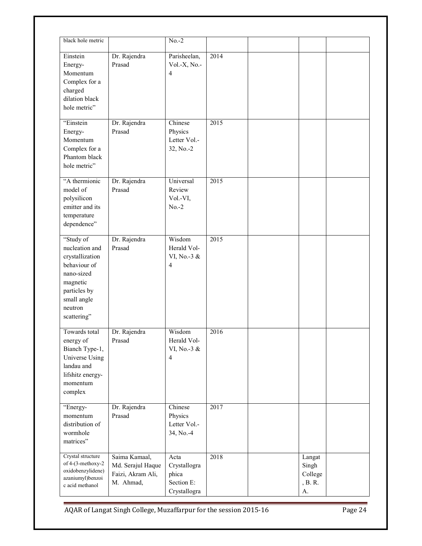| black hole metric                                                                                                                                 |                                                                      | $No.-2$                                                     |                   |                                             |  |
|---------------------------------------------------------------------------------------------------------------------------------------------------|----------------------------------------------------------------------|-------------------------------------------------------------|-------------------|---------------------------------------------|--|
| Einstein<br>Energy-<br>Momentum<br>Complex for a<br>charged<br>dilation black<br>hole metric"                                                     | Dr. Rajendra<br>Prasad                                               | Parisheelan,<br>$Vol.-X, No.-$<br>$\overline{4}$            | 2014              |                                             |  |
| "Einstein<br>Energy-<br>Momentum<br>Complex for a<br>Phantom black<br>hole metric"                                                                | Dr. Rajendra<br>Prasad                                               | Chinese<br>Physics<br>Letter Vol.-<br>32, No.-2             | 2015              |                                             |  |
| "A thermionic<br>model of<br>polysilicon<br>emitter and its<br>temperature<br>dependence"                                                         | Dr. Rajendra<br>Prasad                                               | Universal<br>Review<br>Vol.-VI,<br>$No.-2$                  | 2015              |                                             |  |
| "Study of<br>nucleation and<br>crystallization<br>behaviour of<br>nano-sized<br>magnetic<br>particles by<br>small angle<br>neutron<br>scattering" | Dr. Rajendra<br>Prasad                                               | Wisdom<br>Herald Vol-<br>VI, No.-3 &<br>$\overline{4}$      | $\overline{2015}$ |                                             |  |
| Towards total<br>energy of<br>Bianch Type-1,<br>Universe Using<br>landau and<br>lifshitz energy-<br>momentum<br>complex                           | Dr. Rajendra<br>Prasad                                               | Wisdom<br>Herald Vol-<br>VI, No.-3 &<br>$\overline{4}$      | 2016              |                                             |  |
| "Energy-<br>momentum<br>distribution of<br>wormhole<br>matrices"                                                                                  | Dr. Rajendra<br>Prasad                                               | Chinese<br>Physics<br>Letter Vol.-<br>34, No.-4             | 2017              |                                             |  |
| Crystal structure<br>of 4-(3-methoxy-2<br>oxidobenzylidene)<br>azaniumyl)benzoi<br>c acid methanol                                                | Saima Kamaal,<br>Md. Serajul Haque<br>Faizi, Akram Ali,<br>M. Ahmad, | Acta<br>Crystallogra<br>phica<br>Section E:<br>Crystallogra | 2018              | Langat<br>Singh<br>College<br>, B. R.<br>A. |  |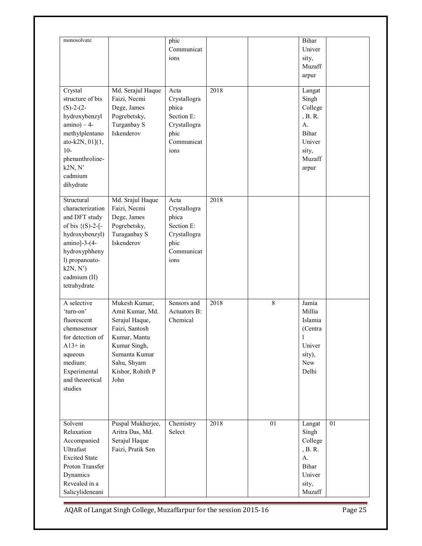| monosolvate                                                                                                                                                                                   |                                                                                                                                                                  | phic<br>Communicat<br>ions                                                                |      |    | Bihar<br>Univer<br>sity,<br>Muzaff<br>arpur                                                |    |
|-----------------------------------------------------------------------------------------------------------------------------------------------------------------------------------------------|------------------------------------------------------------------------------------------------------------------------------------------------------------------|-------------------------------------------------------------------------------------------|------|----|--------------------------------------------------------------------------------------------|----|
| Crystal<br>structure of bis<br>$(S)-2-(2-$<br>hydroxybenzyl<br>$amino$ ) - 4-<br>methylplentano<br>ato-k2N, $01$ ] $(1,$<br>$10-$<br>phenanthroline-<br>k2N, N'<br>cadmium<br>dihydrate       | Md. Serajul Haque<br>Faizi, Necmi<br>Dege, James<br>Pogrebetsky,<br>Turganbay S<br>Iskenderov                                                                    | Acta<br>Crystallogra<br>phica<br>Section E:<br>Crystallogra<br>phic<br>Communicat<br>ions | 2018 |    | Langat<br>Singh<br>College<br>, B. R.<br>A.<br>Bihar<br>Univer<br>sity,<br>Muzaff<br>arpur |    |
| Structural<br>characterization<br>and DFT study<br>of bis $\{(S)-2-[$ -<br>hydroxybenzyl)<br>$amino$ ]-3- $(4-$<br>hydroxyphheny<br>l) propanoato-<br>k2N, N'<br>cadmium (II)<br>tetrahydrate | Md. Srajul Haque<br>Faizi, Necmi<br>Dege, James<br>Pogrebetsky,<br>Turaganbay S<br>Iskenderov                                                                    | Acta<br>Crystallogra<br>phica<br>Section E:<br>Crystallogra<br>phic<br>Communicat<br>ions | 2018 |    |                                                                                            |    |
| A selective<br>'turn-on'<br>fluorescent<br>chemosensor<br>for detection of<br>$A13+$ in<br>aqueous<br>medium:<br>Experimental<br>and theoretical<br>studies                                   | Mukesh Kumar,<br>Amit Kumar, Md.<br>Serajul Haque,<br>Faizi, Santosh<br>Kumar, Mantu<br>Kumar Singh,<br>Sumanta Kumar<br>Sahu, Shyam<br>Kishor, Rohith P<br>John | Sensors and<br>Actuators B:<br>Chemical                                                   | 2018 | 8  | Jamia<br>Millia<br>Islamia<br>(Centra<br>I<br>Univer<br>sity),<br>New<br>Delhi             |    |
| Solvent<br>Relaxation<br>Accompanied<br>Ultrafast<br><b>Excited State</b><br>Proton Transfer<br>Dynamics<br>Revealed in a<br>Salicylideneani                                                  | Puspal Mukherjee,<br>Aritra Das, Md.<br>Serajul Haque<br>Faizi, Pratik Sen                                                                                       | Chemistry<br>Select                                                                       | 2018 | 01 | Langat<br>Singh<br>College<br>, B. R.<br>A.<br>Bihar<br>Univer<br>sity,<br>Muzaff          | 01 |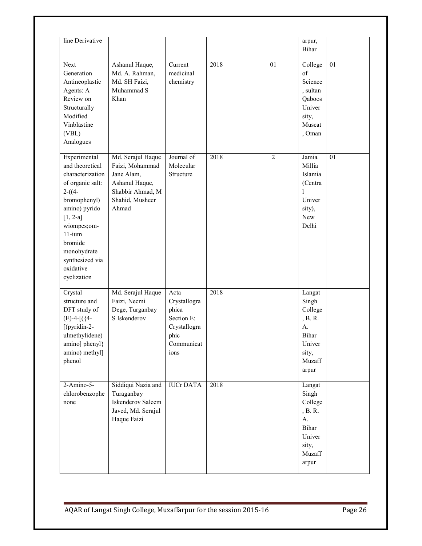| line Derivative                                                                                                                                                                                                                        |                                                                                                                      |                                                                                           |      |                | arpur,<br>Bihar                                                                                        |    |
|----------------------------------------------------------------------------------------------------------------------------------------------------------------------------------------------------------------------------------------|----------------------------------------------------------------------------------------------------------------------|-------------------------------------------------------------------------------------------|------|----------------|--------------------------------------------------------------------------------------------------------|----|
| Next<br>Generation<br>Antineoplastic<br>Agents: A<br>Review on<br>Structurally<br>Modified<br>Vinblastine<br>(VBL)<br>Analogues                                                                                                        | Ashanul Haque,<br>Md. A. Rahman,<br>Md. SH Faizi,<br>Muhammad S<br>Khan                                              | Current<br>medicinal<br>chemistry                                                         | 2018 | 01             | College<br>of<br>Science<br>, sultan<br>Qaboos<br>Univer<br>sity,<br>Muscat<br>, Oman                  | 01 |
| Experimental<br>and theoretical<br>characterization<br>of organic salt:<br>$2-(4-$<br>bromophenyl)<br>amino) pyrido<br>$[1, 2-a]$<br>wiompcs;om-<br>$11-i$ um<br>bromide<br>monohydrate<br>synthesized via<br>oxidative<br>cyclization | Md. Serajul Haque<br>Faizi, Mohammad<br>Jane Alam,<br>Ashanul Haque,<br>Shabbir Ahmad, M<br>Shahid, Musheer<br>Ahmad | Journal of<br>Molecular<br>Structure                                                      | 2018 | $\overline{2}$ | Jamia<br>Millia<br>Islamia<br>(Centra<br>1<br>Univer<br>sity),<br>New<br>Delhi                         | 01 |
| Crystal<br>structure and<br>DFT study of<br>$(E)$ -4- $[(4-$<br>[(pyridin-2-<br>ulmethylidene)<br>amino] phenyl}<br>amino) methyl]<br>phenol                                                                                           | Md. Serajul Haque<br>Faizi, Necmi<br>Dege, Turganbay<br>S Iskenderov                                                 | Acta<br>Crystallogra<br>phica<br>Section E:<br>Crystallogra<br>phic<br>Communicat<br>ions | 2018 |                | Langat<br>Singh<br>College<br>, B. R.<br>A <sub>1</sub><br>Bihar<br>Univer<br>sity,<br>Muzaff<br>arpur |    |
| $2-Amino-5-$<br>chlorobenzophe<br>none                                                                                                                                                                                                 | Siddiqui Nazia and<br>Turaganbay<br>Iskenderov Saleem<br>Javed, Md. Serajul<br>Haque Faizi                           | <b>IUCrDATA</b>                                                                           | 2018 |                | Langat<br>Singh<br>College<br>, B. R.<br>A.<br>Bihar<br>Univer<br>sity,<br>Muzaff<br>arpur             |    |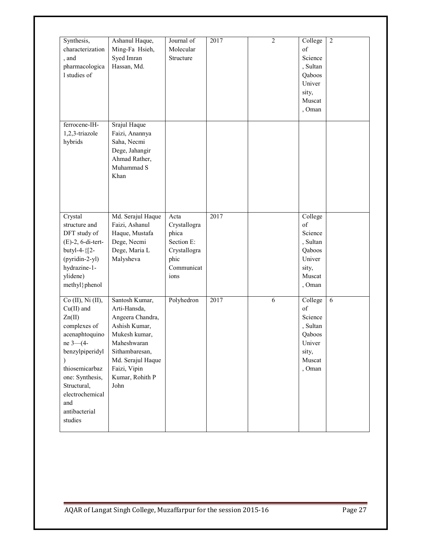| Synthesis,<br>characterization<br>, and<br>pharmacologica<br>1 studies of                                                                                                                                                     | Ashanul Haque,<br>Ming-Fa Hsieh,<br>Syed Imran<br>Hassan, Md.                                                                                                                         | Journal of<br>Molecular<br>Structure                                                      | 2017 | $\overline{2}$ | College<br>of<br>Science<br>, Sultan<br>Qaboos<br>Univer<br>sity,<br>Muscat<br>, Oman | $\overline{2}$ |
|-------------------------------------------------------------------------------------------------------------------------------------------------------------------------------------------------------------------------------|---------------------------------------------------------------------------------------------------------------------------------------------------------------------------------------|-------------------------------------------------------------------------------------------|------|----------------|---------------------------------------------------------------------------------------|----------------|
| ferrocene-IH-<br>1,2,3-triazole<br>hybrids                                                                                                                                                                                    | Srajul Haque<br>Faizi, Anannya<br>Saha, Necmi<br>Dege, Jahangir<br>Ahmad Rather,<br>Muhammad S<br>Khan                                                                                |                                                                                           |      |                |                                                                                       |                |
| Crystal<br>structure and<br>DFT study of<br>$(E)$ -2, 6-di-tert-<br>butyl-4-{[2-<br>(pyridin-2-yl)<br>hydrazine-1-<br>ylidene)<br>methyl}phenol                                                                               | Md. Serajul Haque<br>Faizi, Ashanul<br>Haque, Mustafa<br>Dege, Necmi<br>Dege, Maria L<br>Malysheva                                                                                    | Acta<br>Crystallogra<br>phica<br>Section E:<br>Crystallogra<br>phic<br>Communicat<br>ions | 2017 |                | College<br>of<br>Science<br>, Sultan<br>Qaboos<br>Univer<br>sity,<br>Muscat<br>, Oman |                |
| $Co$ (II), Ni (II),<br>$Cu(II)$ and<br>Zn(II)<br>complexes of<br>acenaphtoquino<br>$ne$ 3- $(4-$<br>benzylpiperidyl<br>thiosemicarbaz<br>one: Synthesis,<br>Structural,<br>electrochemical<br>and<br>antibacterial<br>studies | Santosh Kumar,<br>Arti-Hansda,<br>Angeera Chandra,<br>Ashish Kumar,<br>Mukesh kumar,<br>Maheshwaran<br>Sithambaresan,<br>Md. Serajul Haque<br>Faizi, Vipin<br>Kumar, Rohith P<br>John | Polyhedron                                                                                | 2017 | $\overline{6}$ | College<br>of<br>Science<br>, Sultan<br>Qaboos<br>Univer<br>sity,<br>Muscat<br>, Oman | $\overline{6}$ |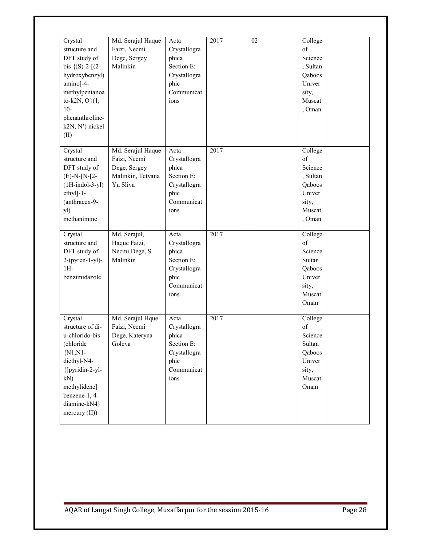| Crystal<br>structure and<br>DFT study of<br>bis $\{(S)-2-[2-$<br>hydroxybenzyl)<br>amino]-4-<br>methylpentanoa<br>to-k2N, $O(1,$<br>$10-$<br>phenanthroline-<br>k2N, N') nickel<br>(II)  | Md. Serajul Haque<br>Faizi, Necmi<br>Dege, Sergey<br>Malinkin                      | Acta<br>Crystallogra<br>phica<br>Section E:<br>Crystallogra<br>phic<br>Communicat<br>ions | 2017 | 02 | College<br>of<br>Science<br>, Sultan<br>Qaboos<br>Univer<br>sity,<br>Muscat<br>, Oman |  |
|------------------------------------------------------------------------------------------------------------------------------------------------------------------------------------------|------------------------------------------------------------------------------------|-------------------------------------------------------------------------------------------|------|----|---------------------------------------------------------------------------------------|--|
| Crystal<br>structure and<br>DFT study of<br>$(E)-N-[N-[2-$<br>$(1H-indol-3-yl)$<br>$ethyl]-1-$<br>(anthracen-9-<br>yl)<br>methanimine                                                    | Md. Serajul Haque<br>Faizi, Necmi<br>Dege, Sergey<br>Malinkin, Tetyana<br>Yu Sliva | Acta<br>Crystallogra<br>phica<br>Section E:<br>Crystallogra<br>phic<br>Communicat<br>ions | 2017 |    | College<br>of<br>Science<br>, Sultan<br>Qaboos<br>Univer<br>sity,<br>Muscat<br>, Oman |  |
| Crystal<br>structure and<br>DFT study of<br>$2-(pyren-1-yl)$ -<br>$1H-$<br>benzimidazole                                                                                                 | Md. Serajul,<br>Haque Faizi,<br>Necmi Dege, S<br>Malinkin                          | Acta<br>Crystallogra<br>phica<br>Section E:<br>Crystallogra<br>phic<br>Communicat<br>ions | 2017 |    | College<br>of<br>Science<br>Sultan<br>Qaboos<br>Univer<br>sity,<br>Muscat<br>Oman     |  |
| Crystal<br>structure of di-<br>u-chlorido-bis<br>(chloride)<br>$\{N1,N1\}$<br>diethyl-N4-<br>{[pyridin-2-yl-<br>kN)<br>methylidene]<br>benzene-1, 4-<br>diamine-kN4}<br>mercury $(II)$ ) | Md. Serajul Hque<br>Faizi, Necmi<br>Dege, Kateryna<br>Goleva                       | Acta<br>Crystallogra<br>phica<br>Section E:<br>Crystallogra<br>phic<br>Communicat<br>ions | 2017 |    | College<br>of<br>Science<br>Sultan<br>Qaboos<br>Univer<br>sity,<br>Muscat<br>Oman     |  |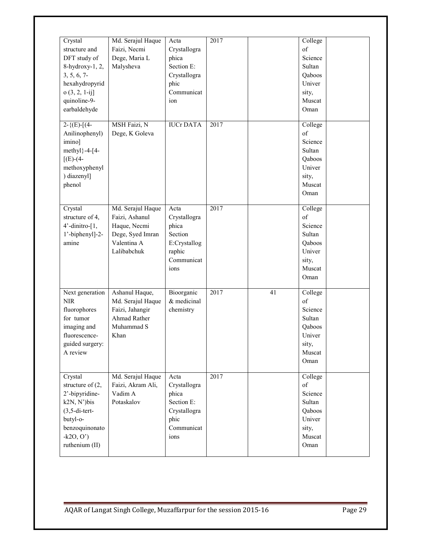| Crystal<br>structure and<br>DFT study of<br>8-hydroxy-1, 2,<br>3, 5, 6, 7<br>hexahydropyrid<br>$o(3, 2, 1-ij]$<br>quinoline-9-<br>earbaldehyde    | Md. Serajul Haque<br>Faizi, Necmi<br>Dege, Maria L<br>Malysheva                                       | Acta<br>Crystallogra<br>phica<br>Section E:<br>Crystallogra<br>phic<br>Communicat<br>ion  | 2017 |    | College<br>of<br>Science<br>Sultan<br>Qaboos<br>Univer<br>sity,<br>Muscat<br>Oman |  |
|---------------------------------------------------------------------------------------------------------------------------------------------------|-------------------------------------------------------------------------------------------------------|-------------------------------------------------------------------------------------------|------|----|-----------------------------------------------------------------------------------|--|
| $2-\{ (E) - [(4-$<br>Anilinophenyl)<br>imino]<br>methyl $-4-[4-$<br>$[(E)-(4-$<br>methoxyphenyl<br>) diazenyl]<br>phenol                          | MSH Faizi, N<br>Dege, K Goleva                                                                        | <b>IUCrDATA</b>                                                                           | 2017 |    | College<br>of<br>Science<br>Sultan<br>Qaboos<br>Univer<br>sity,<br>Muscat<br>Oman |  |
| Crystal<br>structure of 4,<br>4'-dinitro-[1,<br>1'-biphenyl]-2-<br>amine                                                                          | Md. Serajul Haque<br>Faizi, Ashanul<br>Haque, Necmi<br>Dege, Syed Imran<br>Valentina A<br>Lalibabchuk | Acta<br>Crystallogra<br>phica<br>Section<br>E:Crystallog<br>raphic<br>Communicat<br>ions  | 2017 |    | College<br>of<br>Science<br>Sultan<br>Qaboos<br>Univer<br>sity,<br>Muscat<br>Oman |  |
| Next generation<br><b>NIR</b><br>fluorophores<br>for tumor<br>imaging and<br>fluorescence-<br>guided surgery:<br>A review                         | Ashanul Haque,<br>Md. Serajul Haque<br>Faizi, Jahangir<br><b>Ahmad Rather</b><br>Muhammad S<br>Khan   | Bioorganic<br>& medicinal<br>chemistry                                                    | 2017 | 41 | College<br>of<br>Science<br>Sultan<br>Qaboos<br>Univer<br>sity,<br>Muscat<br>Oman |  |
| Crystal<br>structure of $(2,$<br>2'-bipyridine-<br>k2N, N')bis<br>$(3, 5$ -di-tert-<br>butyl-o-<br>benzoquinonato<br>$-k2O, O'$<br>ruthenium (II) | Md. Serajul Haque<br>Faizi, Akram Ali,<br>Vadim A<br>Potaskalov                                       | Acta<br>Crystallogra<br>phica<br>Section E:<br>Crystallogra<br>phic<br>Communicat<br>ions | 2017 |    | College<br>of<br>Science<br>Sultan<br>Qaboos<br>Univer<br>sity,<br>Muscat<br>Oman |  |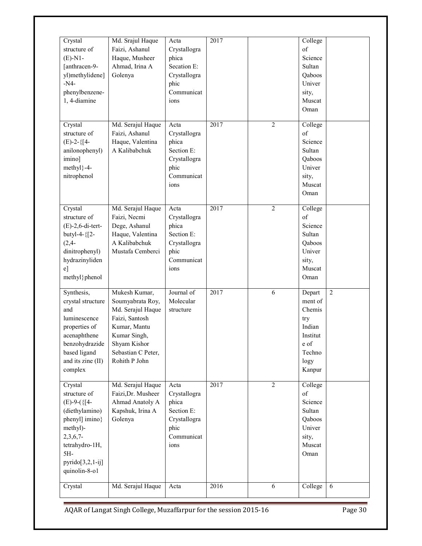| Crystal<br>structure of<br>$(E)$ -N1-<br>[anthracen-9-<br>yl)methylidene]<br>$-N4-$<br>phenylbenzene-<br>1, 4-diamine                                                        | Md. Srajul Haque<br>Faizi, Ashanul<br>Haque, Musheer<br>Ahmad, Irina A<br>Golenya                                                                               | Acta<br>Crystallogra<br>phica<br>Secation E:<br>Crystallogra<br>phic<br>Communicat<br>ions | 2017              |                | College<br>of<br>Science<br>Sultan<br>Qaboos<br>Univer<br>sity,<br>Muscat<br>Oman                               |                |
|------------------------------------------------------------------------------------------------------------------------------------------------------------------------------|-----------------------------------------------------------------------------------------------------------------------------------------------------------------|--------------------------------------------------------------------------------------------|-------------------|----------------|-----------------------------------------------------------------------------------------------------------------|----------------|
| Crystal<br>structure of<br>$(E)$ -2-{[4-<br>anilonophenyl)<br>imino]<br>methyl}-4-<br>nitrophenol                                                                            | Md. Serajul Haque<br>Faizi, Ashanul<br>Haque, Valentina<br>A Kalibabchuk                                                                                        | Acta<br>Crystallogra<br>phica<br>Section E:<br>Crystallogra<br>phic<br>Communicat<br>ions  | 2017              | $\overline{2}$ | College<br>of<br>Science<br>Sultan<br>Oaboos<br>Univer<br>sity,<br>Muscat<br>Oman                               |                |
| Crystal<br>structure of<br>$(E)$ -2,6-di-tert-<br>butyl-4-{[2-<br>$(2, 4 -$<br>dinitrophenyl)<br>hydrazinyliden<br>$e$ ]<br>methyl}phenol                                    | Md. Serajul Haque<br>Faizi, Necmi<br>Dege, Ashanul<br>Haque, Valentina<br>A Kalibabchuk<br>Mustafa Cemberci                                                     | Acta<br>Crystallogra<br>phica<br>Section E:<br>Crystallogra<br>phic<br>Communicat<br>ions  | 2017              | $\overline{2}$ | College<br>of<br>Science<br>Sultan<br>Qaboos<br>Univer<br>sity,<br>Muscat<br>Oman                               |                |
| Synthesis,<br>crystal structure<br>and<br>luminescence<br>properties of<br>acenaphthene<br>benzohydrazide<br>based ligand<br>and its zine (II)<br>complex                    | Mukesh Kumar,<br>Soumyabrata Roy,<br>Md. Serajul Haque<br>Faizi, Santosh<br>Kumar, Mantu<br>Kumar Singh,<br>Shyam Kishor<br>Sebastian C Peter,<br>Rohith P John | Journal of<br>Molecular<br>structure                                                       | $\frac{1}{20}$ 17 | 6              | Depart<br>ment of<br>Chemis<br>try<br>Indian<br>Institut<br>e of<br>Techno<br>logy<br>Kanpur                    | $\overline{2}$ |
| Crystal<br>structure of<br>$(E)$ -9- $(\{[4-$<br>(diethylamino)<br>phenyl] imino}<br>methyl)-<br>$2,3,6,7$ -<br>tetrahydro-1H,<br>5H-<br>$pyrido[3,2,1-ij]$<br>quinolin-8-o1 | Md. Serajul Haque<br>Faizi, Dr. Musheer<br>Ahmad Anatoly A<br>Kapshuk, Irina A<br>Golenya                                                                       | Acta<br>Crystallogra<br>phica<br>Section E:<br>Crystallogra<br>phic<br>Communicat<br>ions  | 2017              | $\overline{2}$ | College<br>$% \left( \mathcal{M}\right)$ of<br>Science<br>Sultan<br>Qaboos<br>Univer<br>sity,<br>Muscat<br>Oman |                |
| Crystal                                                                                                                                                                      | Md. Serajul Haque                                                                                                                                               | Acta                                                                                       | 2016              | $\overline{6}$ | College                                                                                                         | 6              |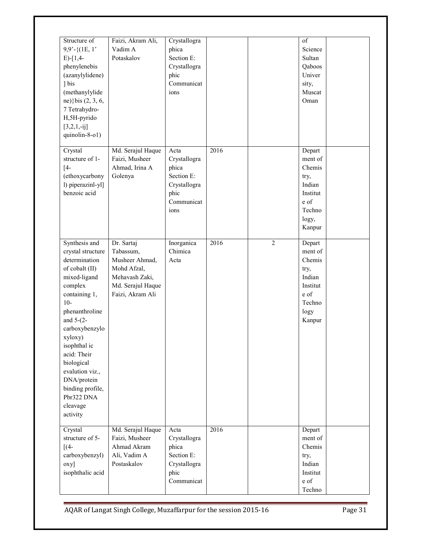| Structure of<br>$9,9'$ -{ $(1E, 1')$<br>$E$ -[1,4-<br>phenylenebis<br>(azanylylidene)<br>1 bis<br>(methanylylide<br>ne)} bis (2, 3, 6,<br>7 Tetrahydro-<br>H,5H-pyrido<br>$[3,2,1,-ij]$<br>quinolin-8-o1)                                                                                                                          | Faizi, Akram Ali,<br>Vadim A<br>Potaskalov                                                                          | Crystallogra<br>phica<br>Section E:<br>Crystallogra<br>phic<br>Communicat<br>ions         |      |                | of<br>Science<br>Sultan<br>Qaboos<br>Univer<br>sity,<br>Muscat<br>Oman                         |  |
|------------------------------------------------------------------------------------------------------------------------------------------------------------------------------------------------------------------------------------------------------------------------------------------------------------------------------------|---------------------------------------------------------------------------------------------------------------------|-------------------------------------------------------------------------------------------|------|----------------|------------------------------------------------------------------------------------------------|--|
| Crystal<br>structure of 1-<br>$[4-$<br>(ethoxycarbony<br>l) piperazinl-yl]<br>benzoic acid                                                                                                                                                                                                                                         | Md. Serajul Haque<br>Faizi, Musheer<br>Ahmad, Irina A<br>Golenya                                                    | Acta<br>Crystallogra<br>phica<br>Section E:<br>Crystallogra<br>phic<br>Communicat<br>ions | 2016 |                | Depart<br>ment of<br>Chemis<br>try,<br>Indian<br>Institut<br>e of<br>Techno<br>logy,<br>Kanpur |  |
| Synthesis and<br>crystal structure<br>determination<br>of cobalt (II)<br>mixed-ligand<br>complex<br>containing 1,<br>$10-$<br>phenanthroline<br>and $5-(2-)$<br>carboxybenzylo<br>xyloxy)<br>isophthal ic<br>acid: Their<br>biological<br>evalution viz.,<br>DNA/protein<br>binding profile,<br>Pbr322 DNA<br>cleavage<br>activity | Dr. Sartaj<br>Tabassum,<br>Musheer Ahmad,<br>Mohd Afzal,<br>Mehavash Zaki,<br>Md. Serajul Haque<br>Faizi, Akram Ali | Inorganica<br>Chimica<br>Acta                                                             | 2016 | $\overline{2}$ | Depart<br>ment of<br>Chemis<br>try,<br>Indian<br>Institut<br>e of<br>Techno<br>logy<br>Kanpur  |  |
| Crystal<br>structure of 5-<br>$\lceil$ (4-<br>carboxybenzyl)<br>oxy]<br>isophthalic acid                                                                                                                                                                                                                                           | Md. Serajul Haque<br>Faizi, Musheer<br>Ahmad Akram<br>Ali, Vadim A<br>Postaskalov                                   | Acta<br>Crystallogra<br>phica<br>Section E:<br>Crystallogra<br>phic<br>Communicat         | 2016 |                | Depart<br>ment of<br>Chemis<br>try,<br>Indian<br>Institut<br>e of<br>Techno                    |  |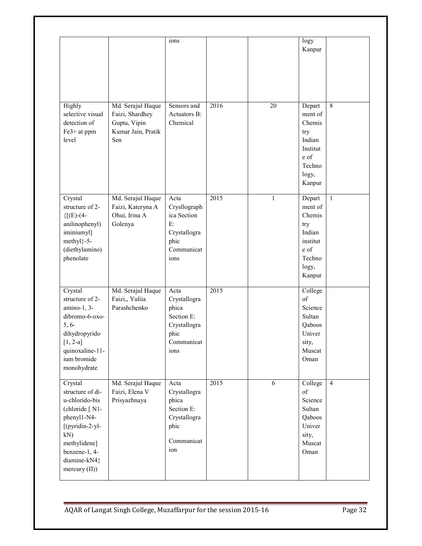|                                                                                                                                                                            |                                                                                   | ions                                                                                      |      |    | logy<br>Kanpur                                                                                |                |
|----------------------------------------------------------------------------------------------------------------------------------------------------------------------------|-----------------------------------------------------------------------------------|-------------------------------------------------------------------------------------------|------|----|-----------------------------------------------------------------------------------------------|----------------|
| Highly<br>selective visual<br>detection of<br>Fe3+ at ppm<br>level                                                                                                         | Md. Serajul Haque<br>Faizi, Shardhey<br>Gupta, Vipin<br>Kumar Jain, Pratik<br>Sen | Sensors and<br><b>Actuators B:</b><br>Chemical                                            | 2016 | 20 | Depart<br>ment of<br>Chemis<br>try<br>Indian<br>Institut<br>e of<br>Techno<br>logy,<br>Kanpur | 8              |
| Crystal<br>structure of 2-<br>${[E)-(4-$<br>anilinophenyl)<br>iminiumyl]<br>methyl}-5-<br>(diethylamino)<br>phenolate                                                      | Md. Serajul Haque<br>Faizi, Kateryna A<br>Ohui, Irina A<br>Golenya                | Acta<br>Crysllograph<br>ica Section<br>E:<br>Crystallogra<br>phic<br>Communicat<br>ions   | 2015 | 1  | Depart<br>ment of<br>Chemis<br>try<br>Indian<br>institut<br>e of<br>Techno<br>logy,<br>Kanpur | $\mathbf{1}$   |
| Crystal<br>structure of 2-<br>amino-1, 3-<br>dibromo-6-oxo-<br>$5, 6-$<br>dihydropyrido<br>$[1, 2-a]$<br>quinoxaline-11-<br>ium bromide<br>monohydrate                     | Md. Serajul Haque<br>Faizi,, Yuliia<br>Parashchenko                               | Acta<br>Crystallogra<br>phica<br>Section E:<br>Crystallogra<br>phic<br>Communicat<br>ions | 2015 |    | College<br>of<br>Science<br>Sultan<br>Qaboos<br>Univer<br>sity,<br>Muscat<br>Oman             |                |
| Crystal<br>structure of di-<br>u-chlorido-bis<br>(chloride [N1-<br>phenyl1-N4-<br>[(pyridin-2-yl-<br>kN)<br>methylidene]<br>benzene-1, 4-<br>diamine-kN4}<br>mercury (II)) | Md. Serajul Haque<br>Faizi, Elena V<br>Prisyazhnaya                               | Acta<br>Crystallogra<br>phica<br>Section E:<br>Crystallogra<br>phic<br>Communicat<br>ion  | 2015 | 6  | College<br>of<br>Science<br>Sultan<br>Qaboos<br>Univer<br>sity,<br>Muscat<br>Oman             | $\overline{4}$ |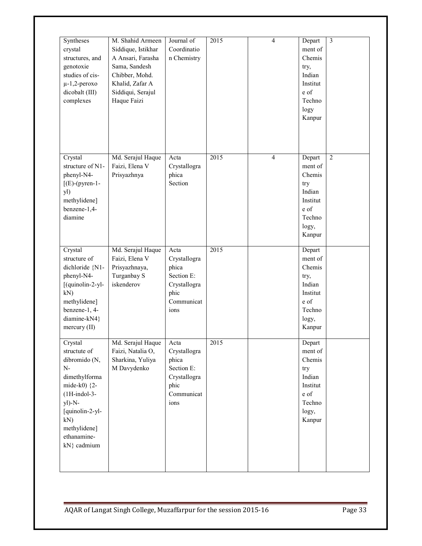| Syntheses<br>crystal<br>structures, and<br>genotoxie<br>studies of cis-<br>$\mu$ -1,2-peroxo<br>dicobalt (III)<br>complexes                                                                  | M. Shahid Armeen<br>Siddique, Istikhar<br>A Ansari, Farasha<br>Sama, Sandesh<br>Chibber, Mohd.<br>Khalid, Zafar A<br>Siddiqui, Serajul<br>Haque Faizi | Journal of<br>Coordinatio<br>n Chemistry                                                  | 2015              | $\overline{4}$ | Depart<br>ment of<br>Chemis<br>try,<br>Indian<br>Institut<br>e of<br>Techno<br>logy<br>Kanpur  | $\overline{3}$ |
|----------------------------------------------------------------------------------------------------------------------------------------------------------------------------------------------|-------------------------------------------------------------------------------------------------------------------------------------------------------|-------------------------------------------------------------------------------------------|-------------------|----------------|------------------------------------------------------------------------------------------------|----------------|
| Crystal<br>structure of N1-<br>phenyl-N4-<br>$[(E)-(pyren-1-$<br>yl)<br>methylidene]<br>benzene-1,4-<br>diamine                                                                              | Md. Serajul Haque<br>Faizi, Elena V<br>Prisyazhnya                                                                                                    | Acta<br>Crystallogra<br>phica<br>Section                                                  | $\overline{2015}$ | $\overline{4}$ | Depart<br>ment of<br>Chemis<br>try<br>Indian<br>Institut<br>e of<br>Techno<br>logy,<br>Kanpur  | $\overline{2}$ |
| Crystal<br>structure of<br>dichloride {N1-<br>phenyl-N4-<br>[(quinolin-2-yl-<br>kN)<br>methylidene]<br>benzene-1, 4-<br>diamine-kN4}<br>mercury (II)                                         | Md. Serajul Haque<br>Faizi, Elena V<br>Prisyazhnaya,<br>Turganbay S<br>iskenderov                                                                     | Acta<br>Crystallogra<br>phica<br>Section E:<br>Crystallogra<br>phic<br>Communicat<br>ions | $\frac{2015}{ }$  |                | Depart<br>ment of<br>Chemis<br>try,<br>Indian<br>Institut<br>e of<br>Techno<br>logy,<br>Kanpur |                |
| Crystal<br>structute of<br>dibromido (N,<br>$N-$<br>dimethylforma<br>mide-k0) $\{2 -$<br>$(1H-indol-3-$<br>$y$ l)-N-<br>[quinolin-2-yl-<br>kN)<br>methylidene]<br>ethanamine-<br>kN} cadmium | Md. Serajul Haque<br>Faizi, Natalia O,<br>Sharkina, Yuliya<br>M Davydenko                                                                             | Acta<br>Crystallogra<br>phica<br>Section E:<br>Crystallogra<br>phic<br>Communicat<br>ions | $\overline{2015}$ |                | Depart<br>ment of<br>Chemis<br>try<br>Indian<br>Institut<br>e of<br>Techno<br>logy,<br>Kanpur  |                |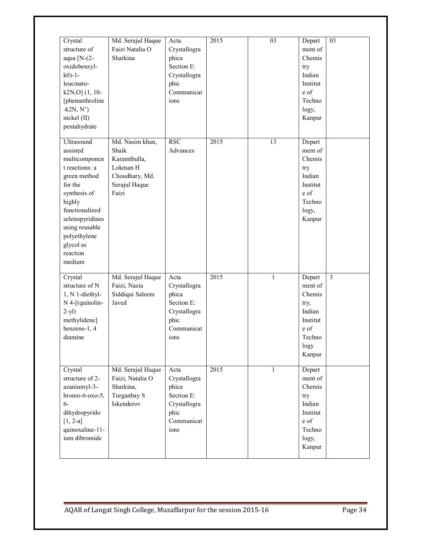| Crystal<br>structure of<br>aqua $[N-(2-$<br>oxidobenzyl-<br>$k0$ -1-<br>leucinato-<br>$k2N,0$ ] $(1, 10-$<br>[phenanthroline<br>$-k2N, N'$<br>nickel (II)<br>pentahydrate                                                | Md. Serajul Haque<br>Faizi Natalia O<br>Sharkina                                                 | Acta<br>Crystallogra<br>phica<br>Section E:<br>Crystallogra<br>phic<br>Communicat<br>ions | 2015 | 03           | Depart<br>ment of<br>Chemis<br>try<br>Indian<br>Institut<br>e of<br>Techno<br>logy,<br>Kanpur | 03                      |
|--------------------------------------------------------------------------------------------------------------------------------------------------------------------------------------------------------------------------|--------------------------------------------------------------------------------------------------|-------------------------------------------------------------------------------------------|------|--------------|-----------------------------------------------------------------------------------------------|-------------------------|
| Ultrasound<br>assisted<br>multicomponen<br>t reactions: a<br>green method<br>for the<br>synthesis of<br>highly<br>functionalized<br>selenopyridines<br>using reusable<br>polyethylene<br>glycol as<br>reaction<br>medium | Md. Nasim khan,<br>Shaik<br>Karamthulla,<br>Lokman H<br>Choudhary, Md.<br>Serajul Haque<br>Faizi | <b>RSC</b><br>Advances                                                                    | 2015 | 13           | Depart<br>ment of<br>Chemis<br>try<br>Indian<br>Institut<br>e of<br>Techno<br>logy,<br>Kanpur |                         |
| Crystal<br>structure of N<br>1, N 1-diethyl-<br>$N$ 4-[(quinolin-<br>$2-yl$ )<br>methylidene]<br>benzene-1, 4<br>diamine                                                                                                 | Md. Serajul Haque<br>Faizi, Nazia<br>Siddiqui Saleem<br>Javed                                    | Acta<br>Crystallogra<br>phica<br>Section E:<br>Crystallogra<br>phic<br>Communicat<br>ions | 2015 | 1            | Depart<br>ment of<br>Chemis<br>try,<br>Indian<br>Institut<br>e of<br>Techno<br>logy<br>Kanpur | $\overline{\mathbf{3}}$ |
| Crystal<br>structure of 2-<br>azaniumyl-3-<br>bromo-6-oxo-5,<br>$6-$<br>dihydropyrido<br>$[1, 2-a]$<br>quinoxaline-11-<br>ium dibromide                                                                                  | Md. Serajul Haque<br>Faizi, Natalia O<br>Sharkina,<br>Turganbay S<br>Iskenderov                  | Acta<br>Crystallogra<br>phica<br>Section E:<br>Crystallogra<br>phic<br>Communicat<br>ions | 2015 | $\mathbf{1}$ | Depart<br>ment of<br>Chemis<br>try<br>Indian<br>Institut<br>e of<br>Techno<br>logy,<br>Kanpur |                         |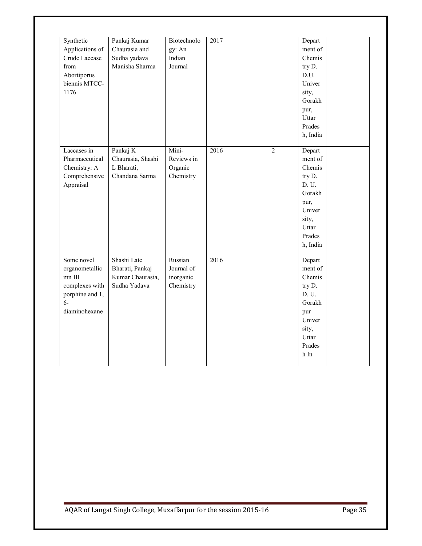| Synthetic<br>Applications of<br>Crude Laccase<br>from<br>Abortiporus<br>biennis MTCC-<br>1176          | Pankaj Kumar<br>Chaurasia and<br>Sudha yadava<br>Manisha Sharma    | Biotechnolo<br>gy: An<br>Indian<br>Journal      | 2017 |                | Depart<br>ment of<br>Chemis<br>try D.<br>D.U.<br>Univer<br>sity,<br>Gorakh<br>pur,<br>Uttar<br>Prades<br>h, India |  |
|--------------------------------------------------------------------------------------------------------|--------------------------------------------------------------------|-------------------------------------------------|------|----------------|-------------------------------------------------------------------------------------------------------------------|--|
| Laccases in<br>Pharmaceutical<br>Chemistry: A<br>Comprehensive<br>Appraisal                            | Pankaj K<br>Chaurasia, Shashi<br>L Bharati,<br>Chandana Sarma      | Mini-<br>Reviews in<br>Organic<br>Chemistry     | 2016 | $\overline{2}$ | Depart<br>ment of<br>Chemis<br>try D.<br>D.U.<br>Gorakh<br>pur,<br>Univer<br>sity,<br>Uttar<br>Prades<br>h, India |  |
| Some novel<br>organometallic<br>$mn$ III<br>complexes with<br>porphine and 1,<br>$6-$<br>diaminohexane | Shashi Late<br>Bharati, Pankaj<br>Kumar Chaurasia,<br>Sudha Yadava | Russian<br>Journal of<br>inorganic<br>Chemistry | 2016 |                | Depart<br>ment of<br>Chemis<br>try D.<br>D.U.<br>Gorakh<br>pur<br>Univer<br>sity,<br>Uttar<br>Prades<br>$h$ In    |  |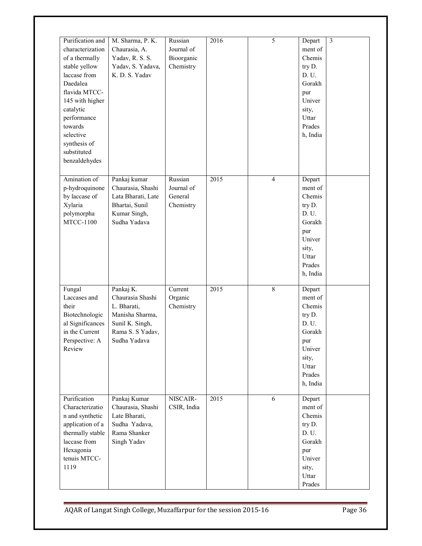| Purification and<br>characterization<br>of a thermally<br>stable yellow<br>laccase from<br>Daedalea<br>flavida MTCC-<br>145 with higher<br>catalytic<br>performance<br>towards<br>selective<br>synthesis of<br>substituted<br>benzaldehydes | M. Sharma, P. K.<br>Chaurasia, A.<br>Yadav, R. S. S.<br>Yadav, S. Yadava,<br>K. D. S. Yadav                            | Russian<br>Journal of<br>Bioorganic<br>Chemistry | 2016              | $\overline{5}$ | Depart<br>ment of<br>Chemis<br>try D.<br>D. U.<br>Gorakh<br>pur<br>Univer<br>sity,<br>Uttar<br>Prades<br>h, India | $\overline{3}$ |
|---------------------------------------------------------------------------------------------------------------------------------------------------------------------------------------------------------------------------------------------|------------------------------------------------------------------------------------------------------------------------|--------------------------------------------------|-------------------|----------------|-------------------------------------------------------------------------------------------------------------------|----------------|
| Amination of<br>p-hydroquinone<br>by laccase of<br>Xylaria<br>polymorpha<br><b>MTCC-1100</b>                                                                                                                                                | Pankaj kumar<br>Chaurasia, Shashi<br>Lata Bharati, Late<br>Bhartai, Sunil<br>Kumar Singh,<br>Sudha Yadava              | Russian<br>Journal of<br>General<br>Chemistry    | $\overline{2015}$ | $\overline{4}$ | Depart<br>ment of<br>Chemis<br>try D.<br>D. U.<br>Gorakh<br>pur<br>Univer<br>sity,<br>Uttar<br>Prades<br>h, India |                |
| Fungal<br>Laccases and<br>their<br>Biotechnologic<br>al Significances<br>in the Current<br>Perspective: A<br>Review                                                                                                                         | Pankaj K.<br>Chaurasia Shashi<br>L. Bharati,<br>Manisha Sharma,<br>Sunil K. Singh,<br>Rama S. S Yadav,<br>Sudha Yadava | Current<br>Organic<br>Chemistry                  | 2015              | $\overline{8}$ | Depart<br>ment of<br>Chemis<br>try D.<br>D.U.<br>Gorakh<br>pur<br>Univer<br>sity,<br>Uttar<br>Prades<br>h, India  |                |
| Purification<br>Characterizatio<br>n and synthetic<br>application of a<br>thermally stable<br>laccase from<br>Hexagonia<br>tenuis MTCC-<br>1119                                                                                             | Pankaj Kumar<br>Chaurasia, Shashi<br>Late Bharati,<br>Sudha Yadava,<br>Rama Shanker<br>Singh Yadav                     | NISCAIR-<br>CSIR, India                          | 2015              | 6              | Depart<br>ment of<br>Chemis<br>try D.<br>D. U.<br>Gorakh<br>pur<br>Univer<br>sity,<br>Uttar<br>Prades             |                |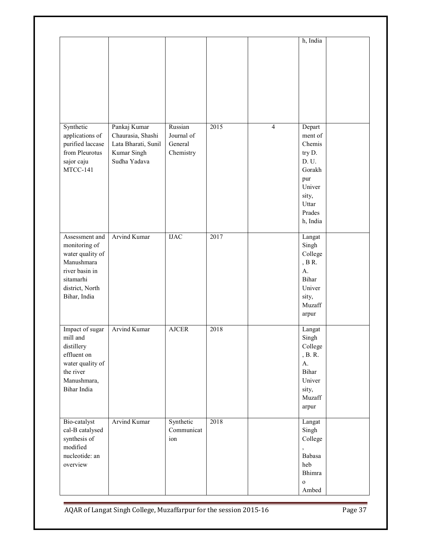|                                                                                                                                     |                                                                                         |                                               |      |                | h, India                                                                                                          |  |
|-------------------------------------------------------------------------------------------------------------------------------------|-----------------------------------------------------------------------------------------|-----------------------------------------------|------|----------------|-------------------------------------------------------------------------------------------------------------------|--|
|                                                                                                                                     |                                                                                         |                                               |      |                |                                                                                                                   |  |
| Synthetic<br>applications of<br>purified laccase<br>from Pleurotus<br>sajor caju<br>MTCC-141                                        | Pankaj Kumar<br>Chaurasia, Shashi<br>Lata Bharati, Sunil<br>Kumar Singh<br>Sudha Yadava | Russian<br>Journal of<br>General<br>Chemistry | 2015 | $\overline{4}$ | Depart<br>ment of<br>Chemis<br>try D.<br>D. U.<br>Gorakh<br>pur<br>Univer<br>sity,<br>Uttar<br>Prades<br>h, India |  |
| Assessment and<br>monitoring of<br>water quality of<br>Manushmara<br>river basin in<br>sitamarhi<br>district, North<br>Bihar, India | Arvind Kumar                                                                            | $_{\mathrm{IJAC}}$                            | 2017 |                | Langat<br>Singh<br>College<br>, $B$ R.<br>$A$ .<br>Bihar<br>Univer<br>sity,<br>Muzaff<br>arpur                    |  |
| Impact of sugar<br>mill and<br>distillery<br>effluent on<br>water quality of<br>the river<br>Manushmara,<br>Bihar India             | <b>Arvind Kumar</b>                                                                     | <b>AJCER</b>                                  | 2018 |                | Langat<br>Singh<br>College<br>, B. R.<br>$A$ .<br>Bihar<br>Univer<br>sity,<br>Muzaff<br>arpur                     |  |
| Bio-catalyst<br>cal-B catalysed<br>synthesis of<br>modified<br>nucleotide: an<br>overview                                           | <b>Arvind Kumar</b>                                                                     | Synthetic<br>Communicat<br>ion                | 2018 |                | Langat<br>Singh<br>College<br>Babasa<br>heb<br>Bhimra<br>$\mathbf{o}$<br>Ambed                                    |  |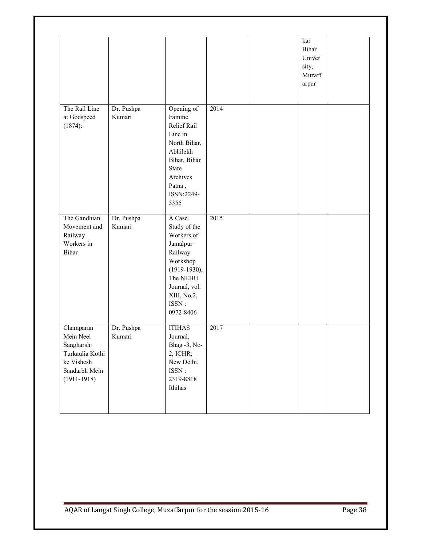|                                                                                                           |                      |                                                                                                                                                             |      | kar<br>Bihar<br>Univer<br>sity,<br>Muzaff<br>arpur |  |
|-----------------------------------------------------------------------------------------------------------|----------------------|-------------------------------------------------------------------------------------------------------------------------------------------------------------|------|----------------------------------------------------|--|
| The Rail Line<br>at Godspeed<br>$(1874)$ :                                                                | Dr. Pushpa<br>Kumari | Opening of<br>Famine<br>Relief Rail<br>Line in<br>North Bihar,<br>Abhilekh<br>Bihar, Bihar<br><b>State</b><br>Archives<br>Patna,<br>ISSN:2249-<br>5355      | 2014 |                                                    |  |
| The Gandhian<br>Movement and<br>Railway<br>Workers in<br><b>Bihar</b>                                     | Dr. Pushpa<br>Kumari | A Case<br>Study of the<br>Workers of<br>Jamalpur<br>Railway<br>Workshop<br>$(1919-1930),$<br>The NEHU<br>Journal, vol.<br>XIII, No.2,<br>ISSN:<br>0972-8406 | 2015 |                                                    |  |
| Champaran<br>Mein Neel<br>Sangharsh:<br>Turkaulia Kothi<br>ke Vishesh<br>Sandarbh Mein<br>$(1911 - 1918)$ | Dr. Pushpa<br>Kumari | <b>ITIHAS</b><br>Journal,<br>Bhag -3, No-<br>2, ICHR,<br>New Delhi.<br>ISSN:<br>2319-8818<br>Ithihas                                                        | 2017 |                                                    |  |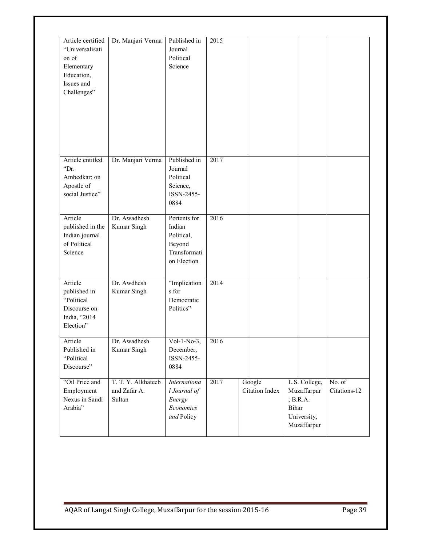| Article certified<br>"Universalisati<br>on of<br>Elementary<br>Education,<br>Issues and<br>Challenges" | Dr. Manjari Verma                            | Published in<br>Journal<br>Political<br>Science                               | 2015 |                          |                                                                                   |                                            |
|--------------------------------------------------------------------------------------------------------|----------------------------------------------|-------------------------------------------------------------------------------|------|--------------------------|-----------------------------------------------------------------------------------|--------------------------------------------|
| Article entitled<br>"Dr.<br>Ambedkar: on<br>Apostle of<br>social Justice"                              | Dr. Manjari Verma                            | Published in<br>Journal<br>Political<br>Science,<br>ISSN-2455-<br>0884        | 2017 |                          |                                                                                   |                                            |
| Article<br>published in the<br>Indian journal<br>of Political<br>Science                               | Dr. Awadhesh<br>Kumar Singh                  | Portents for<br>Indian<br>Political,<br>Beyond<br>Transformati<br>on Election | 2016 |                          |                                                                                   |                                            |
| Article<br>published in<br>"Political<br>Discourse on<br>India, "2014<br>Election"                     | Dr. Awdhesh<br>Kumar Singh                   | "Implication<br>s for<br>Democratic<br>Politics"                              | 2014 |                          |                                                                                   |                                            |
| Article<br>Published in<br>"Political<br>Discourse"                                                    | Dr. Awadhesh<br>Kumar Singh                  | $Vol-1-No-3,$<br>December,<br>ISSN-2455-<br>0884                              | 2016 |                          |                                                                                   |                                            |
| "Oil Price and<br>Employment<br>Nexus in Saudi<br>Arabia"                                              | T. T. Y. Alkhateeb<br>and Zafar A.<br>Sultan | Internationa<br>l Journal of<br>Energy<br>Economics<br>and Policy             | 2017 | Google<br>Citation Index | L.S. College,<br>Muzaffarpur<br>; $B.R.A.$<br>Bihar<br>University,<br>Muzaffarpur | $\overline{\text{No. of}}$<br>Citations-12 |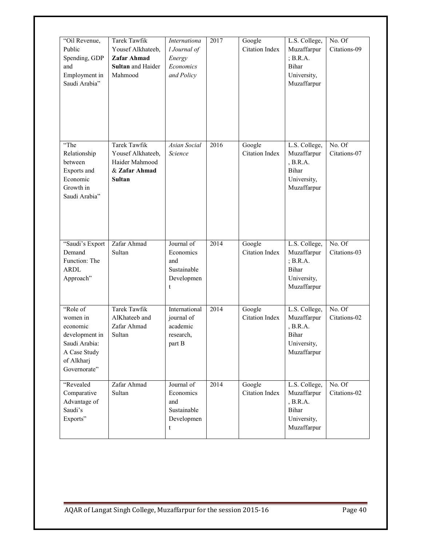| "Oil Revenue,<br>Public<br>Spending, GDP<br>and<br>Employment in<br>Saudi Arabia"                                 | Tarek Tawfik<br>Yousef Alkhateeb,<br>Zafar Ahmad<br>Sultan and Haider<br>Mahmood      | Internationa<br>l Journal of<br>Energy<br>Economics<br>and Policy | 2017 | Google<br>Citation Index        | L.S. College,<br>Muzaffarpur<br>; B.R.A.<br>Bihar<br>University,<br>Muzaffarpur        | No. Of<br>Citations-09 |
|-------------------------------------------------------------------------------------------------------------------|---------------------------------------------------------------------------------------|-------------------------------------------------------------------|------|---------------------------------|----------------------------------------------------------------------------------------|------------------------|
| "The<br>Relationship<br>between<br>Exports and<br>Economic<br>Growth in<br>Saudi Arabia"                          | Tarek Tawfik<br>Yousef Alkhateeb,<br>Haider Mahmood<br>& Zafar Ahmad<br><b>Sultan</b> | Asian Social<br>Science                                           | 2016 | Google<br>Citation Index        | L.S. College,<br>Muzaffarpur<br>, B.R.A.<br>Bihar<br>University,<br>Muzaffarpur        | No. Of<br>Citations-07 |
| "Saudi's Export<br>Demand<br>Function: The<br><b>ARDL</b><br>Approach"                                            | Zafar Ahmad<br>Sultan                                                                 | Journal of<br>Economics<br>and<br>Sustainable<br>Developmen<br>t  | 2014 | Google<br>Citation Index        | L.S. College,<br>Muzaffarpur<br>; B.R.A.<br><b>Bihar</b><br>University,<br>Muzaffarpur | No. Of<br>Citations-03 |
| "Role of<br>women in<br>economic<br>development in<br>Saudi Arabia:<br>A Case Study<br>of Alkharj<br>Governorate" | <b>Tarek Tawfik</b><br>AlKhateeb and<br>Zafar Ahmad<br>Sultan                         | International<br>journal of<br>academic<br>research,<br>part B    | 2014 | Google<br><b>Citation Index</b> | L.S. College,<br>Muzaffarpur<br>, B.R.A.<br>Bihar<br>University,<br>Muzaffarpur        | No. Of<br>Citations-02 |
| "Revealed<br>Comparative<br>Advantage of<br>Saudi's<br>Exports"                                                   | Zafar Ahmad<br>Sultan                                                                 | Journal of<br>Economics<br>and<br>Sustainable<br>Developmen<br>t  | 2014 | Google<br><b>Citation Index</b> | L.S. College,<br>Muzaffarpur<br>, B.R.A.<br>Bihar<br>University,<br>Muzaffarpur        | No. Of<br>Citations-02 |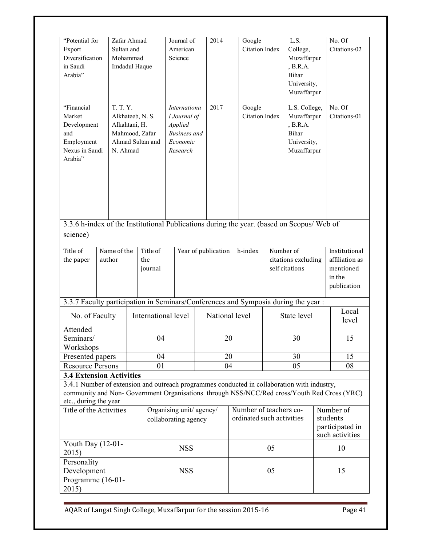| "Potential for<br>Export<br>Diversification<br>in Saudi<br>Arabia"                                                                                                                                                                                    | Sultan and                                                                                      | Zafar Ahmad<br>Mohammad<br>Imdadul Haque |                                                                                                | Journal of<br>American<br>Science               |  | 2014                            |         | Google<br><b>Citation Index</b>                                               |                                                    | L.S.<br>College,<br>Muzaffarpur<br>, B.R.A.<br><b>Bihar</b><br>University,<br>Muzaffarpur |                                                                       | No. Of<br>Citations-02 |
|-------------------------------------------------------------------------------------------------------------------------------------------------------------------------------------------------------------------------------------------------------|-------------------------------------------------------------------------------------------------|------------------------------------------|------------------------------------------------------------------------------------------------|-------------------------------------------------|--|---------------------------------|---------|-------------------------------------------------------------------------------|----------------------------------------------------|-------------------------------------------------------------------------------------------|-----------------------------------------------------------------------|------------------------|
| "Financial<br>Market<br>Development<br>and<br>Employment<br>Nexus in Saudi<br>Arabia"                                                                                                                                                                 | T. T. Y.<br>Alkhateeb, N. S.<br>Alkahtani, H.<br>Mahmood, Zafar<br>Ahmad Sultan and<br>N. Ahmad |                                          | 2017<br>Internationa<br>l Journal of<br>Applied<br><b>Business</b> and<br>Economic<br>Research |                                                 |  | Google<br><b>Citation Index</b> |         | L.S. College,<br>Muzaffarpur<br>B.R.A.<br>Bihar<br>University,<br>Muzaffarpur |                                                    | No. Of<br>Citations-01                                                                    |                                                                       |                        |
| 3.3.6 h-index of the Institutional Publications during the year. (based on Scopus/ Web of<br>science)                                                                                                                                                 |                                                                                                 |                                          |                                                                                                |                                                 |  |                                 |         |                                                                               |                                                    |                                                                                           |                                                                       |                        |
| Title of<br>the paper                                                                                                                                                                                                                                 | Name of the<br>author                                                                           |                                          | Title of<br>the<br>journal                                                                     | Year of publication                             |  |                                 | h-index |                                                                               | Number of<br>citations excluding<br>self citations |                                                                                           | Institutional<br>affiliation as<br>mentioned<br>in the<br>publication |                        |
| 3.3.7 Faculty participation in Seminars/Conferences and Symposia during the year:                                                                                                                                                                     |                                                                                                 |                                          |                                                                                                |                                                 |  |                                 |         |                                                                               |                                                    |                                                                                           |                                                                       |                        |
| No. of Faculty                                                                                                                                                                                                                                        |                                                                                                 |                                          |                                                                                                | International level                             |  | National level                  |         |                                                                               | State level                                        |                                                                                           |                                                                       | Local<br>level         |
| Attended<br>Seminars/<br>Workshops                                                                                                                                                                                                                    |                                                                                                 |                                          | 04                                                                                             |                                                 |  | 20                              |         |                                                                               | 30                                                 |                                                                                           |                                                                       | 15                     |
| Presented papers                                                                                                                                                                                                                                      |                                                                                                 |                                          | 04                                                                                             |                                                 |  | 20                              |         |                                                                               |                                                    | 30                                                                                        |                                                                       | 15                     |
| <b>Resource Persons</b>                                                                                                                                                                                                                               |                                                                                                 |                                          | 01                                                                                             |                                                 |  | 04                              |         |                                                                               |                                                    | 05                                                                                        |                                                                       | 08                     |
| <b>3.4 Extension Activities</b><br>3.4.1 Number of extension and outreach programmes conducted in collaboration with industry,<br>community and Non-Government Organisations through NSS/NCC/Red cross/Youth Red Cross (YRC)<br>etc., during the year |                                                                                                 |                                          |                                                                                                |                                                 |  |                                 |         |                                                                               |                                                    |                                                                                           |                                                                       |                        |
| Title of the Activities                                                                                                                                                                                                                               |                                                                                                 |                                          |                                                                                                | Organising unit/agency/<br>collaborating agency |  |                                 |         | Number of teachers co-<br>ordinated such activities                           |                                                    |                                                                                           | Number of<br>students<br>participated in<br>such activities           |                        |
| Youth Day (12-01-<br>2015)                                                                                                                                                                                                                            |                                                                                                 |                                          |                                                                                                | <b>NSS</b>                                      |  |                                 |         |                                                                               | 05                                                 |                                                                                           |                                                                       | 10                     |
| Personality<br>Development<br>Programme (16-01-<br>2015)                                                                                                                                                                                              |                                                                                                 |                                          |                                                                                                | <b>NSS</b>                                      |  |                                 | 05      |                                                                               |                                                    |                                                                                           | 15                                                                    |                        |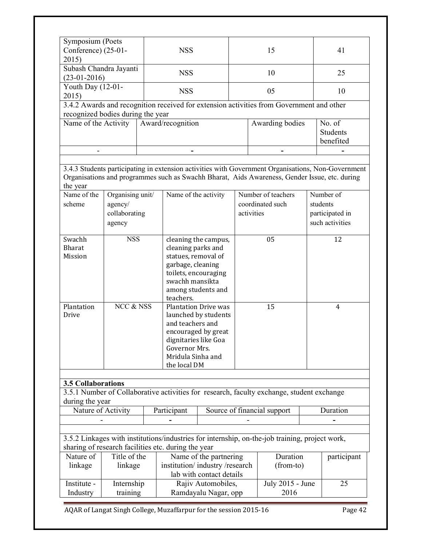| Symposium (Poets<br>Conference) (25-01-<br>2015) |                                                        | <b>NSS</b>                                                                                                                                                                                          |  | 15                                                   |  | 41                                                          |  |
|--------------------------------------------------|--------------------------------------------------------|-----------------------------------------------------------------------------------------------------------------------------------------------------------------------------------------------------|--|------------------------------------------------------|--|-------------------------------------------------------------|--|
| Subash Chandra Jayanti<br>$(23-01-2016)$         |                                                        | <b>NSS</b>                                                                                                                                                                                          |  | 10                                                   |  | 25                                                          |  |
| Youth Day (12-01-<br>2015)                       |                                                        | <b>NSS</b>                                                                                                                                                                                          |  | 05                                                   |  | 10                                                          |  |
| recognized bodies during the year                |                                                        | 3.4.2 Awards and recognition received for extension activities from Government and other                                                                                                            |  |                                                      |  |                                                             |  |
| Name of the Activity                             |                                                        | Award/recognition                                                                                                                                                                                   |  | Awarding bodies                                      |  | No. of<br><b>Students</b><br>benefited                      |  |
|                                                  |                                                        |                                                                                                                                                                                                     |  |                                                      |  |                                                             |  |
| the year                                         |                                                        | 3.4.3 Students participating in extension activities with Government Organisations, Non-Government<br>Organisations and programmes such as Swachh Bharat, Aids Awareness, Gender Issue, etc. during |  |                                                      |  |                                                             |  |
| Name of the<br>scheme                            | Organising unit/<br>agency/<br>collaborating<br>agency | Name of the activity                                                                                                                                                                                |  | Number of teachers<br>coordinated such<br>activities |  | Number of<br>students<br>participated in<br>such activities |  |
| Swachh<br><b>Bharat</b><br>Mission               | <b>NSS</b>                                             | cleaning the campus,<br>cleaning parks and<br>statues, removal of<br>garbage, cleaning<br>toilets, encouraging<br>swachh mansikta<br>among students and<br>teachers.                                |  | 05                                                   |  | 12                                                          |  |
| Plantation<br>Drive                              | NCC & NSS                                              | <b>Plantation Drive was</b><br>launched by students<br>and teachers and<br>encouraged by great<br>dignitaries like Goa<br>Governor Mrs.<br>Mridula Sinha and<br>the local DM                        |  | 15                                                   |  | 4                                                           |  |

### **3.5 Collaborations**

3.5.1 Number of Collaborative activities for research, faculty exchange, student exchange during the year

| Nature of Activity | Participant | Source of financial support | Juration |
|--------------------|-------------|-----------------------------|----------|
|                    |             |                             |          |

3.5.2 Linkages with institutions/industries for internship, on-the-job training, project work, sharing of research facilities etc. during the year

| Nature of   | Title of the | Name of the partnering        | Duration           | participant |
|-------------|--------------|-------------------------------|--------------------|-------------|
| linkage     | linkage      | institution/industry/research | $(from-to)$        |             |
|             |              | lab with contact details      |                    |             |
| Institute - | Internship   | Rajiv Automobiles,            | July $2015$ - June | 25          |
| Industry    | training     | Ramdayalu Nagar, opp          | 2016               |             |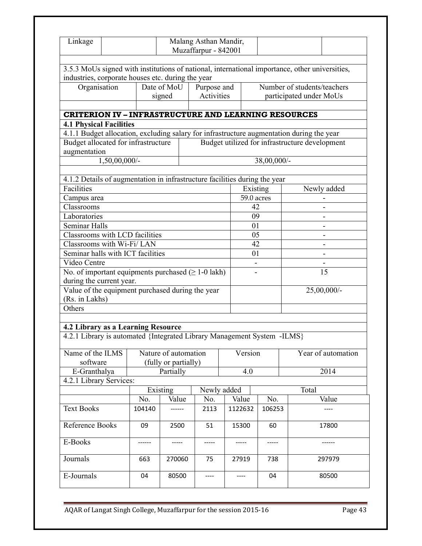| Linkage                                                                                   |                  |                      | Malang Asthan Mandir,<br>Muzaffarpur - 842001 |             |            |             |                                                                                                |  |  |
|-------------------------------------------------------------------------------------------|------------------|----------------------|-----------------------------------------------|-------------|------------|-------------|------------------------------------------------------------------------------------------------|--|--|
|                                                                                           |                  |                      |                                               |             |            |             |                                                                                                |  |  |
| industries, corporate houses etc. during the year                                         |                  |                      |                                               |             |            |             | 3.5.3 MoUs signed with institutions of national, international importance, other universities, |  |  |
| Organisation                                                                              |                  | Date of MoU          | Purpose and                                   |             |            |             | Number of students/teachers                                                                    |  |  |
|                                                                                           |                  | signed               | Activities                                    |             |            |             | participated under MoUs                                                                        |  |  |
|                                                                                           |                  |                      |                                               |             |            |             |                                                                                                |  |  |
| <b>CRITERION IV - INFRASTRUCTURE AND LEARNING RESOURCES</b>                               |                  |                      |                                               |             |            |             |                                                                                                |  |  |
| <b>4.1 Physical Facilities</b>                                                            |                  |                      |                                               |             |            |             |                                                                                                |  |  |
| 4.1.1 Budget allocation, excluding salary for infrastructure augmentation during the year |                  |                      |                                               |             |            |             |                                                                                                |  |  |
| Budget allocated for infrastructure                                                       |                  |                      |                                               |             |            |             | Budget utilized for infrastructure development                                                 |  |  |
| augmentation                                                                              |                  |                      |                                               |             |            |             |                                                                                                |  |  |
|                                                                                           | $1,50,00,000/$ - |                      |                                               |             |            | 38,00,000/- |                                                                                                |  |  |
|                                                                                           |                  |                      |                                               |             |            |             |                                                                                                |  |  |
| 4.1.2 Details of augmentation in infrastructure facilities during the year                |                  |                      |                                               |             |            |             |                                                                                                |  |  |
| Facilities                                                                                |                  |                      |                                               |             | Existing   |             | Newly added                                                                                    |  |  |
| Campus area                                                                               |                  |                      |                                               |             | 59.0 acres |             |                                                                                                |  |  |
| Classrooms                                                                                |                  |                      |                                               | 42          |            |             |                                                                                                |  |  |
| Laboratories                                                                              |                  |                      |                                               |             | 09         |             | $\overline{a}$                                                                                 |  |  |
| Seminar Halls                                                                             |                  |                      |                                               |             | 01         |             |                                                                                                |  |  |
| Classrooms with LCD facilities                                                            |                  |                      |                                               |             | 05         |             |                                                                                                |  |  |
| Classrooms with Wi-Fi/LAN                                                                 |                  |                      |                                               |             | 42         |             | -                                                                                              |  |  |
| Seminar halls with ICT facilities                                                         |                  |                      |                                               |             | 01         |             | $\overline{\phantom{0}}$                                                                       |  |  |
| Video Centre                                                                              |                  |                      |                                               |             |            |             |                                                                                                |  |  |
| No. of important equipments purchased $( \ge 1-0$ lakh)                                   |                  |                      |                                               |             |            |             | 15                                                                                             |  |  |
| during the current year.                                                                  |                  |                      |                                               |             |            |             |                                                                                                |  |  |
| Value of the equipment purchased during the year                                          |                  |                      |                                               |             |            |             | $25,00,000$ <sup>-</sup>                                                                       |  |  |
| (Rs. in Lakhs)                                                                            |                  |                      |                                               |             |            |             |                                                                                                |  |  |
| Others                                                                                    |                  |                      |                                               |             |            |             |                                                                                                |  |  |
|                                                                                           |                  |                      |                                               |             |            |             |                                                                                                |  |  |
|                                                                                           |                  |                      |                                               |             |            |             |                                                                                                |  |  |
| 4.2 Library as a Learning Resource                                                        |                  |                      |                                               |             |            |             |                                                                                                |  |  |
| 4.2.1 Library is automated {Integrated Library Management System -ILMS}                   |                  |                      |                                               |             |            |             |                                                                                                |  |  |
| Name of the ILMS                                                                          |                  | Nature of automation |                                               |             | Version    |             | Year of automation                                                                             |  |  |
| software                                                                                  |                  | (fully or partially) |                                               |             |            |             |                                                                                                |  |  |
| E-Granthalya                                                                              |                  | Partially            |                                               |             | 4.0        |             | 2014                                                                                           |  |  |
| 4.2.1 Library Services:                                                                   |                  |                      |                                               |             |            |             |                                                                                                |  |  |
|                                                                                           |                  | Existing             |                                               | Newly added |            |             | Total                                                                                          |  |  |
|                                                                                           | No.              | Value                | No.                                           | Value       |            | No.         | Value                                                                                          |  |  |
| <b>Text Books</b>                                                                         | 104140           |                      | 2113                                          | 1122632     |            | 106253      |                                                                                                |  |  |
|                                                                                           |                  |                      |                                               |             |            |             |                                                                                                |  |  |
| Reference Books                                                                           | 09<br>2500       |                      | 51                                            | 15300       |            | 60          | 17800                                                                                          |  |  |
|                                                                                           |                  |                      |                                               |             |            |             |                                                                                                |  |  |
| E-Books                                                                                   |                  |                      |                                               |             | -----      |             |                                                                                                |  |  |
| Journals                                                                                  | 663              | 270060               | 75                                            | 27919       |            | 738         | 297979                                                                                         |  |  |
|                                                                                           |                  |                      |                                               |             |            |             |                                                                                                |  |  |
| E-Journals                                                                                | 04               | 80500                |                                               |             |            | 04          | 80500                                                                                          |  |  |
|                                                                                           |                  |                      |                                               |             |            |             |                                                                                                |  |  |
|                                                                                           |                  |                      |                                               |             |            |             |                                                                                                |  |  |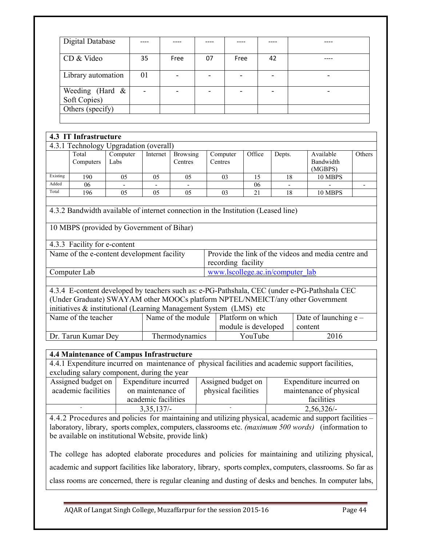|                | Digital Database                                                                  |                  |                 |                |                            |               |                    |                                  |                          |  |                                                                                                                                                                                |  |  |
|----------------|-----------------------------------------------------------------------------------|------------------|-----------------|----------------|----------------------------|---------------|--------------------|----------------------------------|--------------------------|--|--------------------------------------------------------------------------------------------------------------------------------------------------------------------------------|--|--|
|                | CD & Video                                                                        |                  | 35              | Free           |                            | 07            | Free               |                                  | 42                       |  | ----                                                                                                                                                                           |  |  |
|                | Library automation                                                                |                  | 01              | $\blacksquare$ |                            | $\frac{1}{2}$ | $\blacksquare$     |                                  | $\overline{\phantom{0}}$ |  | $\blacksquare$                                                                                                                                                                 |  |  |
|                | Weeding (Hard $\overline{\&}$<br>Soft Copies)                                     |                  |                 |                |                            |               |                    |                                  | $\overline{\phantom{0}}$ |  |                                                                                                                                                                                |  |  |
|                | Others (specify)                                                                  |                  |                 |                |                            |               |                    |                                  |                          |  |                                                                                                                                                                                |  |  |
|                |                                                                                   |                  |                 |                |                            |               |                    |                                  |                          |  |                                                                                                                                                                                |  |  |
|                | 4.3 IT Infrastructure                                                             |                  |                 |                |                            |               |                    |                                  |                          |  |                                                                                                                                                                                |  |  |
|                | 4.3.1 Technology Upgradation (overall)                                            |                  |                 |                |                            |               |                    |                                  |                          |  |                                                                                                                                                                                |  |  |
|                | Total<br>Computers                                                                | Computer<br>Labs | Internet        |                | <b>Browsing</b><br>Centres | Centres       | Computer           | Office                           | Depts.                   |  | Available<br>Bandwidth<br>(MGBPS)                                                                                                                                              |  |  |
| Existing       | 190                                                                               | $\overline{05}$  | $\overline{05}$ |                | 05                         |               | 03                 | $\overline{15}$                  | $\overline{18}$          |  | 10 MBPS                                                                                                                                                                        |  |  |
| Added<br>Total | 06<br>196                                                                         | 05               | 0 <sub>5</sub>  |                | 0 <sub>5</sub>             |               | 03                 | 06<br>21                         | 18                       |  | 10 MBPS                                                                                                                                                                        |  |  |
|                |                                                                                   |                  |                 |                |                            |               |                    |                                  |                          |  |                                                                                                                                                                                |  |  |
|                | 4.3.2 Bandwidth available of internet connection in the Institution (Leased line) |                  |                 |                |                            |               |                    |                                  |                          |  |                                                                                                                                                                                |  |  |
|                | 10 MBPS (provided by Government of Bihar)                                         |                  |                 |                |                            |               |                    |                                  |                          |  |                                                                                                                                                                                |  |  |
|                | 4.3.3 Facility for e-content                                                      |                  |                 |                |                            |               |                    |                                  |                          |  |                                                                                                                                                                                |  |  |
|                | Name of the e-content development facility                                        |                  |                 |                |                            |               | recording facility |                                  |                          |  | Provide the link of the videos and media centre and                                                                                                                            |  |  |
|                | Computer Lab                                                                      |                  |                 |                |                            |               |                    | www.lscollege.ac.in/computer_lab |                          |  |                                                                                                                                                                                |  |  |
|                |                                                                                   |                  |                 |                |                            |               |                    |                                  |                          |  |                                                                                                                                                                                |  |  |
|                |                                                                                   |                  |                 |                |                            |               |                    |                                  |                          |  | 4.3.4 E-content developed by teachers such as: e-PG-Pathshala, CEC (under e-PG-Pathshala CEC<br>(Under Graduate) SWAYAM other MOOCs platform NPTEL/NMEICT/any other Government |  |  |
|                | initiatives & institutional (Learning Management System (LMS) etc                 |                  |                 |                |                            |               |                    |                                  |                          |  |                                                                                                                                                                                |  |  |
|                | Name of the teacher                                                               |                  |                 |                | Name of the module         |               |                    | Platform on which                |                          |  | Date of launching e -                                                                                                                                                          |  |  |
|                |                                                                                   |                  |                 |                |                            |               |                    | module is developed              |                          |  | content                                                                                                                                                                        |  |  |
|                | Dr. Tarun Kumar Dey                                                               |                  |                 |                | Thermodynamics             |               |                    | YouTube                          |                          |  | 2016                                                                                                                                                                           |  |  |

## **4.4 Maintenance of Campus Infrastructure**

4.4.1 Expenditure incurred on maintenance of physical facilities and academic support facilities, excluding salary component, during the year

| Assigned budget on  | Expenditure incurred | Assigned budget on  | Expenditure incurred on |
|---------------------|----------------------|---------------------|-------------------------|
| academic facilities | on maintenance of    | physical facilities | maintenance of physical |
|                     | academic facilities  |                     | facilities              |
|                     | $3,35,137/-$         |                     | $2,56,326/-$            |

4.4.2 Procedures and policies for maintaining and utilizing physical, academic and support facilities – laboratory, library, sports complex, computers, classrooms etc. *(maximum 500 words)* (information to be available on institutional Website, provide link)

The college has adopted elaborate procedures and policies for maintaining and utilizing physical, academic and support facilities like laboratory, library, sports complex, computers, classrooms. So far as class rooms are concerned, there is regular cleaning and dusting of desks and benches. In computer labs,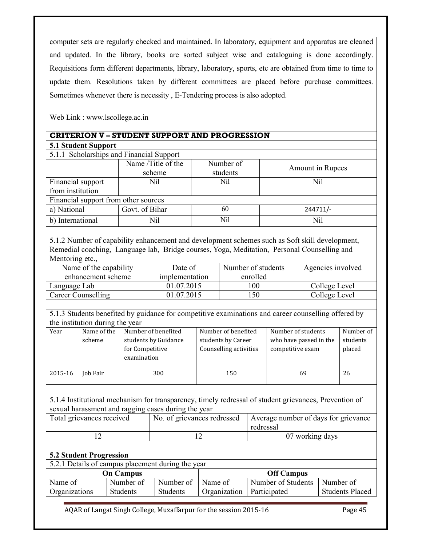computer sets are regularly checked and maintained. In laboratory, equipment and apparatus are cleaned and updated. In the library, books are sorted subject wise and cataloguing is done accordingly. Requisitions form different departments, library, laboratory, sports, etc are obtained from time to time to update them. Resolutions taken by different committees are placed before purchase committees. Sometimes whenever there is necessity , E-Tendering process is also adopted.

Web Link : www.lscollege.ac.in

|                                          | <b>CRITERION V - STUDENT SUPPORT AND PROGRESSION</b> |                       |                  |
|------------------------------------------|------------------------------------------------------|-----------------------|------------------|
| <b>5.1 Student Support</b>               |                                                      |                       |                  |
| 5.1.1 Scholarships and Financial Support |                                                      |                       |                  |
|                                          | Name /Title of the<br>scheme                         | Number of<br>students | Amount in Rupees |
| Financial support                        | Nil                                                  | Nil                   | Nil              |
| from institution                         |                                                      |                       |                  |
| Einancial support from other sources     |                                                      |                       |                  |

|                  | Financial support from other sources |     |            |  |  |  |  |
|------------------|--------------------------------------|-----|------------|--|--|--|--|
| a) National      | Govt. of Bihar                       | 60  | $244711/-$ |  |  |  |  |
| b) International | Nil                                  | Nil | Nil        |  |  |  |  |
|                  |                                      |     |            |  |  |  |  |

5.1.2 Number of capability enhancement and development schemes such as Soft skill development, Remedial coaching, Language lab, Bridge courses, Yoga, Meditation, Personal Counselling and Mentoring etc.,

| Name of the capability | Date of        | Number of students | Agencies involved |
|------------------------|----------------|--------------------|-------------------|
| enhancement scheme     | implementation | enrolled           |                   |
| Language Lab           | 01.07.2015     | 100                | College Level     |
| Career Counselling     | 01.07.2015     | 50                 | College Level     |

5.1.3 Students benefited by guidance for competitive examinations and career counselling offered by the institution during the year

| Year    | Name of the     | Number of benefited  | Number of benefited    | Number of students     | Number of |
|---------|-----------------|----------------------|------------------------|------------------------|-----------|
|         | scheme          | students by Guidance | students by Career     | who have passed in the | students  |
|         |                 | for Competitive      | Counselling activities | competitive exam       | placed    |
|         |                 | examination          |                        |                        |           |
|         |                 |                      |                        |                        |           |
| 2015-16 | <b>Job Fair</b> | 300                  | 150                    | 69                     | 26        |

5.1.4 Institutional mechanism for transparency, timely redressal of student grievances, Prevention of sexual harassment and ragging cases during the year

| Total grievances received | No. of grievances redressed | Average number of days for grievance<br>redressal |
|---------------------------|-----------------------------|---------------------------------------------------|
|                           |                             | 07 working days                                   |

## **5.2 Student Progression**

| 5.2.1 Details of campus placement during the year |                 |                 |              |                    |                        |  |  |  |
|---------------------------------------------------|-----------------|-----------------|--------------|--------------------|------------------------|--|--|--|
|                                                   | On Campus       |                 |              | <b>Off Campus</b>  |                        |  |  |  |
| Name of                                           | Number of       | Number of       | Name of      | Number of Students | Number of              |  |  |  |
| Organizations                                     | <b>Students</b> | <b>Students</b> | Organization | Participated       | <b>Students Placed</b> |  |  |  |
|                                                   |                 |                 |              |                    |                        |  |  |  |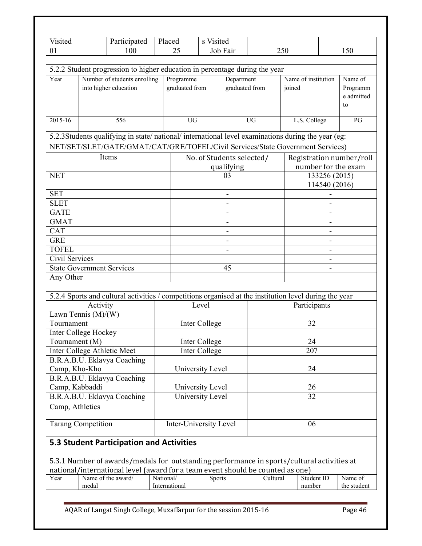| Visited                   | Participated                                                                                           | Placed    |                | s Visited                             |                |           |        |                          |            |
|---------------------------|--------------------------------------------------------------------------------------------------------|-----------|----------------|---------------------------------------|----------------|-----------|--------|--------------------------|------------|
| 01                        | 100                                                                                                    |           | 25             | Job Fair                              |                |           | 250    |                          | 150        |
|                           |                                                                                                        |           |                |                                       |                |           |        |                          |            |
|                           | 5.2.2 Student progression to higher education in percentage during the year                            |           |                |                                       |                |           |        |                          |            |
| Year                      | Number of students enrolling                                                                           |           | Programme      |                                       | Department     |           |        | Name of institution      | Name of    |
|                           | into higher education                                                                                  |           | graduated from |                                       | graduated from |           | joined |                          | Programm   |
|                           |                                                                                                        |           |                |                                       |                |           |        |                          | e admitted |
|                           |                                                                                                        |           |                |                                       |                |           |        |                          | to         |
| 2015-16                   | 556                                                                                                    |           | <b>UG</b>      |                                       |                | <b>UG</b> |        | L.S. College             | PG         |
|                           |                                                                                                        |           |                |                                       |                |           |        |                          |            |
|                           | 5.2.3Students qualifying in state/national/international level examinations during the year (eg:       |           |                |                                       |                |           |        |                          |            |
|                           | NET/SET/SLET/GATE/GMAT/CAT/GRE/TOFEL/Civil Services/State Government Services)                         |           |                |                                       |                |           |        |                          |            |
|                           | Items                                                                                                  |           |                | No. of Students selected/             |                |           |        | Registration number/roll |            |
|                           |                                                                                                        |           |                |                                       | qualifying     |           |        | number for the exam      |            |
| <b>NET</b>                |                                                                                                        |           |                |                                       | 03             |           |        | 133256 (2015)            |            |
|                           |                                                                                                        |           |                |                                       |                |           |        | 114540 (2016)            |            |
| <b>SET</b>                |                                                                                                        |           |                |                                       |                |           |        |                          |            |
| <b>SLET</b>               |                                                                                                        |           |                |                                       |                |           |        |                          |            |
| <b>GATE</b>               |                                                                                                        |           |                |                                       |                |           |        |                          |            |
| <b>GMAT</b>               |                                                                                                        |           |                |                                       |                |           |        |                          |            |
| <b>CAT</b>                |                                                                                                        |           |                |                                       |                |           |        |                          |            |
| <b>GRE</b>                |                                                                                                        |           |                |                                       |                |           |        |                          |            |
| <b>TOFEL</b>              |                                                                                                        |           |                |                                       |                |           |        |                          |            |
| Civil Services            |                                                                                                        |           |                |                                       |                |           |        |                          |            |
|                           | <b>State Government Services</b>                                                                       |           |                |                                       | 45             |           |        |                          |            |
| Any Other                 |                                                                                                        |           |                |                                       |                |           |        |                          |            |
|                           |                                                                                                        |           |                |                                       |                |           |        |                          |            |
|                           | 5.2.4 Sports and cultural activities / competitions organised at the institution level during the year |           |                |                                       |                |           |        |                          |            |
|                           | Activity                                                                                               |           |                | Level                                 |                |           |        | Participants             |            |
|                           | Lawn Tennis $(M)/(W)$                                                                                  |           |                |                                       |                |           |        |                          |            |
| Tournament                | <b>Inter College Hockey</b>                                                                            |           |                | Inter College                         |                |           |        | 32                       |            |
| Tournament (M)            |                                                                                                        |           |                |                                       |                |           |        | 24                       |            |
|                           | Inter College Athletic Meet                                                                            |           |                | Inter College<br><b>Inter College</b> |                |           |        | 207                      |            |
|                           | B.R.A.B.U. Eklavya Coaching                                                                            |           |                |                                       |                |           |        |                          |            |
| Camp, Kho-Kho             |                                                                                                        |           |                | University Level                      |                |           |        | 24                       |            |
|                           | B.R.A.B.U. Eklavya Coaching                                                                            |           |                |                                       |                |           |        |                          |            |
| Camp, Kabbaddi            |                                                                                                        |           |                | University Level                      |                |           |        | 26                       |            |
|                           | B.R.A.B.U. Eklavya Coaching                                                                            |           |                | University Level                      |                |           |        | 32                       |            |
| Camp, Athletics           |                                                                                                        |           |                |                                       |                |           |        |                          |            |
|                           |                                                                                                        |           |                |                                       |                |           |        |                          |            |
| <b>Tarang Competition</b> |                                                                                                        |           |                | Inter-University Level                |                |           |        | 06                       |            |
|                           |                                                                                                        |           |                |                                       |                |           |        |                          |            |
|                           | <b>5.3 Student Participation and Activities</b>                                                        |           |                |                                       |                |           |        |                          |            |
|                           |                                                                                                        |           |                |                                       |                |           |        |                          |            |
|                           | 5.3.1 Number of awards/medals for outstanding performance in sports/cultural activities at             |           |                |                                       |                |           |        |                          |            |
| Year                      | national/international level (award for a team event should be counted as one)<br>Name of the award/   | National/ |                | Sports                                |                | Cultural  |        | Student ID               | Name of    |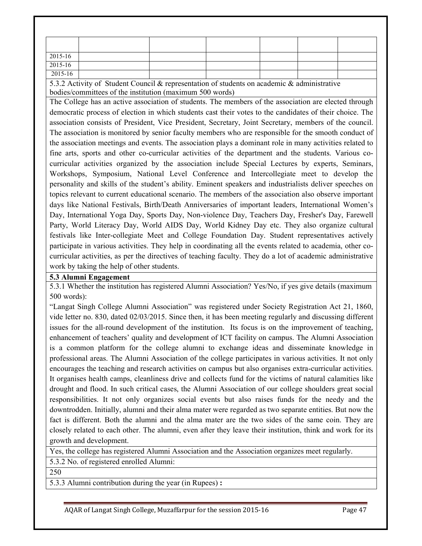| 2015-16     |  |  |  |
|-------------|--|--|--|
| 2015-16     |  |  |  |
| $2015 - 16$ |  |  |  |

5.3.2 Activity of Student Council & representation of students on academic & administrative bodies/committees of the institution (maximum 500 words)

The College has an active association of students. The members of the association are elected through democratic process of election in which students cast their votes to the candidates of their choice. The association consists of President, Vice President, Secretary, Joint Secretary, members of the council. The association is monitored by senior faculty members who are responsible for the smooth conduct of the association meetings and events. The association plays a dominant role in many activities related to fine arts, sports and other co-curricular activities of the department and the students. Various cocurricular activities organized by the association include Special Lectures by experts, Seminars, Workshops, Symposium, National Level Conference and Intercollegiate meet to develop the personality and skills of the student's ability. Eminent speakers and industrialists deliver speeches on topics relevant to current educational scenario. The members of the association also observe important days like National Festivals, Birth/Death Anniversaries of important leaders, International Women's Day, International Yoga Day, Sports Day, Non-violence Day, Teachers Day, Fresher's Day, Farewell Party, World Literacy Day, World AIDS Day, World Kidney Day etc. They also organize cultural festivals like Inter-collegiate Meet and College Foundation Day. Student representatives actively participate in various activities. They help in coordinating all the events related to academia, other cocurricular activities, as per the directives of teaching faculty. They do a lot of academic administrative work by taking the help of other students.

#### **5.3 Alumni Engagement**

5.3.1 Whether the institution has registered Alumni Association? Yes/No, if yes give details (maximum 500 words):

"Langat Singh College Alumni Association" was registered under Society Registration Act 21, 1860, vide letter no. 830, dated 02/03/2015. Since then, it has been meeting regularly and discussing different issues for the all-round development of the institution. Its focus is on the improvement of teaching, enhancement of teachers' quality and development of ICT facility on campus. The Alumni Association is a common platform for the college alumni to exchange ideas and disseminate knowledge in professional areas. The Alumni Association of the college participates in various activities. It not only encourages the teaching and research activities on campus but also organises extra-curricular activities. It organises health camps, cleanliness drive and collects fund for the victims of natural calamities like drought and flood. In such critical cases, the Alumni Association of our college shoulders great social responsibilities. It not only organizes social events but also raises funds for the needy and the downtrodden. Initially, alumni and their alma mater were regarded as two separate entities. But now the fact is different. Both the alumni and the alma mater are the two sides of the same coin. They are closely related to each other. The alumni, even after they leave their institution, think and work for its growth and development.

Yes, the college has registered Alumni Association and the Association organizes meet regularly.

5.3.2 No. of registered enrolled Alumni:

250

5.3.3 Alumni contribution during the year (in Rupees) **:**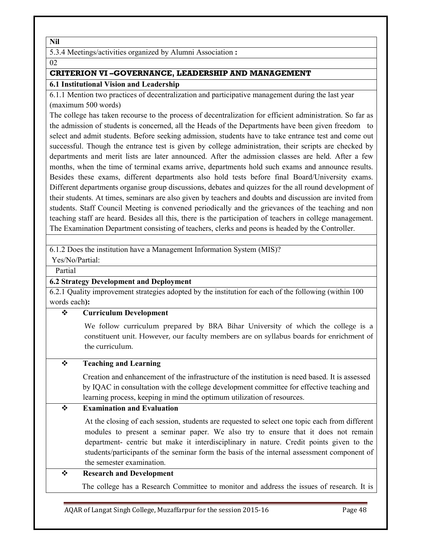**Nil**

5.3.4 Meetings/activities organized by Alumni Association **:** 

02

## **CRITERION VI –GOVERNANCE, LEADERSHIP AND MANAGEMENT**

## **6.1 Institutional Vision and Leadership**

6.1.1 Mention two practices of decentralization and participative management during the last year (maximum 500 words)

The college has taken recourse to the process of decentralization for efficient administration. So far as the admission of students is concerned, all the Heads of the Departments have been given freedom to select and admit students. Before seeking admission, students have to take entrance test and come out successful. Though the entrance test is given by college administration, their scripts are checked by departments and merit lists are later announced. After the admission classes are held. After a few months, when the time of terminal exams arrive, departments hold such exams and announce results. Besides these exams, different departments also hold tests before final Board/University exams. Different departments organise group discussions, debates and quizzes for the all round development of their students. At times, seminars are also given by teachers and doubts and discussion are invited from students. Staff Council Meeting is convened periodically and the grievances of the teaching and non teaching staff are heard. Besides all this, there is the participation of teachers in college management. The Examination Department consisting of teachers, clerks and peons is headed by the Controller.

6.1.2 Does the institution have a Management Information System (MIS)?

Yes/No/Partial:

Partial

## **6.2 Strategy Development and Deployment**

6.2.1 Quality improvement strategies adopted by the institution for each of the following (within 100 words each**):** 

## **Curriculum Development**

We follow curriculum prepared by BRA Bihar University of which the college is a constituent unit. However, our faculty members are on syllabus boards for enrichment of the curriculum.

## **Teaching and Learning**

 Creation and enhancement of the infrastructure of the institution is need based. It is assessed by IQAC in consultation with the college development committee for effective teaching and learning process, keeping in mind the optimum utilization of resources.

## **Examination and Evaluation**

At the closing of each session, students are requested to select one topic each from different modules to present a seminar paper. We also try to ensure that it does not remain department- centric but make it interdisciplinary in nature. Credit points given to the students/participants of the seminar form the basis of the internal assessment component of the semester examination.

## **Research and Development**

The college has a Research Committee to monitor and address the issues of research. It is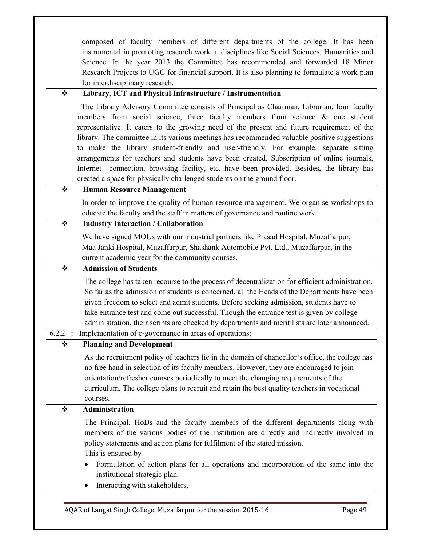composed of faculty members of different departments of the college. It has been instrumental in promoting research work in disciplines like Social Sciences, Humanities and Science. In the year 2013 the Committee has recommended and forwarded 18 Minor Research Projects to UGC for financial support. It is also planning to formulate a work plan for interdisciplinary research.

## **Library, ICT and Physical Infrastructure / Instrumentation**

 The Library Advisory Committee consists of Principal as Chairman, Librarian, four faculty members from social science, three faculty members from science  $\&$  one student representative. It caters to the growing need of the present and future requirement of the library. The committee in its various meetings has recommended valuable positive suggestions to make the library student-friendly and user-friendly. For example, separate sitting arrangements for teachers and students have been created. Subscription of online journals, Internet connection, browsing facility, etc. have been provided. Besides, the library has created a space for physically challenged students on the ground floor.

## **Human Resource Management**

In order to improve the quality of human resource management. We organise workshops to educate the faculty and the staff in matters of governance and routine work.

## **Industry Interaction / Collaboration**

We have signed MOUs with our industrial partners like Prasad Hospital, Muzaffarpur, Maa Janki Hospital, Muzaffarpur, Shashank Automobile Pvt. Ltd., Muzaffarpur, in the current academic year for the community courses.

## **Admission of Students**

 The college has taken recourse to the process of decentralization for efficient administration. So far as the admission of students is concerned, all the Heads of the Departments have been given freedom to select and admit students. Before seeking admission, students have to take entrance test and come out successful. Though the entrance test is given by college administration, their scripts are checked by departments and merit lists are later announced.

### 6.2.2 : Implementation of e-governance in areas of operations:

## **Planning and Development**

 As the recruitment policy of teachers lie in the domain of chancellor's office, the college has no free hand in selection of its faculty members. However, they are encouraged to join orientation/refresher courses periodically to meet the changing requirements of the curriculum. The college plans to recruit and retain the best quality teachers in vocational courses.

## **Administration**

The Principal, HoDs and the faculty members of the different departments along with members of the various bodies of the institution are directly and indirectly involved in policy statements and action plans for fulfilment of the stated mission. This is ensured by

- Formulation of action plans for all operations and incorporation of the same into the institutional strategic plan.
- Interacting with stakeholders.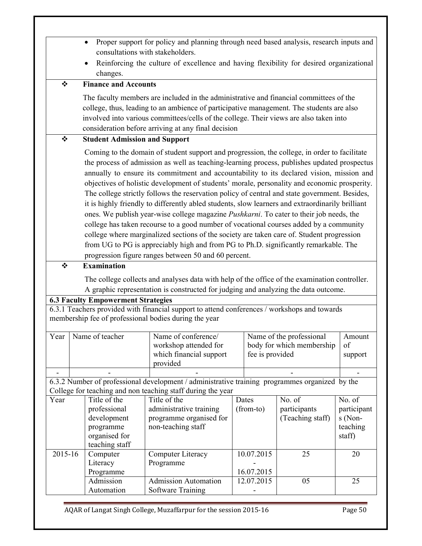- Proper support for policy and planning through need based analysis, research inputs and consultations with stakeholders.
- Reinforcing the culture of excellence and having flexibility for desired organizational changes.

## **Finance and Accounts**

 The faculty members are included in the administrative and financial committees of the college, thus, leading to an ambience of participative management. The students are also involved into various committees/cells of the college. Their views are also taken into consideration before arriving at any final decision

## **Student Admission and Support**

 Coming to the domain of student support and progression, the college, in order to facilitate the process of admission as well as teaching-learning process, publishes updated prospectus annually to ensure its commitment and accountability to its declared vision, mission and objectives of holistic development of students' morale, personality and economic prosperity. The college strictly follows the reservation policy of central and state government. Besides, it is highly friendly to differently abled students, slow learners and extraordinarily brilliant ones. We publish year-wise college magazine *Pushkarni*. To cater to their job needs, the college has taken recourse to a good number of vocational courses added by a community college where marginalized sections of the society are taken care of. Student progression from UG to PG is appreciably high and from PG to Ph.D. significantly remarkable. The progression figure ranges between 50 and 60 percent.

## **Examination**

 The college collects and analyses data with help of the office of the examination controller. A graphic representation is constructed for judging and analyzing the data outcome.

#### **6.3 Faculty Empowerment Strategies**

6.3.1 Teachers provided with financial support to attend conferences / workshops and towards membership fee of professional bodies during the year

| Year    | Name of teacher |                | Name of conference/<br>workshop attended for<br>which financial support<br>provided            |       | Name of the professional<br>body for which membership<br>fee is provided | Amount<br>of<br>support |             |
|---------|-----------------|----------------|------------------------------------------------------------------------------------------------|-------|--------------------------------------------------------------------------|-------------------------|-------------|
|         |                 |                |                                                                                                |       |                                                                          |                         |             |
|         |                 |                | 6.3.2 Number of professional development / administrative training programmes organized by the |       |                                                                          |                         |             |
|         |                 |                | College for teaching and non teaching staff during the year                                    |       |                                                                          |                         |             |
| Year    |                 | Title of the   | Title of the                                                                                   | Dates |                                                                          | No. of                  | No. of      |
|         |                 | professional   | administrative training                                                                        |       | (from-to)                                                                | participants            | participant |
|         |                 | development    | programme organised for                                                                        |       |                                                                          | (Teaching staff)        | s (Non-     |
|         |                 | programme      | non-teaching staff                                                                             |       |                                                                          |                         | teaching    |
|         |                 | organised for  |                                                                                                |       |                                                                          |                         | staff)      |
|         |                 | teaching staff |                                                                                                |       |                                                                          |                         |             |
| 2015-16 |                 | Computer       | Computer Literacy                                                                              |       | 10.07.2015                                                               | 25                      | 20          |
|         |                 | Literacy       | Programme                                                                                      |       |                                                                          |                         |             |
|         |                 | Programme      |                                                                                                |       | 16.07.2015                                                               |                         |             |
|         |                 | Admission      | <b>Admission Automation</b>                                                                    |       | 12.07.2015                                                               | 05                      | 25          |
|         |                 | Automation     | Software Training                                                                              |       |                                                                          |                         |             |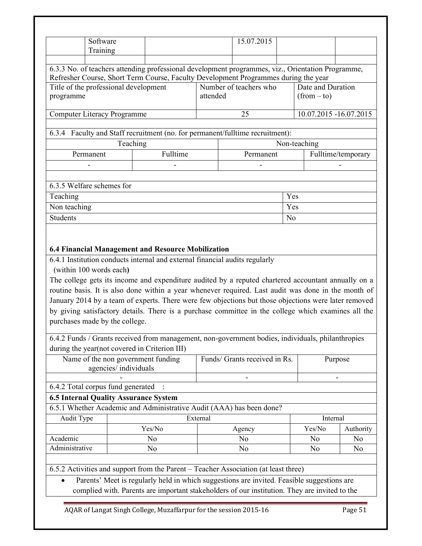|                 | Software<br>Training                  |                                                                                                                                                                                                                                                                                                                                                                                                                                                                                                                                                                                 |          | 15.07.2015                       |     |                        |                      |
|-----------------|---------------------------------------|---------------------------------------------------------------------------------------------------------------------------------------------------------------------------------------------------------------------------------------------------------------------------------------------------------------------------------------------------------------------------------------------------------------------------------------------------------------------------------------------------------------------------------------------------------------------------------|----------|----------------------------------|-----|------------------------|----------------------|
|                 |                                       | 6.3.3 No. of teachers attending professional development programmes, viz., Orientation Programme,                                                                                                                                                                                                                                                                                                                                                                                                                                                                               |          |                                  |     |                        |                      |
|                 |                                       | Refresher Course, Short Term Course, Faculty Development Programmes during the year                                                                                                                                                                                                                                                                                                                                                                                                                                                                                             |          |                                  |     |                        |                      |
|                 | Title of the professional development |                                                                                                                                                                                                                                                                                                                                                                                                                                                                                                                                                                                 |          | Number of teachers who           |     | Date and Duration      |                      |
| programme       |                                       |                                                                                                                                                                                                                                                                                                                                                                                                                                                                                                                                                                                 | attended |                                  |     | $(from - to)$          |                      |
|                 | Computer Literacy Programme           |                                                                                                                                                                                                                                                                                                                                                                                                                                                                                                                                                                                 |          | 25                               |     | 10.07.2015 -16.07.2015 |                      |
|                 |                                       |                                                                                                                                                                                                                                                                                                                                                                                                                                                                                                                                                                                 |          |                                  |     |                        |                      |
|                 |                                       | 6.3.4 Faculty and Staff recruitment (no. for permanent/fulltime recruitment):                                                                                                                                                                                                                                                                                                                                                                                                                                                                                                   |          |                                  |     |                        |                      |
|                 |                                       | Teaching                                                                                                                                                                                                                                                                                                                                                                                                                                                                                                                                                                        |          |                                  |     | Non-teaching           |                      |
|                 | Permanent                             | Fulltime                                                                                                                                                                                                                                                                                                                                                                                                                                                                                                                                                                        |          | Permanent                        |     |                        | Fulltime/temporary   |
|                 |                                       |                                                                                                                                                                                                                                                                                                                                                                                                                                                                                                                                                                                 |          |                                  |     |                        |                      |
|                 |                                       |                                                                                                                                                                                                                                                                                                                                                                                                                                                                                                                                                                                 |          |                                  |     |                        |                      |
|                 | 6.3.5 Welfare schemes for             |                                                                                                                                                                                                                                                                                                                                                                                                                                                                                                                                                                                 |          |                                  |     |                        |                      |
| Teaching        |                                       |                                                                                                                                                                                                                                                                                                                                                                                                                                                                                                                                                                                 |          |                                  | Yes |                        |                      |
| Non teaching    |                                       |                                                                                                                                                                                                                                                                                                                                                                                                                                                                                                                                                                                 |          |                                  | Yes |                        |                      |
| <b>Students</b> |                                       |                                                                                                                                                                                                                                                                                                                                                                                                                                                                                                                                                                                 |          |                                  | No  |                        |                      |
|                 | (within 100 words each)               | 6.4 Financial Management and Resource Mobilization<br>6.4.1 Institution conducts internal and external financial audits regularly                                                                                                                                                                                                                                                                                                                                                                                                                                               |          |                                  |     |                        |                      |
|                 | purchases made by the college.        | The college gets its income and expenditure audited by a reputed chartered accountant annually on a<br>routine basis. It is also done within a year whenever required. Last audit was done in the month of<br>January 2014 by a team of experts. There were few objections but those objections were later removed<br>by giving satisfactory details. There is a purchase committee in the college which examines all the<br>6.4.2 Funds / Grants received from management, non-government bodies, individuals, philanthropies<br>during the year(not covered in Criterion III) |          |                                  |     |                        |                      |
|                 | agencies/individuals                  | Name of the non government funding                                                                                                                                                                                                                                                                                                                                                                                                                                                                                                                                              |          | Funds/ Grants received in Rs.    |     |                        | Purpose              |
|                 |                                       |                                                                                                                                                                                                                                                                                                                                                                                                                                                                                                                                                                                 |          |                                  |     |                        |                      |
|                 | 6.4.2 Total corpus fund generated     |                                                                                                                                                                                                                                                                                                                                                                                                                                                                                                                                                                                 |          |                                  |     |                        |                      |
|                 |                                       | <b>6.5 Internal Quality Assurance System</b>                                                                                                                                                                                                                                                                                                                                                                                                                                                                                                                                    |          |                                  |     |                        |                      |
|                 |                                       | 6.5.1 Whether Academic and Administrative Audit (AAA) has been done?                                                                                                                                                                                                                                                                                                                                                                                                                                                                                                            |          |                                  |     |                        |                      |
| Audit Type      |                                       |                                                                                                                                                                                                                                                                                                                                                                                                                                                                                                                                                                                 | External |                                  |     | Internal               |                      |
| Academic        |                                       | Yes/No                                                                                                                                                                                                                                                                                                                                                                                                                                                                                                                                                                          |          | Agency                           |     | Yes/No                 | Authority            |
| Administrative  |                                       | N <sub>o</sub><br>No                                                                                                                                                                                                                                                                                                                                                                                                                                                                                                                                                            |          | N <sub>o</sub><br>N <sub>0</sub> |     | No<br>No               | N <sub>0</sub><br>No |

complied with. Parents are important stakeholders of our institution. They are invited to the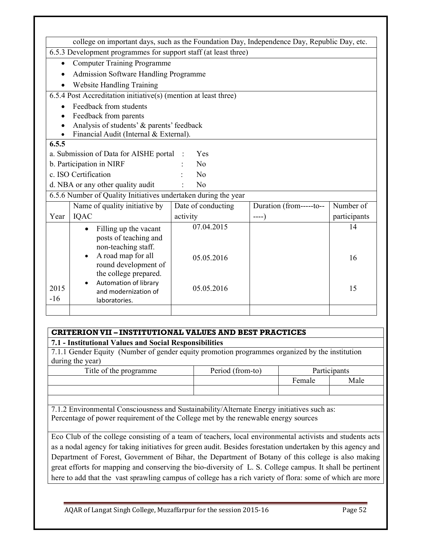|           | college on important days, such as the Foundation Day, Independence Day, Republic Day, etc. |                    |                         |              |
|-----------|---------------------------------------------------------------------------------------------|--------------------|-------------------------|--------------|
|           | 6.5.3 Development programmes for support staff (at least three)                             |                    |                         |              |
| $\bullet$ | <b>Computer Training Programme</b>                                                          |                    |                         |              |
|           | <b>Admission Software Handling Programme</b>                                                |                    |                         |              |
|           | <b>Website Handling Training</b>                                                            |                    |                         |              |
|           | 6.5.4 Post Accreditation initiative(s) (mention at least three)                             |                    |                         |              |
|           | Feedback from students                                                                      |                    |                         |              |
|           | Feedback from parents                                                                       |                    |                         |              |
|           | Analysis of students' & parents' feedback                                                   |                    |                         |              |
|           | Financial Audit (Internal & External).                                                      |                    |                         |              |
| 6.5.5     |                                                                                             |                    |                         |              |
|           | a. Submission of Data for AISHE portal                                                      | Yes                |                         |              |
|           | b. Participation in NIRF                                                                    | No                 |                         |              |
|           | c. ISO Certification                                                                        | No                 |                         |              |
|           | d. NBA or any other quality audit                                                           | No                 |                         |              |
|           | 6.5.6 Number of Quality Initiatives undertaken during the year                              |                    |                         |              |
|           | Name of quality initiative by                                                               | Date of conducting | Duration (from-----to-- | Number of    |
| Year      | IQAC                                                                                        | activity           | $---)$                  | participants |
|           | Filling up the vacant<br>$\bullet$                                                          | 07.04.2015         |                         | 14           |
|           | posts of teaching and                                                                       |                    |                         |              |
|           | non-teaching staff.                                                                         |                    |                         |              |
|           | A road map for all<br>$\bullet$                                                             | 05.05.2016         |                         | 16           |
|           | round development of                                                                        |                    |                         |              |
|           | the college prepared.                                                                       |                    |                         |              |
| 2015      | Automation of library<br>and modernization of                                               | 05.05.2016         |                         | 15           |
| $-16$     | laboratories.                                                                               |                    |                         |              |
|           |                                                                                             |                    |                         |              |
|           |                                                                                             |                    |                         |              |

## **CRITERIONVII – INSTITUTIONAL VALUES AND BEST PRACTICES**

#### **7.1 - Institutional Values and Social Responsibilities**

7.1.1 Gender Equity (Number of gender equity promotion programmes organized by the institution during the year)

| Title of the programme | Period (from-to) | <b>Participants</b> |      |
|------------------------|------------------|---------------------|------|
|                        |                  | Female              | Male |
|                        |                  |                     |      |

7.1.2 Environmental Consciousness and Sustainability/Alternate Energy initiatives such as: Percentage of power requirement of the College met by the renewable energy sources

Eco Club of the college consisting of a team of teachers, local environmental activists and students acts as a nodal agency for taking initiatives for green audit. Besides forestation undertaken by this agency and Department of Forest, Government of Bihar, the Department of Botany of this college is also making great efforts for mapping and conserving the bio-diversity of L. S. College campus. It shall be pertinent here to add that the vast sprawling campus of college has a rich variety of flora: some of which are more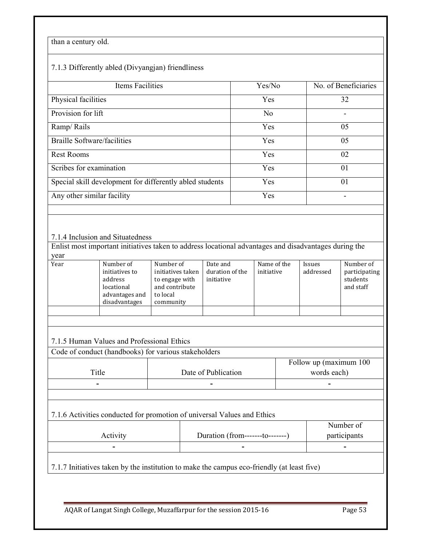## than a century old.

## 7.1.3 Differently abled (Divyangjan) friendliness

| Items Facilities                                         | Yes/No         | No. of Beneficiaries |
|----------------------------------------------------------|----------------|----------------------|
| Physical facilities                                      | Yes            | 32                   |
| Provision for lift                                       | N <sub>0</sub> | -                    |
| Ramp/Rails                                               | Yes            | 05                   |
| <b>Braille Software/facilities</b>                       | Yes            | 05                   |
| <b>Rest Rooms</b>                                        | Yes            | 02                   |
| Scribes for examination                                  | Yes            | 01                   |
| Special skill development for differently abled students | Yes            | 01                   |
| Any other similar facility                               | Yes            |                      |
|                                                          |                |                      |

#### 7.1.4 Inclusion and Situatedness

Enlist most important initiatives taken to address locational advantages and disadvantages during the year

| Year | Number of      | Number of         | Date and        | Name of the | <i>Issues</i> | Number of     |
|------|----------------|-------------------|-----------------|-------------|---------------|---------------|
|      | initiatives to | initiatives taken | duration of the | initiative  | addressed     | participating |
|      | address        | to engage with    | initiative      |             |               | students      |
|      | locational     | and contribute    |                 |             |               | and staff     |
|      | advantages and | to local          |                 |             |               |               |
|      | disadvantages  | community         |                 |             |               |               |
|      |                |                   |                 |             |               |               |
|      |                |                   |                 |             |               |               |

#### 7.1.5 Human Values and Professional Ethics

Code of conduct (handbooks) for various stakeholders

|       |                     | Follow up (maximum 100 |
|-------|---------------------|------------------------|
| Title | Date of Publication | words each)            |
| -     | $\sim$              | -                      |

## 7.1.6 Activities conducted for promotion of universal Values and Ethics

|          |                                   | Number of    |
|----------|-----------------------------------|--------------|
| Activity | Duration (from--------to--------) | participants |
| $\sim$   | $\blacksquare$                    | -            |
|          |                                   |              |

7.1.7 Initiatives taken by the institution to make the campus eco-friendly (at least five)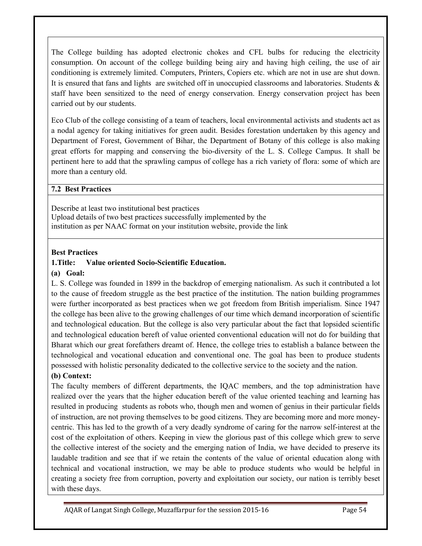The College building has adopted electronic chokes and CFL bulbs for reducing the electricity consumption. On account of the college building being airy and having high ceiling, the use of air conditioning is extremely limited. Computers, Printers, Copiers etc. which are not in use are shut down. It is ensured that fans and lights are switched off in unoccupied classrooms and laboratories. Students & staff have been sensitized to the need of energy conservation. Energy conservation project has been carried out by our students.

Eco Club of the college consisting of a team of teachers, local environmental activists and students act as a nodal agency for taking initiatives for green audit. Besides forestation undertaken by this agency and Department of Forest, Government of Bihar, the Department of Botany of this college is also making great efforts for mapping and conserving the bio-diversity of the L. S. College Campus. It shall be pertinent here to add that the sprawling campus of college has a rich variety of flora: some of which are more than a century old.

#### **7.2 Best Practices**

Describe at least two institutional best practices Upload details of two best practices successfully implemented by the institution as per NAAC format on your institution website, provide the link

#### **Best Practices**

#### **1.Title: Value oriented Socio-Scientific Education.**

#### **(a) Goal:**

L. S. College was founded in 1899 in the backdrop of emerging nationalism. As such it contributed a lot to the cause of freedom struggle as the best practice of the institution. The nation building programmes were further incorporated as best practices when we got freedom from British imperialism. Since 1947 the college has been alive to the growing challenges of our time which demand incorporation of scientific and technological education. But the college is also very particular about the fact that lopsided scientific and technological education bereft of value oriented conventional education will not do for building that Bharat which our great forefathers dreamt of. Hence, the college tries to establish a balance between the technological and vocational education and conventional one. The goal has been to produce students possessed with holistic personality dedicated to the collective service to the society and the nation.

#### **(b) Context:**

The faculty members of different departments, the IQAC members, and the top administration have realized over the years that the higher education bereft of the value oriented teaching and learning has resulted in producing students as robots who, though men and women of genius in their particular fields of instruction, are not proving themselves to be good citizens. They are becoming more and more moneycentric. This has led to the growth of a very deadly syndrome of caring for the narrow self-interest at the cost of the exploitation of others. Keeping in view the glorious past of this college which grew to serve the collective interest of the society and the emerging nation of India, we have decided to preserve its laudable tradition and see that if we retain the contents of the value of oriental education along with technical and vocational instruction, we may be able to produce students who would be helpful in creating a society free from corruption, poverty and exploitation our society, our nation is terribly beset with these days.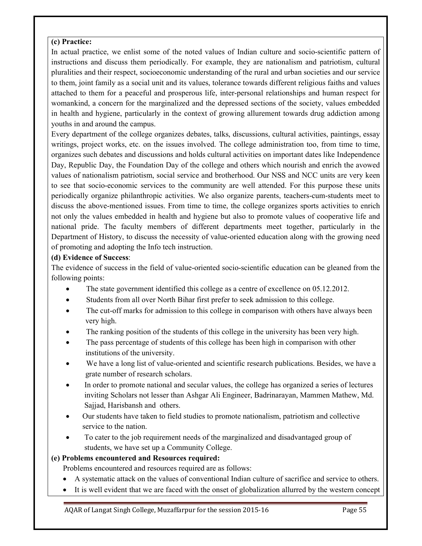## **(c) Practice:**

In actual practice, we enlist some of the noted values of Indian culture and socio-scientific pattern of instructions and discuss them periodically. For example, they are nationalism and patriotism, cultural pluralities and their respect, socioeconomic understanding of the rural and urban societies and our service to them, joint family as a social unit and its values, tolerance towards different religious faiths and values attached to them for a peaceful and prosperous life, inter-personal relationships and human respect for womankind, a concern for the marginalized and the depressed sections of the society, values embedded in health and hygiene, particularly in the context of growing allurement towards drug addiction among youths in and around the campus.

Every department of the college organizes debates, talks, discussions, cultural activities, paintings, essay writings, project works, etc. on the issues involved. The college administration too, from time to time, organizes such debates and discussions and holds cultural activities on important dates like Independence Day, Republic Day, the Foundation Day of the college and others which nourish and enrich the avowed values of nationalism patriotism, social service and brotherhood. Our NSS and NCC units are very keen to see that socio-economic services to the community are well attended. For this purpose these units periodically organize philanthropic activities. We also organize parents, teachers-cum-students meet to discuss the above-mentioned issues. From time to time, the college organizes sports activities to enrich not only the values embedded in health and hygiene but also to promote values of cooperative life and national pride. The faculty members of different departments meet together, particularly in the Department of History, to discuss the necessity of value-oriented education along with the growing need of promoting and adopting the Info tech instruction.

## **(d) Evidence of Success**:

The evidence of success in the field of value-oriented socio-scientific education can be gleaned from the following points:

- The state government identified this college as a centre of excellence on 05.12.2012.
- Students from all over North Bihar first prefer to seek admission to this college.
- The cut-off marks for admission to this college in comparison with others have always been very high.
- The ranking position of the students of this college in the university has been very high.
- The pass percentage of students of this college has been high in comparison with other institutions of the university.
- We have a long list of value-oriented and scientific research publications. Besides, we have a grate number of research scholars.
- In order to promote national and secular values, the college has organized a series of lectures inviting Scholars not lesser than Ashgar Ali Engineer, Badrinarayan, Mammen Mathew, Md. Sajjad, Harisbansh and others.
- Our students have taken to field studies to promote nationalism, patriotism and collective service to the nation.
- To cater to the job requirement needs of the marginalized and disadvantaged group of students, we have set up a Community College.

## **(e) Problems encountered and Resources required:**

Problems encountered and resources required are as follows:

- A systematic attack on the values of conventional Indian culture of sacrifice and service to others.
- It is well evident that we are faced with the onset of globalization allurred by the western concept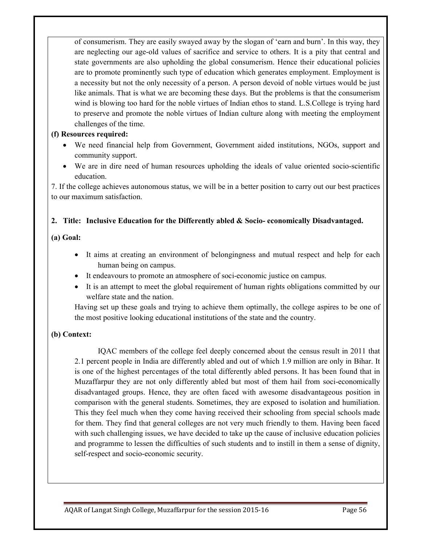of consumerism. They are easily swayed away by the slogan of 'earn and burn'. In this way, they are neglecting our age-old values of sacrifice and service to others. It is a pity that central and state governments are also upholding the global consumerism. Hence their educational policies are to promote prominently such type of education which generates employment. Employment is a necessity but not the only necessity of a person. A person devoid of noble virtues would be just like animals. That is what we are becoming these days. But the problems is that the consumerism wind is blowing too hard for the noble virtues of Indian ethos to stand. L.S.College is trying hard to preserve and promote the noble virtues of Indian culture along with meeting the employment challenges of the time.

#### **(f) Resources required:**

- We need financial help from Government, Government aided institutions, NGOs, support and community support.
- We are in dire need of human resources upholding the ideals of value oriented socio-scientific education.

7. If the college achieves autonomous status, we will be in a better position to carry out our best practices to our maximum satisfaction.

## **2. Title: Inclusive Education for the Differently abled & Socio- economically Disadvantaged.**

## **(a) Goal:**

- It aims at creating an environment of belongingness and mutual respect and help for each human being on campus.
- It endeavours to promote an atmosphere of soci-economic justice on campus.
- It is an attempt to meet the global requirement of human rights obligations committed by our welfare state and the nation.

Having set up these goals and trying to achieve them optimally, the college aspires to be one of the most positive looking educational institutions of the state and the country.

## **(b) Context:**

IQAC members of the college feel deeply concerned about the census result in 2011 that 2.1 percent people in India are differently abled and out of which 1.9 million are only in Bihar. It is one of the highest percentages of the total differently abled persons. It has been found that in Muzaffarpur they are not only differently abled but most of them hail from soci-economically disadvantaged groups. Hence, they are often faced with awesome disadvantageous position in comparison with the general students. Sometimes, they are exposed to isolation and humiliation. This they feel much when they come having received their schooling from special schools made for them. They find that general colleges are not very much friendly to them. Having been faced with such challenging issues, we have decided to take up the cause of inclusive education policies and programme to lessen the difficulties of such students and to instill in them a sense of dignity, self-respect and socio-economic security.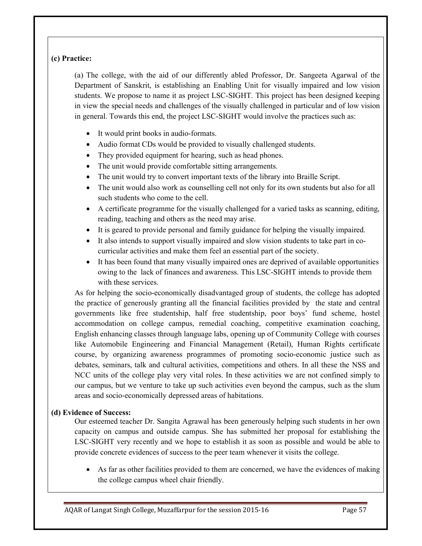## **(c) Practice:**

(a) The college, with the aid of our differently abled Professor, Dr. Sangeeta Agarwal of the Department of Sanskrit, is establishing an Enabling Unit for visually impaired and low vision students. We propose to name it as project LSC-SIGHT. This project has been designed keeping in view the special needs and challenges of the visually challenged in particular and of low vision in general. Towards this end, the project LSC-SIGHT would involve the practices such as:

- It would print books in audio-formats.
- Audio format CDs would be provided to visually challenged students.
- They provided equipment for hearing, such as head phones.
- The unit would provide comfortable sitting arrangements.
- The unit would try to convert important texts of the library into Braille Script.
- The unit would also work as counselling cell not only for its own students but also for all such students who come to the cell.
- A certificate programme for the visually challenged for a varied tasks as scanning, editing, reading, teaching and others as the need may arise.
- It is geared to provide personal and family guidance for helping the visually impaired.
- It also intends to support visually impaired and slow vision students to take part in cocurricular activities and make them feel an essential part of the society.
- It has been found that many visually impaired ones are deprived of available opportunities owing to the lack of finances and awareness. This LSC-SIGHT intends to provide them with these services.

As for helping the socio-economically disadvantaged group of students, the college has adopted the practice of generously granting all the financial facilities provided by the state and central governments like free studentship, half free studentship, poor boys' fund scheme, hostel accommodation on college campus, remedial coaching, competitive examination coaching, English enhancing classes through language labs, opening up of Community College with courses like Automobile Engineering and Financial Management (Retail), Human Rights certificate course, by organizing awareness programmes of promoting socio-economic justice such as debates, seminars, talk and cultural activities, competitions and others. In all these the NSS and NCC units of the college play very vital roles. In these activities we are not confined simply to our campus, but we venture to take up such activities even beyond the campus, such as the slum areas and socio-economically depressed areas of habitations.

## **(d) Evidence of Success:**

Our esteemed teacher Dr. Sangita Agrawal has been generously helping such students in her own capacity on campus and outside campus. She has submitted her proposal for establishing the LSC-SIGHT very recently and we hope to establish it as soon as possible and would be able to provide concrete evidences of success to the peer team whenever it visits the college.

• As far as other facilities provided to them are concerned, we have the evidences of making the college campus wheel chair friendly.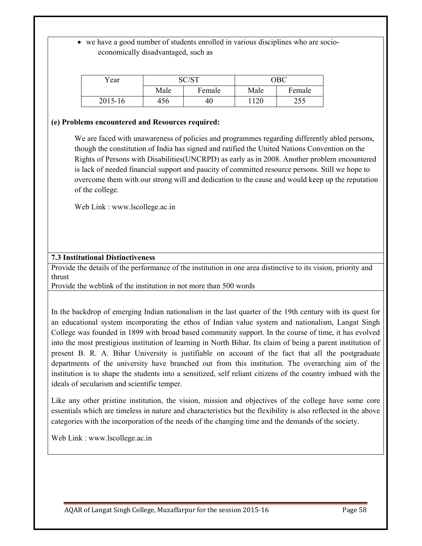• we have a good number of students enrolled in various disciplines who are socioeconomically disadvantaged, such as

| Year    | SC/ST |        |      | ОВС    |
|---------|-------|--------|------|--------|
|         | Male  | Female | Male | Female |
| 2015-16 | 456   | 46     | 1120 | 255    |

#### **(e) Problems encountered and Resources required:**

We are faced with unawareness of policies and programmes regarding differently abled persons, though the constitution of India has signed and ratified the United Nations Convention on the Rights of Persons with Disabilities(UNCRPD) as early as in 2008. Another problem encountered is lack of needed financial support and paucity of committed resource persons. Still we hope to overcome them with our strong will and dedication to the cause and would keep up the reputation of the college.

Web Link : www.lscollege.ac.in

#### **7.3 Institutional Distinctiveness**

Provide the details of the performance of the institution in one area distinctive to its vision, priority and thrust

Provide the weblink of the institution in not more than 500 words

In the backdrop of emerging Indian nationalism in the last quarter of the 19th century with its quest for an educational system incorporating the ethos of Indian value system and nationalism, Langat Singh College was founded in 1899 with broad based community support. In the course of time, it has evolved into the most prestigious institution of learning in North Bihar. Its claim of being a parent institution of present B. R. A. Bihar University is justifiable on account of the fact that all the postgraduate departments of the university have branched out from this institution. The overarching aim of the institution is to shape the students into a sensitized, self reliant citizens of the country imbued with the ideals of secularism and scientific temper.

Like any other pristine institution, the vision, mission and objectives of the college have some core essentials which are timeless in nature and characteristics but the flexibility is also reflected in the above categories with the incorporation of the needs of the changing time and the demands of the society.

Web Link : www.lscollege.ac.in